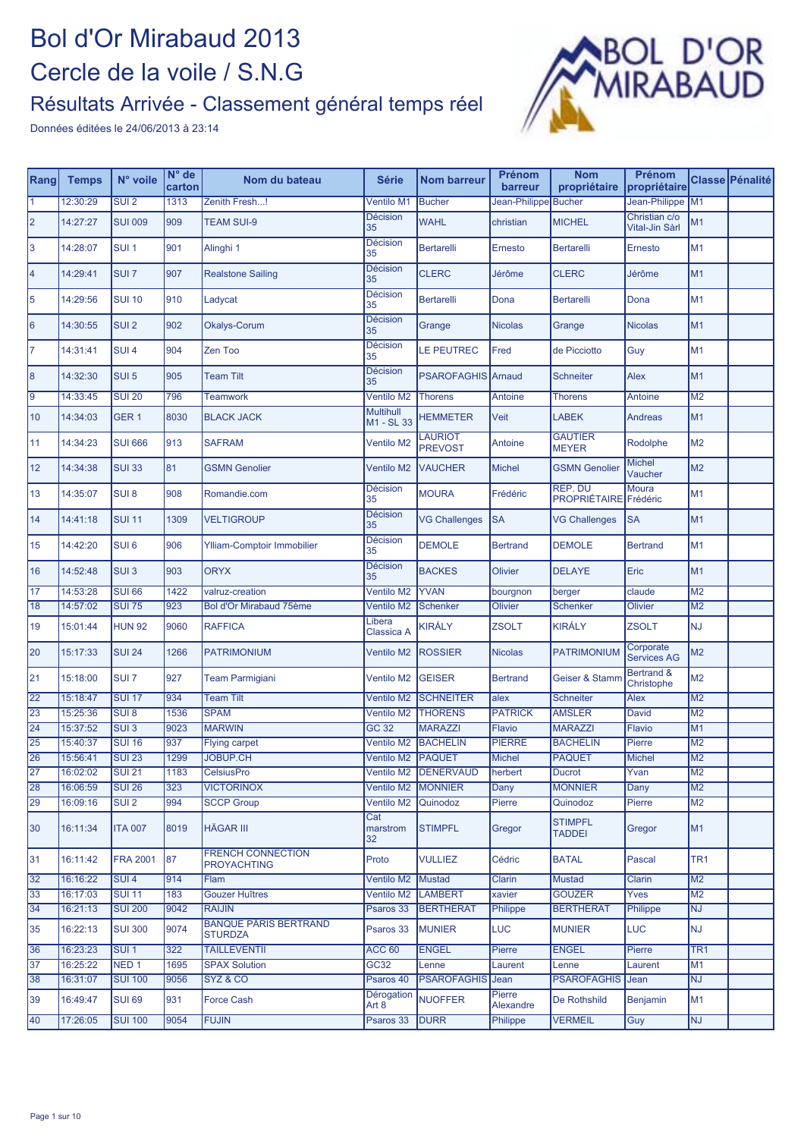

| Rang            | <b>Temps</b> | N° voile         | $N^{\circ}$ de<br>carton | Nom du bateau                                  | <b>Série</b>                   | <b>Nom barreur</b>        | <b>Prénom</b><br>barreur | <b>Nom</b><br>propriétaire      | Prénom<br>propriétaire          |                 | Classe Pénalité |
|-----------------|--------------|------------------|--------------------------|------------------------------------------------|--------------------------------|---------------------------|--------------------------|---------------------------------|---------------------------------|-----------------|-----------------|
| 11              | 12:30:29     | SUI <sub>2</sub> | 1313                     | Zenith Fresh!                                  | <b>Ventilo M1</b>              | <b>Bucher</b>             | Jean-Philippe Bucher     |                                 | Jean-Philippe M1                |                 |                 |
| 2               | 14:27:27     | <b>SUI 009</b>   | 909                      | <b>TEAM SUI-9</b>                              | <b>Décision</b><br>35          | <b>WAHL</b>               | christian                | <b>MICHEL</b>                   | Christian c/o<br>Vital-Jin Sàrl | M <sub>1</sub>  |                 |
| 3               | 14:28:07     | SUI <sub>1</sub> | 901                      | Alinghi 1                                      | <b>Décision</b><br>35          | Bertarelli                | Ernesto                  | <b>Bertarelli</b>               | Ernesto                         | M <sub>1</sub>  |                 |
| 4               | 14:29:41     | SUI <sub>7</sub> | 907                      | <b>Realstone Sailing</b>                       | <b>Décision</b><br>35          | <b>CLERC</b>              | Jérôme                   | <b>CLERC</b>                    | Jérôme                          | M <sub>1</sub>  |                 |
| 5               | 14:29:56     | <b>SUI 10</b>    | 910                      | Ladycat                                        | <b>Décision</b><br>35          | <b>Bertarelli</b>         | Dona                     | <b>Bertarelli</b>               | Dona                            | M <sub>1</sub>  |                 |
| 6               | 14:30:55     | SUI <sub>2</sub> | 902                      | Okalys-Corum                                   | <b>Décision</b><br>35          | Grange                    | <b>Nicolas</b>           | Grange                          | <b>Nicolas</b>                  | M <sub>1</sub>  |                 |
| 17              | 14:31:41     | SUI <sub>4</sub> | 904                      | Zen Too                                        | Décision<br>35                 | LE PEUTREC                | Fred                     | de Picciotto                    | Guy                             | M <sub>1</sub>  |                 |
| 8               | 14:32:30     | SUI <sub>5</sub> | 905                      | <b>Team Tilt</b>                               | <b>Décision</b><br>35          | <b>PSAROFAGHIS</b>        | Arnaud                   | Schneiter                       | Alex                            | M <sub>1</sub>  |                 |
| $\overline{9}$  | 14:33:45     | <b>SUI 20</b>    | 796                      | <b>Teamwork</b>                                | Ventilo M2                     | <b>Thorens</b>            | Antoine                  | <b>Thorens</b>                  | Antoine                         | M <sub>2</sub>  |                 |
| 10              | 14:34:03     | GER <sub>1</sub> | 8030                     | <b>BLACK JACK</b>                              | <b>Multihull</b><br>M1 - SL 33 | <b>HEMMETER</b>           | Veit                     | <b>LABEK</b>                    | <b>Andreas</b>                  | M <sub>1</sub>  |                 |
| 11              | 14:34:23     | <b>SUI 666</b>   | 913                      | <b>SAFRAM</b>                                  | <b>Ventilo M2</b>              | LAURIOT<br><b>PREVOST</b> | Antoine                  | <b>GAUTIER</b><br><b>MEYER</b>  | Rodolphe                        | M <sub>2</sub>  |                 |
| 12              | 14:34:38     | <b>SUI 33</b>    | 81                       | <b>GSMN Genolier</b>                           | Ventilo M2                     | <b>VAUCHER</b>            | <b>Michel</b>            | <b>GSMN Genolier</b>            | <b>Michel</b><br>Vaucher        | M <sub>2</sub>  |                 |
| 13              | 14:35:07     | SUI <sub>8</sub> | 908                      | Romandie.com                                   | <b>Décision</b><br>35          | <b>MOURA</b>              | Frédéric                 | REP. DU<br><b>PROPRIÉTAIRE</b>  | Moura<br>Frédéric               | M <sub>1</sub>  |                 |
| 14              | 14:41:18     | <b>SUI 11</b>    | 1309                     | <b>VELTIGROUP</b>                              | <b>Décision</b><br>35          | <b>VG Challenges</b>      | <b>SA</b>                | <b>VG Challenges</b>            | <b>SA</b>                       | M <sub>1</sub>  |                 |
| 15              | 14:42:20     | SUI <sub>6</sub> | 906                      | Ylliam-Comptoir Immobilier                     | Décision<br>35                 | <b>DEMOLE</b>             | <b>Bertrand</b>          | <b>DEMOLE</b>                   | <b>Bertrand</b>                 | M <sub>1</sub>  |                 |
| 16              | 14:52:48     | SUI <sub>3</sub> | 903                      | <b>ORYX</b>                                    | <b>Décision</b><br>35          | <b>BACKES</b>             | Olivier                  | <b>DELAYE</b>                   | Eric                            | M <sub>1</sub>  |                 |
| $\overline{17}$ | 14:53:28     | <b>SUI 66</b>    | 1422                     | valruz-creation                                | Ventilo M2                     | <b>YVAN</b>               | bourgnon                 | berger                          | claude                          | M <sub>2</sub>  |                 |
| 18              | 14:57:02     | <b>SUI 75</b>    | 923                      | Bol d'Or Mirabaud 75ème                        | Ventilo M2                     | <b>Schenker</b>           | Olivier                  | Schenker                        | Olivier                         | M <sub>2</sub>  |                 |
| 19              | 15:01:44     | <b>HUN 92</b>    | 9060                     | <b>RAFFICA</b>                                 | Libera<br>Classica A           | KIRÁLY                    | <b>ZSOLT</b>             | <b>KIRÁLY</b>                   | <b>ZSOLT</b>                    | NJ              |                 |
| 20              | 15:17:33     | <b>SUI 24</b>    | 1266                     | <b>PATRIMONIUM</b>                             | Ventilo M2                     | <b>ROSSIER</b>            | <b>Nicolas</b>           | <b>PATRIMONIUM</b>              | Corporate<br><b>Services AG</b> | M <sub>2</sub>  |                 |
| 21              | 15:18:00     | SUI <sub>7</sub> | 927                      | <b>Team Parmigiani</b>                         | Ventilo M2                     | <b>GEISER</b>             | <b>Bertrand</b>          | Geiser & Stamm                  | Bertrand &<br>Christophe        | M <sub>2</sub>  |                 |
| 22              | 15:18:47     | <b>SUI 17</b>    | 934                      | <b>Team Tilt</b>                               | <b>Ventilo M2</b>              | <b>SCHNEITER</b>          | alex                     | <b>Schneiter</b>                | Alex                            | M <sub>2</sub>  |                 |
| 23              | 15:25:36     | SUI <sub>8</sub> | 1536                     | <b>SPAM</b>                                    | Ventilo M2                     | <b>THORENS</b>            | <b>PATRICK</b>           | <b>AMSLER</b>                   | David                           | M <sub>2</sub>  |                 |
| $\overline{24}$ | 15:37:52     | $SUI$ 3          | 9023                     | <b>MARWIN</b>                                  | <b>GC 32</b>                   | <b>MARAZZI</b>            | <b>Flavio</b>            | <b>MARAZZI</b>                  | Flavio                          | <b>M1</b>       |                 |
| $\overline{25}$ | 15:40:37     | <b>SUI 16</b>    | 937                      | <b>Flying carpet</b>                           | Ventilo M2                     | <b>BACHELIN</b>           | <b>PIERRE</b>            | <b>BACHELIN</b>                 | Pierre                          | M <sub>2</sub>  |                 |
| 26              | 15:56:41     | <b>SUI 23</b>    | 1299                     | <b>JOBUP.CH</b>                                | Ventilo M2                     | <b>PAQUET</b>             | <b>Michel</b>            | <b>PAQUET</b>                   | <b>Michel</b>                   | M <sub>2</sub>  |                 |
| $\overline{27}$ | 16:02:02     | <b>SUI 21</b>    | 1183                     | <b>CelsiusPro</b>                              |                                | Ventilo M2   DENERVAUD    | herbert                  | <b>Ducrot</b>                   | Yvan                            | M <sub>2</sub>  |                 |
| 28              | 16:06:59     | <b>SUI 26</b>    | 323                      | <b>VICTORINOX</b>                              | <b>Ventilo M2</b>              | <b>MONNIER</b>            | Dany                     | <b>MONNIER</b>                  | Dany                            | M <sub>2</sub>  |                 |
| 29              | 16:09:16     | SU <sub>1</sub>  | 994                      | <b>SCCP Group</b>                              | Ventilo M2                     | Quinodoz                  | Pierre                   | Quinodoz                        | Pierre                          | M <sub>2</sub>  |                 |
| 30              | 16:11:34     | <b>ITA 007</b>   | 8019                     | <b>HÄGAR III</b>                               | Cat<br>marstrom<br>32          | <b>STIMPFL</b>            | Gregor                   | <b>STIMPFL</b><br><b>TADDEI</b> | Gregor                          | M1              |                 |
| 31              | 16:11:42     | <b>FRA 2001</b>  | 87                       | <b>FRENCH CONNECTION</b><br><b>PROYACHTING</b> | Proto                          | <b>VULLIEZ</b>            | Cédric                   | <b>BATAL</b>                    | Pascal                          | TR <sub>1</sub> |                 |
| 32              | 16:16:22     | SUI <sub>4</sub> | 914                      | Flam                                           | Ventilo M2                     | Mustad                    | Clarin                   | <b>Mustad</b>                   | Clarin                          | M2              |                 |
| 33              | 16:17:03     | <b>SUI 11</b>    | 183                      | <b>Gouzer Huîtres</b>                          | Ventilo M2                     | <b>LAMBERT</b>            | xavier                   | <b>GOUZER</b>                   | Yves                            | M <sub>2</sub>  |                 |
| 34              | 16:21:13     | <b>SUI 200</b>   | 9042                     | <b>RAIJIN</b>                                  | Psaros 33                      | <b>BERTHERAT</b>          | Philippe                 | <b>BERTHERAT</b>                | Philippe                        | <b>NJ</b>       |                 |
| 35              | 16:22:13     | <b>SUI 300</b>   | 9074                     | <b>BANQUE PÂRIS BERTRAND</b><br><b>STURDZA</b> | Psaros 33                      | <b>MUNIER</b>             | <b>LUC</b>               | <b>MUNIER</b>                   | <b>LUC</b>                      | NJ              |                 |
| 36              | 16:23:23     | SUI <sub>1</sub> | 322                      | <b>TAILLEVENTII</b>                            | ACC <sub>60</sub>              | <b>ENGEL</b>              | Pierre                   | <b>ENGEL</b>                    | Pierre                          | TR <sub>1</sub> |                 |
| 37              | 16:25:22     | NED <sub>1</sub> | 1695                     | <b>SPAX Solution</b>                           | GC32                           | Lenne                     | Laurent                  | Lenne                           | Laurent                         | M <sub>1</sub>  |                 |
| 38              | 16:31:07     | <b>SUI 100</b>   | 9056                     | SYZ & CO                                       | Psaros 40                      | <b>PSAROFAGHIS</b>        | Jean                     | <b>PSAROFAGHIS</b>              | Jean                            | <b>NJ</b>       |                 |
| 39              | 16:49:47     | <b>SUI 69</b>    | 931                      | <b>Force Cash</b>                              | Dérogation<br>Art 8            | <b>NUOFFER</b>            | Pierre<br>Alexandre      | De Rothshild                    | Benjamin                        | M <sub>1</sub>  |                 |
| 40              | 17:26:05     | <b>SUI 100</b>   | 9054                     | <b>FUJIN</b>                                   | Psaros 33                      | <b>DURR</b>               | Philippe                 | <b>VERMEIL</b>                  | Guy                             | <b>NJ</b>       |                 |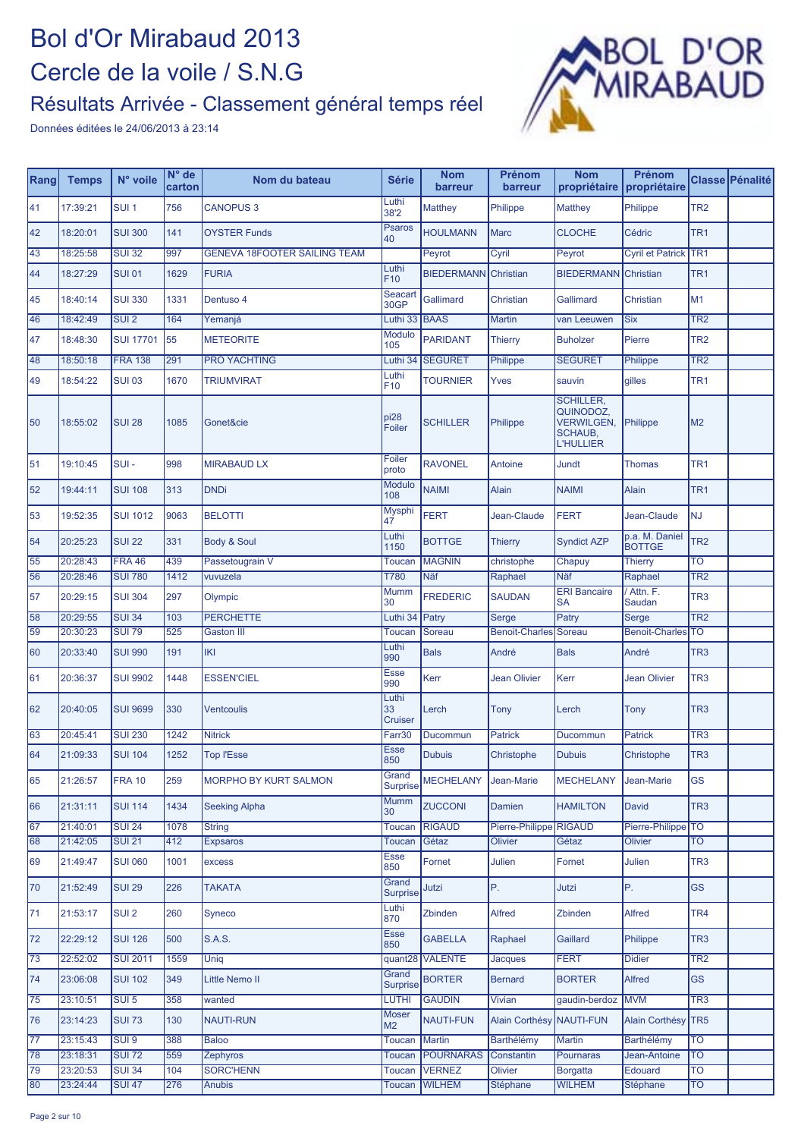#### Résultats Arrivée - Classement général temps réel



| Rang | <b>Temps</b> | N° voile         | $N^{\circ}$ de<br>carton | Nom du bateau                       | <b>Série</b>                  | <b>Nom</b><br>barreur | Prénom<br>barreur        | <b>Nom</b><br>propriétaire                                                               | Prénom<br>propriétaire          |                         | Classe Pénalité |
|------|--------------|------------------|--------------------------|-------------------------------------|-------------------------------|-----------------------|--------------------------|------------------------------------------------------------------------------------------|---------------------------------|-------------------------|-----------------|
| 41   | 17:39:21     | SUI <sub>1</sub> | 756                      | <b>CANOPUS 3</b>                    | Luthi<br>38'2                 | <b>Matthey</b>        | Philippe                 | <b>Matthey</b>                                                                           | Philippe                        | TR <sub>2</sub>         |                 |
| 42   | 18:20:01     | <b>SUI 300</b>   | 141                      | <b>OYSTER Funds</b>                 | <b>Psaros</b><br>40           | <b>HOULMANN</b>       | <b>Marc</b>              | <b>CLOCHE</b>                                                                            | Cédric                          | TR <sub>1</sub>         |                 |
| 43   | 18:25:58     | <b>SUI 32</b>    | 997                      | <b>GENEVA 18FOOTER SAILING TEAM</b> |                               | Peyrot                | Cyril                    | Peyrot                                                                                   | <b>Cyril et Patrick TR1</b>     |                         |                 |
| 44   | 18:27:29     | <b>SUI 01</b>    | 1629                     | <b>FURIA</b>                        | Luthi<br>F <sub>10</sub>      | <b>BIEDERMANN</b>     | Christian                | <b>BIEDERMANN</b>                                                                        | Christian                       | TR <sub>1</sub>         |                 |
| 45   | 18:40:14     | <b>SUI 330</b>   | 1331                     | Dentuso 4                           | Seacart<br>30GP               | Gallimard             | Christian                | Gallimard                                                                                | <b>Christian</b>                | M <sub>1</sub>          |                 |
| 46   | 18:42:49     | SUI <sub>2</sub> | 164                      | Yemaniá                             | Luthi 33                      | <b>BAAS</b>           | <b>Martin</b>            | van Leeuwen                                                                              | <b>Six</b>                      | TR <sub>2</sub>         |                 |
| 47   | 18:48:30     | <b>SUI 17701</b> | 55                       | <b>METEORITE</b>                    | Modulo<br>105                 | <b>PARIDANT</b>       | <b>Thierry</b>           | <b>Buholzer</b>                                                                          | Pierre                          | TR <sub>2</sub>         |                 |
| 48   | 18:50:18     | <b>FRA 138</b>   | 291                      | <b>PRO YACHTING</b>                 | Luthi 34                      | <b>SEGURET</b>        | Philippe                 | <b>SEGURET</b>                                                                           | Philippe                        | TR <sub>2</sub>         |                 |
| 49   | 18:54:22     | <b>SUI 03</b>    | 1670                     | <b>TRIUMVIRAT</b>                   | Luthi<br>F10                  | <b>TOURNIER</b>       | Yves                     | sauvin                                                                                   | gilles                          | TR <sub>1</sub>         |                 |
| 50   | 18:55:02     | <b>SUI 28</b>    | 1085                     | Gonet&cie                           | pi28<br>Foiler                | <b>SCHILLER</b>       | Philippe                 | <b>SCHILLER,</b><br>QUINODOZ,<br><b>VERWILGEN,</b><br><b>SCHAUB,</b><br><b>L'HULLIER</b> | Philippe                        | M <sub>2</sub>          |                 |
| 51   | 19:10:45     | $SUI -$          | 998                      | <b>MIRABAUD LX</b>                  | Foiler<br>proto               | <b>RAVONEL</b>        | Antoine                  | Jundt                                                                                    | <b>Thomas</b>                   | TR <sub>1</sub>         |                 |
| 52   | 19:44:11     | <b>SUI 108</b>   | 313                      | <b>DNDi</b>                         | <b>Modulo</b><br>108          | <b>NAIMI</b>          | <b>Alain</b>             | <b>NAIMI</b>                                                                             | <b>Alain</b>                    | TR <sub>1</sub>         |                 |
| 53   | 19:52:35     | <b>SUI 1012</b>  | 9063                     | <b>BELOTTI</b>                      | <b>Mysphi</b><br>47           | <b>FERT</b>           | Jean-Claude              | <b>FERT</b>                                                                              | Jean-Claude                     | <b>NJ</b>               |                 |
| 54   | 20:25:23     | <b>SUI 22</b>    | 331                      | Body & Soul                         | Luthi<br>1150                 | <b>BOTTGE</b>         | <b>Thierry</b>           | <b>Syndict AZP</b>                                                                       | p.a. M. Daniel<br><b>BOTTGE</b> | TR <sub>2</sub>         |                 |
| 55   | 20:28:43     | <b>FRA 46</b>    | 439                      | Passetougrain V                     | Toucan                        | <b>MAGNIN</b>         | christophe               | Chapuy                                                                                   | Thierry                         | TO                      |                 |
| 56   | 20:28:46     | <b>SUI 780</b>   | 1412                     | vuvuzela                            | T780                          | Näf                   | Raphael                  | <b>Näf</b>                                                                               | Raphael                         | TR <sub>2</sub>         |                 |
| 57   | 20:29:15     | <b>SUI 304</b>   | 297                      | Olympic                             | Mumm<br>30                    | <b>FREDERIC</b>       | <b>SAUDAN</b>            | <b>ERI Bancaire</b><br><b>SA</b>                                                         | Attn. F.<br>Saudan              | TR <sub>3</sub>         |                 |
| 58   | 20:29:55     | <b>SUI 34</b>    | 103                      | <b>PERCHETTE</b>                    | Luthi 34                      | Patry                 | Serge                    | Patry                                                                                    | Serge                           | TR <sub>2</sub>         |                 |
| 59   | 20:30:23     | <b>SUI 79</b>    | 525                      | <b>Gaston III</b>                   | <b>Toucan</b>                 | Soreau                | <b>Benoit-Charles</b>    | Soreau                                                                                   | Benoit-Charles                  | <b>TO</b>               |                 |
| 60   | 20:33:40     | <b>SUI 990</b>   | 191                      | IKI                                 | Luthi<br>990                  | <b>Bals</b>           | André                    | <b>Bals</b>                                                                              | André                           | TR <sub>3</sub>         |                 |
| 61   | 20:36:37     | <b>SUI 9902</b>  | 1448                     | <b>ESSEN'CIEL</b>                   | Esse<br>990                   | Kerr                  | <b>Jean Olivier</b>      | Kerr                                                                                     | <b>Jean Olivier</b>             | TR <sub>3</sub>         |                 |
| 62   | 20:40:05     | <b>SUI 9699</b>  | 330                      | <b>Ventcoulis</b>                   | Luthi<br>33<br><b>Cruiser</b> | Lerch                 | Tony                     | Lerch                                                                                    | Tony                            | TR <sub>3</sub>         |                 |
| 63   | 20:45:41     | <b>SUI 230</b>   | 1242                     | <b>Nitrick</b>                      | Farr30                        | Ducommun              | <b>Patrick</b>           | Ducommun                                                                                 | <b>Patrick</b>                  | TR <sub>3</sub>         |                 |
| 64   | 21:09:33     | <b>SUI 104</b>   | 1252                     | <b>Top l'Esse</b>                   | <b>Esse</b><br>850            | <b>Dubuis</b>         | Christophe               | <b>Dubuis</b>                                                                            | Christophe                      | TR <sub>3</sub>         |                 |
| 165  | 21:26:57     | <b>FRA 10</b>    | 259                      | <b>MORPHO BY KURT SALMON</b>        | Grand<br><b>Surprise</b>      | MECHELANY Jean-Marie  |                          | <b>MECHELANY</b>                                                                         | Jean-Marie                      | GS                      |                 |
| 66   | 21:31:11     | <b>SUI 114</b>   | 1434                     | <b>Seeking Alpha</b>                | Mumm<br>30                    | <b>ZUCCONI</b>        | Damien                   | <b>HAMILTON</b>                                                                          | <b>David</b>                    | TR <sub>3</sub>         |                 |
| 67   | 21:40:01     | <b>SUI 24</b>    | 1078                     | <b>String</b>                       | <b>Toucan</b>                 | <b>RIGAUD</b>         | Pierre-Philippe RIGAUD   |                                                                                          | Pierre-Philippe <sup>TO</sup>   |                         |                 |
| 68   | 21:42:05     | <b>SUI 21</b>    | 412                      | <b>Expsaros</b>                     | Toucan                        | Gétaz                 | <b>Olivier</b>           | Gétaz                                                                                    | <b>Olivier</b>                  | $\overline{\text{TO}}$  |                 |
| 69   | 21:49:47     | <b>SUI 060</b>   | 1001                     | excess                              | <b>Esse</b><br>850            | Fornet                | Julien                   | Fornet                                                                                   | Julien                          | TR <sub>3</sub>         |                 |
| 70   | 21:52:49     | <b>SUI 29</b>    | 226                      | <b>TAKATA</b>                       | Grand<br><b>Surprise</b>      | Jutzi                 | P.                       | Jutzi                                                                                    | P.                              | <b>GS</b>               |                 |
| 71   | 21:53:17     | SUI <sub>2</sub> | 260                      | Syneco                              | Luthi<br>870                  | Zbinden               | <b>Alfred</b>            | Zbinden                                                                                  | Alfred                          | TR <sub>4</sub>         |                 |
| 72   | 22:29:12     | <b>SUI 126</b>   | 500                      | <b>S.A.S.</b>                       | <b>Esse</b><br>850            | <b>GABELLA</b>        | Raphael                  | Gaillard                                                                                 | Philippe                        | TR <sub>3</sub>         |                 |
| 73   | 22:52:02     | <b>SUI 2011</b>  | 1559                     | Uniq                                | quant28                       | <b>VALENTE</b>        | Jacques                  | <b>FERT</b>                                                                              | <b>Didier</b>                   | TR <sub>2</sub>         |                 |
| 74   | 23:06:08     | <b>SUI 102</b>   | 349                      | Little Nemo II                      | Grand<br><b>Surprise</b>      | <b>BORTER</b>         | <b>Bernard</b>           | <b>BORTER</b>                                                                            | Alfred                          | <b>GS</b>               |                 |
| 75   | 23:10:51     | SUI <sub>5</sub> | 358                      | wanted                              | LUTHI                         | <b>GAUDIN</b>         | Vivian                   | gaudin-berdoz                                                                            | <b>MVM</b>                      | $\overline{\text{TR3}}$ |                 |
| 76   | 23:14:23     | <b>SUI 73</b>    | 130                      | <b>NAUTI-RUN</b>                    | <b>Moser</b><br>M2            | <b>NAUTI-FUN</b>      | Alain Corthésy NAUTI-FUN |                                                                                          | Alain Corthésy TR5              |                         |                 |
| 77   | 23:15:43     | SUI <sub>9</sub> | 388                      | <b>Baloo</b>                        | Toucan                        | <b>Martin</b>         | <b>Barthélémy</b>        | <b>Martin</b>                                                                            | Barthélémy                      | $\overline{\text{TO}}$  |                 |
| 78   | 23:18:31     | <b>SUI 72</b>    | 559                      | Zephyros                            | Toucan                        | <b>POURNARAS</b>      | Constantin               | Pournaras                                                                                | Jean-Antoine                    | <b>TO</b>               |                 |
| 79   | 23:20:53     | <b>SUI 34</b>    | 104                      | <b>SORC'HENN</b>                    | Toucan                        | <b>VERNEZ</b>         | Olivier                  | <b>Borgatta</b>                                                                          | <b>Edouard</b>                  | TO                      |                 |
| 80   | 23:24:44     | <b>SUI 47</b>    | 276                      | <b>Anubis</b>                       | Toucan                        | <b>WILHEM</b>         | Stéphane                 | <b>WILHEM</b>                                                                            | Stéphane                        | <b>TO</b>               |                 |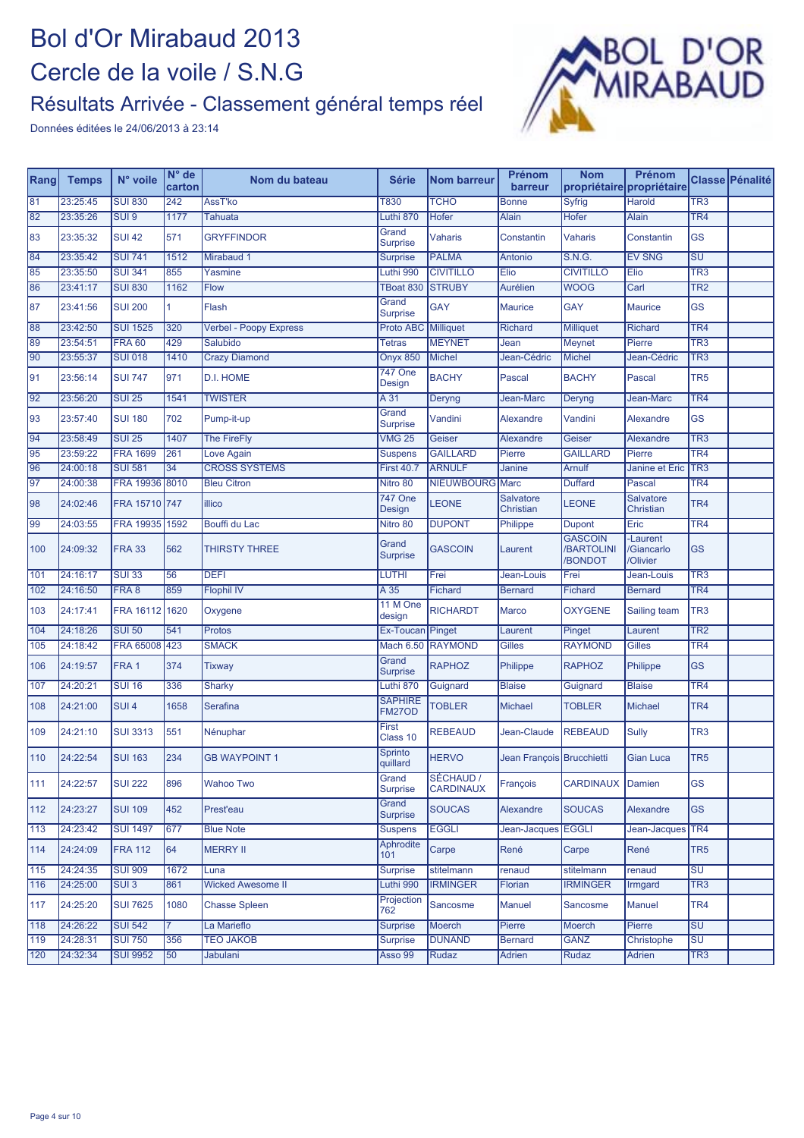#### Résultats Arrivée - Classement général temps réel



| Rang | <b>Temps</b> | N° voile         | $N^{\circ}$ de<br>carton | Nom du bateau                 | <b>Série</b>               | <b>Nom barreur</b>            | Prénom<br>barreur                    | <b>Nom</b>                              | Prénom<br>propriétaire propriétaire            |                                   | Classe Pénalité |
|------|--------------|------------------|--------------------------|-------------------------------|----------------------------|-------------------------------|--------------------------------------|-----------------------------------------|------------------------------------------------|-----------------------------------|-----------------|
| 81   | 23:25:45     | <b>SUI 830</b>   | 242                      | AssT'ko                       | T830                       | <b>TCHO</b>                   | <b>Bonne</b>                         | <b>Syfrig</b>                           | <b>Harold</b>                                  | $\overline{\text{TR3}}$           |                 |
| 82   | 23:35:26     | SUI <sub>9</sub> | 1177                     | <b>Tahuata</b>                | Luthi 870                  | Hofer                         | Alain                                | Hofer                                   | <b>Alain</b>                                   | TR <sub>4</sub>                   |                 |
| 83   | 23:35:32     | <b>SUI 42</b>    | 571                      | <b>GRYFFINDOR</b>             | Grand<br><b>Surprise</b>   | Vaharis                       | Constantin                           | <b>Vaharis</b>                          | Constantin                                     | <b>GS</b>                         |                 |
| 84   | 23:35:42     | <b>SUI 741</b>   | 1512                     | Mirabaud 1                    | <b>Surprise</b>            | <b>PALMA</b>                  | <b>Antonio</b>                       | S.N.G.                                  | <b>EV SNG</b>                                  | $\overline{\mathsf{S}\mathsf{U}}$ |                 |
| 85   | 23:35:50     | <b>SUI 341</b>   | 855                      | Yasmine                       | Luthi 990                  | <b>CIVITILLO</b>              | Elio                                 | <b>CIVITILLO</b>                        | Elio                                           | TR <sub>3</sub>                   |                 |
| 86   | 23:41:17     | <b>SUI 830</b>   | 1162                     | Flow                          | TBoat 830                  | <b>STRUBY</b>                 | Aurélien                             | <b>WOOG</b>                             | Carl                                           | TR2                               |                 |
| 87   | 23:41:56     | <b>SUI 200</b>   | $\mathbf{1}$             | Flash                         | Grand<br><b>Surprise</b>   | <b>GAY</b>                    | <b>Maurice</b>                       | <b>GAY</b>                              | <b>Maurice</b>                                 | <b>GS</b>                         |                 |
| 88   | 23:42:50     | <b>SUI 1525</b>  | 320                      | <b>Verbel - Poopy Express</b> | Proto ABC Milliquet        |                               | <b>Richard</b>                       | <b>Milliquet</b>                        | Richard                                        | TR <sub>4</sub>                   |                 |
| 89   | 23:54:51     | <b>FRA 60</b>    | 429                      | Salubido                      | <b>Tetras</b>              | <b>MEYNET</b>                 | Jean                                 | Meynet                                  | Pierre                                         | TR <sub>3</sub>                   |                 |
| 90   | 23:55:37     | <b>SUI 018</b>   | 1410                     | <b>Crazy Diamond</b>          | <b>Onyx 850</b>            | <b>Michel</b>                 | Jean-Cédric                          | <b>Michel</b>                           | Jean-Cédric                                    | TR <sub>3</sub>                   |                 |
| 91   | 23:56:14     | <b>SUI 747</b>   | 971                      | D.I. HOME                     | <b>747 One</b><br>Design   | <b>BACHY</b>                  | Pascal                               | <b>BACHY</b>                            | Pascal                                         | TR <sub>5</sub>                   |                 |
| 92   | 23:56:20     | <b>SUI 25</b>    | 1541                     | <b>TWISTER</b>                | A 31                       | Deryng                        | Jean-Marc                            | Deryng                                  | Jean-Marc                                      | TR <sub>4</sub>                   |                 |
| 93   | 23:57:40     | <b>SUI 180</b>   | 702                      | Pump-it-up                    | Grand<br><b>Surprise</b>   | Vandini                       | Alexandre                            | Vandini                                 | Alexandre                                      | <b>GS</b>                         |                 |
| 94   | 23:58:49     | <b>SUI 25</b>    | 1407                     | <b>The FireFly</b>            | <b>VMG 25</b>              | Geiser                        | <b>Alexandre</b>                     | Geiser                                  | Alexandre                                      | TR <sub>3</sub>                   |                 |
| 95   | 23:59:22     | <b>FRA 1699</b>  | 261                      | Love Again                    | <b>Suspens</b>             | <b>GAILLARD</b>               | Pierre                               | <b>GAILLARD</b>                         | Pierre                                         | TR <sub>4</sub>                   |                 |
| 96   | 24:00:18     | <b>SUI 581</b>   | 34                       | <b>CROSS SYSTEMS</b>          | <b>First 40.7</b>          | <b>ARNULF</b>                 | Janine                               | Arnulf                                  | Janine et Eric                                 | TR <sub>3</sub>                   |                 |
| 97   | 24:00:38     | FRA 19936 8010   |                          | <b>Bleu Citron</b>            | Nitro 80                   | <b>NIEUWBOURG</b>             | Marc                                 | <b>Duffard</b>                          | Pascal                                         | TR <sub>4</sub>                   |                 |
| 98   | 24:02:46     | FRA 15710 747    |                          | illico                        | <b>747 One</b><br>Design   | <b>LEONE</b>                  | <b>Salvatore</b><br><b>Christian</b> | LEONE                                   | <b>Salvatore</b><br>Christian                  | TR <sub>4</sub>                   |                 |
| 99   | 24:03:55     | FRA 19935 1592   |                          | Bouffi du Lac                 | Nitro 80                   | <b>DUPONT</b>                 | Philippe                             | <b>Dupont</b>                           | Eric                                           | TR <sub>4</sub>                   |                 |
| 100  | 24:09:32     | <b>FRA 33</b>    | 562                      | <b>THIRSTY THREE</b>          | Grand<br><b>Surprise</b>   | <b>GASCOIN</b>                | Laurent                              | <b>GASCOIN</b><br>/BARTOLINI<br>/BONDOT | -Laurent<br><b>Giancarlo</b><br><b>Olivier</b> | <b>GS</b>                         |                 |
| 101  | 24:16:17     | <b>SUI 33</b>    | 56                       | <b>DEFI</b>                   | LUTHI                      | Frei                          | Jean-Louis                           | Frei                                    | Jean-Louis                                     | TR <sub>3</sub>                   |                 |
| 102  | 24:16:50     | FRA 8            | 859                      | <b>Flophil IV</b>             | A 35                       | Fichard                       | <b>Bernard</b>                       | Fichard                                 | <b>Bernard</b>                                 | TR <sub>4</sub>                   |                 |
| 103  | 24:17:41     | FRA 16112 1620   |                          | Oxygene                       | 11 M One<br>design         | <b>RICHARDT</b>               | <b>Marco</b>                         | <b>OXYGENE</b>                          | Sailing team                                   | TR <sub>3</sub>                   |                 |
| 104  | 24:18:26     | <b>SUI 50</b>    | 541                      | <b>Protos</b>                 | Ex-Toucan                  | Pinget                        | Laurent                              | Pinget                                  | Laurent                                        | TR <sub>2</sub>                   |                 |
| 105  | 24:18:42     | FRA 65008 423    |                          | <b>SMACK</b>                  | Mach 6.50                  | <b>RAYMOND</b>                | <b>Gilles</b>                        | <b>RAYMOND</b>                          | <b>Gilles</b>                                  | TR <sub>4</sub>                   |                 |
| 106  | 24:19:57     | FRA <sub>1</sub> | 374                      | Tixway                        | Grand<br><b>Surprise</b>   | <b>RAPHOZ</b>                 | Philippe                             | <b>RAPHOZ</b>                           | <b>Philippe</b>                                | <b>GS</b>                         |                 |
| 107  | 24:20:21     | <b>SUI 16</b>    | 336                      | Sharky                        | Luthi 870                  | Guignard                      | <b>Blaise</b>                        | Guignard                                | <b>Blaise</b>                                  | TR <sub>4</sub>                   |                 |
| 108  | 24:21:00     | SUI <sub>4</sub> | 1658                     | Serafina                      | <b>SAPHIRE</b><br>FM27OD   | <b>TOBLER</b>                 | Michael                              | <b>TOBLER</b>                           | <b>Michael</b>                                 | TR <sub>4</sub>                   |                 |
| 109  | 24:21:10     | <b>SUI 3313</b>  | 551                      | Nénuphar                      | First<br>Class 10          | <b>REBEAUD</b>                | Jean-Claude                          | <b>REBEAUD</b>                          | <b>Sully</b>                                   | TR <sub>3</sub>                   |                 |
| 110  | 24:22:54     | <b>SUI 163</b>   | 234                      | <b>GB WAYPOINT 1</b>          | <b>Sprinto</b><br>quillard | <b>HERVO</b>                  | Jean François Brucchietti            |                                         | Gian Luca                                      | TR <sub>5</sub>                   |                 |
| 111  | 24:22:57     | <b>SUI 222</b>   | 896                      | <b>Wahoo Two</b>              | Grand<br><b>Surprise</b>   | SÉCHAUD /<br><b>CARDINAUX</b> | François                             | CARDINAUX Damien                        |                                                | <b>GS</b>                         |                 |
| 112  | 24:23:27     | <b>SUI 109</b>   | 452                      | Prest'eau                     | Grand<br><b>Surprise</b>   | <b>SOUCAS</b>                 | Alexandre                            | <b>SOUCAS</b>                           | Alexandre                                      | <b>GS</b>                         |                 |
| 113  | 24:23:42     | <b>SUI 1497</b>  | 677                      | <b>Blue Note</b>              | <b>Suspens</b>             | <b>EGGLI</b>                  | Jean-Jacques                         | <b>EGGLI</b>                            | Jean-Jacques TR4                               |                                   |                 |
| 114  | 24:24:09     | <b>FRA 112</b>   | 64                       | <b>MERRY II</b>               | <b>Aphrodite</b><br>101    | Carpe                         | René                                 | Carpe                                   | René                                           | TR <sub>5</sub>                   |                 |
| 115  | 24:24:35     | <b>SUI 909</b>   | 1672                     | Luna                          | <b>Surprise</b>            | stitelmann                    | renaud                               | stitelmann                              | renaud                                         | SU                                |                 |
| 116  | 24:25:00     | SUI <sub>3</sub> | 861                      | <b>Wicked Awesome II</b>      | Luthi 990                  | <b>IRMINGER</b>               | Florian                              | <b>IRMINGER</b>                         | Irmgard                                        | TR <sub>3</sub>                   |                 |
| 117  | 24:25:20     | <b>SUI 7625</b>  | 1080                     | <b>Chasse Spleen</b>          | Projection<br>762          | Sancosme                      | <b>Manuel</b>                        | Sancosme                                | Manuel                                         | TR <sub>4</sub>                   |                 |
| 118  | 24:26:22     | <b>SUI 542</b>   |                          | La Marieflo                   | <b>Surprise</b>            | Moerch                        | Pierre                               | Moerch                                  | Pierre                                         | <b>SU</b>                         |                 |
| 119  | 24:28:31     | <b>SUI 750</b>   | 356                      | <b>TEO JAKOB</b>              | <b>Surprise</b>            | <b>DUNAND</b>                 | <b>Bernard</b>                       | <b>GANZ</b>                             | Christophe                                     | SU                                |                 |
| 120  | 24:32:34     | <b>SUI 9952</b>  | 50                       | Jabulani                      | Asso 99                    | Rudaz                         | Adrien                               | Rudaz                                   | Adrien                                         | TR <sub>3</sub>                   |                 |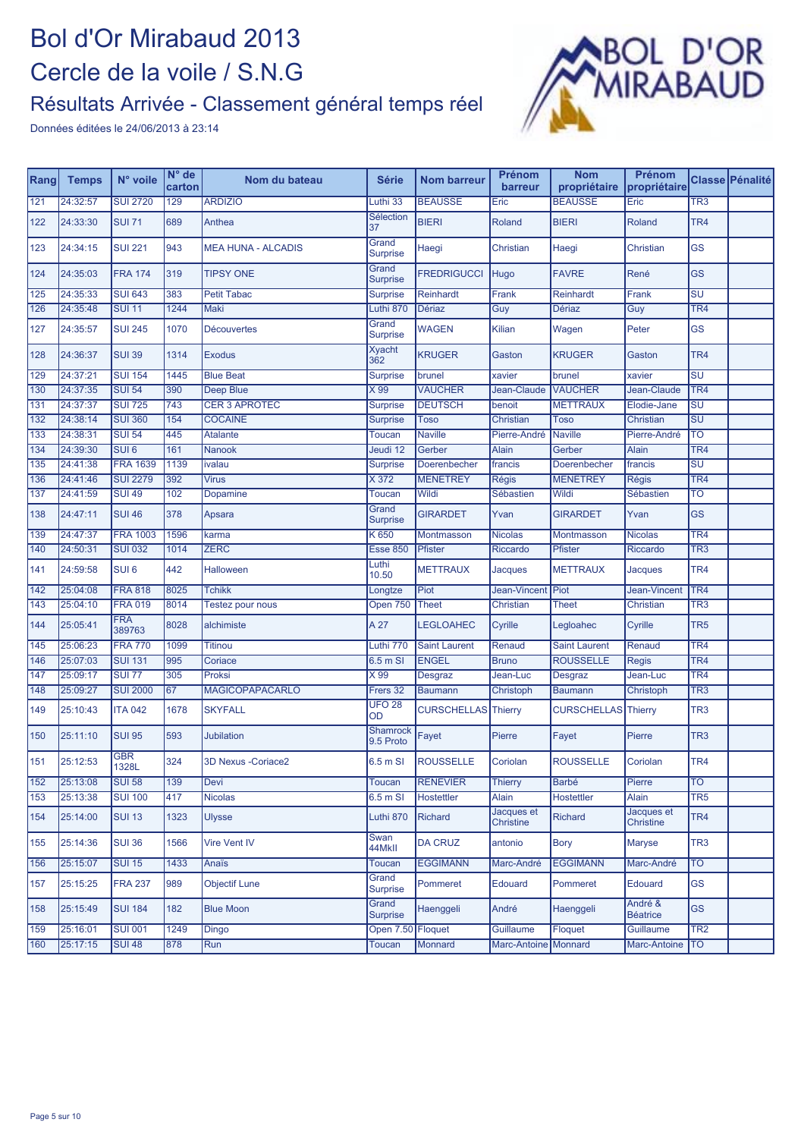#### Résultats Arrivée - Classement général temps réel



| Rang             | <b>Temps</b> | N° voile             | N° de<br>carton | Nom du bateau             | <b>Série</b>             | <b>Nom barreur</b>         | Prénom<br>barreur              | <b>Nom</b><br>propriétaire | Prénom<br>propriétaire     |                          | Classe Pénalité |
|------------------|--------------|----------------------|-----------------|---------------------------|--------------------------|----------------------------|--------------------------------|----------------------------|----------------------------|--------------------------|-----------------|
| 121              | 24:32:57     | <b>SUI 2720</b>      | 129             | <b>ARDIZIO</b>            | Luthi 33                 | <b>BEAUSSE</b>             | Eric                           | <b>BEAUSSE</b>             | Eric                       | $\overline{\text{TR3}}$  |                 |
| 122              | 24:33:30     | <b>SUI 71</b>        | 689             | Anthea                    | <b>Sélection</b><br>37   | <b>BIERI</b>               | Roland                         | <b>BIERI</b>               | Roland                     | TR <sub>4</sub>          |                 |
| 123              | 24:34:15     | <b>SUI 221</b>       | 943             | <b>MEA HUNA - ALCADIS</b> | Grand<br><b>Surprise</b> | Haegi                      | Christian                      | Haegi                      | Christian                  | <b>GS</b>                |                 |
| 124              | 24:35:03     | <b>FRA 174</b>       | 319             | <b>TIPSY ONE</b>          | Grand<br><b>Surprise</b> | <b>FREDRIGUCCI</b>         | Hugo                           | <b>FAVRE</b>               | René                       | <b>GS</b>                |                 |
| 125              | 24:35:33     | <b>SUI 643</b>       | 383             | <b>Petit Tabac</b>        | <b>Surprise</b>          | Reinhardt                  | Frank                          | Reinhardt                  | Frank                      | $\overline{\mathsf{SU}}$ |                 |
| 126              | 24:35:48     | <b>SUI 11</b>        | 1244            | Maki                      | Luthi 870                | <b>Dériaz</b>              | Guy                            | <b>Dériaz</b>              | Guy                        | TR <sub>4</sub>          |                 |
| 127              | 24:35:57     | <b>SUI 245</b>       | 1070            | <b>Découvertes</b>        | Grand<br><b>Surprise</b> | <b>WAGEN</b>               | Kilian                         | Wagen                      | Peter                      | GS                       |                 |
| 128              | 24:36:37     | <b>SUI 39</b>        | 1314            | <b>Exodus</b>             | <b>Xyacht</b><br>362     | <b>KRUGER</b>              | Gaston                         | <b>KRUGER</b>              | Gaston                     | TR <sub>4</sub>          |                 |
| 129              | 24:37:21     | <b>SUI 154</b>       | 1445            | <b>Blue Beat</b>          | <b>Surprise</b>          | brunel                     | xavier                         | brunel                     | xavier                     | $\overline{\mathsf{SU}}$ |                 |
| 130              | 24:37:35     | <b>SUI 54</b>        | 390             | Deep Blue                 | $\times 99$              | <b>VAUCHER</b>             | Jean-Claude                    | <b>VAUCHER</b>             | Jean-Claude                | TR <sub>4</sub>          |                 |
| 131              | 24:37:37     | <b>SUI 725</b>       | 743             | <b>CER 3 APROTEC</b>      | Surprise                 | <b>DEUTSCH</b>             | benoit                         | <b>METTRAUX</b>            | Elodie-Jane                | $\overline{\mathsf{SU}}$ |                 |
| 132              | 24:38:14     | <b>SUI 360</b>       | 154             | <b>COCAINE</b>            | <b>Surprise</b>          | <b>Toso</b>                | Christian                      | Toso                       | Christian                  | <b>SU</b>                |                 |
| 133              | 24:38:31     | <b>SUI 54</b>        | 445             | <b>Atalante</b>           | <b>Toucan</b>            | <b>Naville</b>             | Pierre-André                   | <b>Naville</b>             | Pierre-André               | $\overline{\mathrm{TO}}$ |                 |
| $\overline{134}$ | 24:39:30     | SUI <sub>6</sub>     | 161             | Nanook                    | Jeudi 12                 | Gerber                     | Alain                          | Gerber                     | <b>Alain</b>               | TR <sub>4</sub>          |                 |
| 135              | 24:41:38     | <b>FRA 1639</b>      | 1139            | ivalau                    | <b>Surprise</b>          | Doerenbecher               | francis                        | Doerenbecher               | francis                    | $\overline{\mathsf{SU}}$ |                 |
| 136              | 24:41:46     | <b>SUI 2279</b>      | 392             | <b>Virus</b>              | X 372                    | <b>MENETREY</b>            | <b>Régis</b>                   | <b>MENETREY</b>            | Régis                      | TR <sub>4</sub>          |                 |
| 137              | 24:41:59     | <b>SUI 49</b>        | 102             | Dopamine                  | Toucan                   | Wildi                      | Sébastien                      | Wildi                      | Sébastien                  | TO                       |                 |
| 138              | 24:47:11     | <b>SUI 46</b>        | 378             | Apsara                    | Grand<br><b>Surprise</b> | <b>GIRARDET</b>            | Yvan                           | <b>GIRARDET</b>            | Yvan                       | <b>GS</b>                |                 |
| 139              | 24:47:37     | <b>FRA 1003</b>      | 1596            | karma                     | K 650                    | Montmasson                 | <b>Nicolas</b>                 | Montmasson                 | <b>Nicolas</b>             | TR <sub>4</sub>          |                 |
| 140              | 24:50:31     | <b>SUI 032</b>       | 1014            | <b>ZERC</b>               | <b>Esse 850</b>          | Pfister                    | Riccardo                       | <b>Pfister</b>             | Riccardo                   | TR <sub>3</sub>          |                 |
| 141              | 24:59:58     | SUI <sub>6</sub>     | 442             | <b>Halloween</b>          | Luthi<br>10.50           | <b>METTRAUX</b>            | Jacques                        | <b>METTRAUX</b>            | <b>Jacques</b>             | TR <sub>4</sub>          |                 |
| 142              | 25:04:08     | <b>FRA 818</b>       | 8025            | <b>Tchikk</b>             | Longtze                  | Piot                       | Jean-Vincent                   | Piot                       | Jean-Vincent               | TR <sub>4</sub>          |                 |
| 143              | 25:04:10     | <b>FRA 019</b>       | 8014            | <b>Testez pour nous</b>   | Open $750$               | <b>Theet</b>               | Christian                      | <b>Theet</b>               | Christian                  | TR <sub>3</sub>          |                 |
| 144              | 25:05:41     | <b>FRA</b><br>389763 | 8028            | alchimiste                | A 27                     | <b>LEGLOAHEC</b>           | Cyrille                        | Legloahec                  | Cyrille                    | TR <sub>5</sub>          |                 |
| 145              | 25:06:23     | <b>FRA 770</b>       | 1099            | <b>Titinou</b>            | Luthi 770                | <b>Saint Laurent</b>       | Renaud                         | <b>Saint Laurent</b>       | Renaud                     | TR <sub>4</sub>          |                 |
| 146              | 25:07:03     | <b>SUI 131</b>       | 995             | Coriace                   | 6.5 m SI                 | <b>ENGEL</b>               | <b>Bruno</b>                   | <b>ROUSSELLE</b>           | <b>Regis</b>               | TR <sub>4</sub>          |                 |
| 147              | 25:09:17     | <b>SUI 77</b>        | 305             | Proksi                    | $\times 99$              | <b>Desgraz</b>             | Jean-Luc                       | Desgraz                    | Jean-Luc                   | TR4                      |                 |
| 148              | 25:09:27     | <b>SUI 2000</b>      | 67              | <b>MAGICOPAPACARLO</b>    | Frers 32                 | <b>Baumann</b>             | Christoph                      | <b>Baumann</b>             | Christoph                  | TR <sub>3</sub>          |                 |
| 149              | 25:10:43     | <b>ITA 042</b>       | 1678            | <b>SKYFALL</b>            | <b>UFO 28</b><br>OD      | <b>CURSCHELLAS</b> Thierry |                                | <b>CURSCHELLAS</b> Thierry |                            | TR <sub>3</sub>          |                 |
| 150              | 25:11:10     | <b>SUI 95</b>        | 593             | <b>Jubilation</b>         | Shamrock<br>9.5 Proto    | Fayet                      | Pierre                         | Fayet                      | Pierre                     | TR <sub>3</sub>          |                 |
| 151              | 25:12:53     | <b>GBR</b><br>1328L  | 324             | 3D Nexus - Coriace 2      | 6.5 m SI                 | <b>ROUSSELLE</b>           | Coriolan                       | <b>ROUSSELLE</b>           | Coriolan                   | TR4                      |                 |
| 152              | 25:13:08     | <b>SUI 58</b>        | 139             | Devi                      | <b>Toucan</b>            | <b>RENEVIER</b>            | Thierry                        | <b>Barbé</b>               | Pierre                     | <b>TO</b>                |                 |
| 153              | 25:13:38     | <b>SUI 100</b>       | 417             | <b>Nicolas</b>            | $6.5m$ SI                | Hostettler                 | <b>Alain</b>                   | <b>Hostettler</b>          | Alain                      | $\overline{\text{TR5}}$  |                 |
| 154              | 25:14:00     | <b>SUI 13</b>        | 1323            | <b>Ulysse</b>             | Luthi 870                | Richard                    | Jacques et<br><b>Christine</b> | Richard                    | Jacques et<br>Christine    | TR <sub>4</sub>          |                 |
| 155              | 25:14:36     | <b>SUI 36</b>        | 1566            | <b>Vire Vent IV</b>       | Swan<br>44MkII           | <b>DA CRUZ</b>             | antonio                        | <b>Bory</b>                | <b>Maryse</b>              | TR3                      |                 |
| 156              | 25:15:07     | <b>SUI 15</b>        | 1433            | Anaïs                     | Toucan                   | <b>EGGIMANN</b>            | Marc-André                     | <b>EGGIMANN</b>            | Marc-André                 | <b>TO</b>                |                 |
| 157              | 25:15:25     | <b>FRA 237</b>       | 989             | <b>Objectif Lune</b>      | Grand<br><b>Surprise</b> | Pommeret                   | Edouard                        | Pommeret                   | Edouard                    | <b>GS</b>                |                 |
| 158              | 25:15:49     | <b>SUI 184</b>       | 182             | <b>Blue Moon</b>          | Grand<br><b>Surprise</b> | Haenggeli                  | André                          | Haenggeli                  | André &<br><b>Béatrice</b> | <b>GS</b>                |                 |
| 159              | 25:16:01     | <b>SUI 001</b>       | 1249            | Dingo                     | Open 7.50                | Floquet                    | <b>Guillaume</b>               | Floquet                    | <b>Guillaume</b>           | TR <sub>2</sub>          |                 |
| 160              | 25:17:15     | <b>SUI 48</b>        | 878             | Run                       | Toucan                   | Monnard                    | Marc-Antoine                   | Monnard                    | Marc-Antoine               | <b>TO</b>                |                 |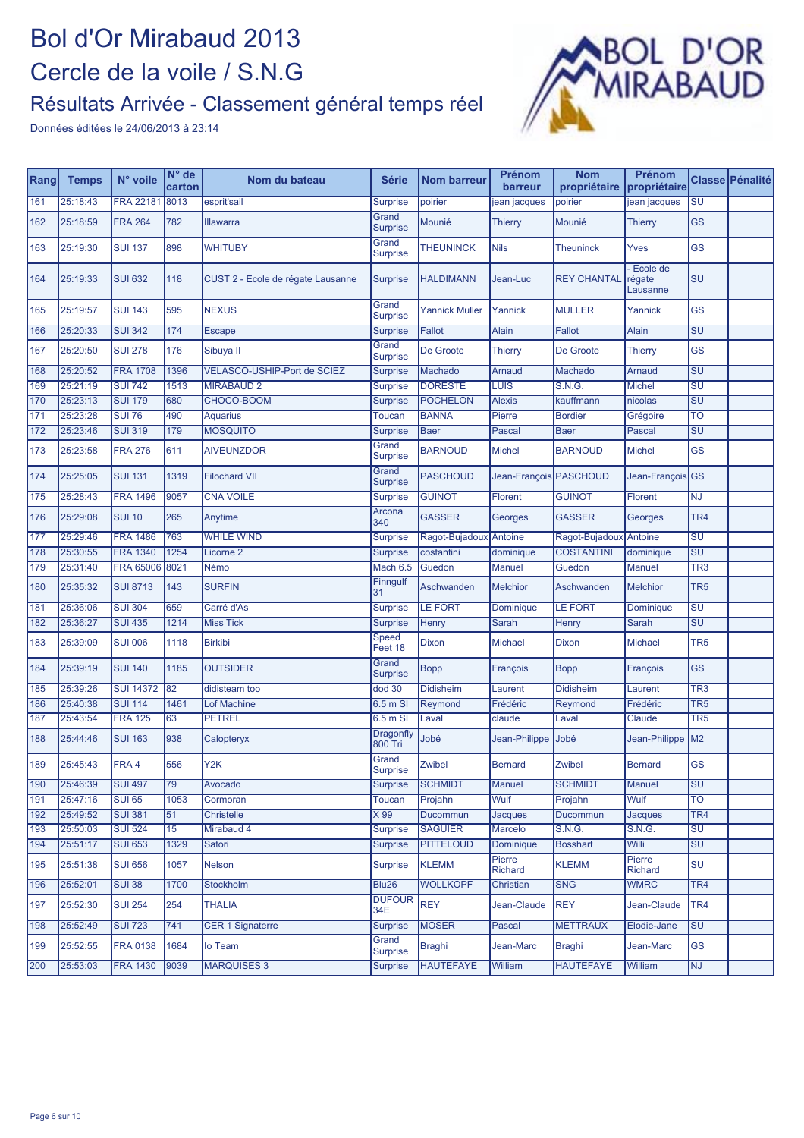#### Résultats Arrivée - Classement général temps réel



| Rang | <b>Temps</b> | N° voile         | $N^{\circ}$ de<br>carton | Nom du bateau                      | <b>Série</b>                | <b>Nom barreur</b>    | Prénom<br>barreur      | <b>Nom</b><br>propriétaire | <b>Prénom</b><br>propriétaire  |                                   | Classe Pénalité |
|------|--------------|------------------|--------------------------|------------------------------------|-----------------------------|-----------------------|------------------------|----------------------------|--------------------------------|-----------------------------------|-----------------|
| 161  | 25:18:43     | <b>FRA 22181</b> | 8013                     | esprit'sail                        | <b>Surprise</b>             | poirier               | jean jacques           | poirier                    | jean jacques                   | SU                                |                 |
| 162  | 25:18:59     | <b>FRA 264</b>   | 782                      | <b>Illawarra</b>                   | Grand<br><b>Surprise</b>    | Mounié                | <b>Thierry</b>         | Mounié                     | <b>Thierry</b>                 | <b>GS</b>                         |                 |
| 163  | 25:19:30     | <b>SUI 137</b>   | 898                      | <b>WHITUBY</b>                     | Grand<br>Surprise           | <b>THEUNINCK</b>      | <b>Nils</b>            | <b>Theuninck</b>           | Yves                           | GS                                |                 |
| 164  | 25:19:33     | <b>SUI 632</b>   | 118                      | CUST 2 - Ecole de régate Lausanne  | <b>Surprise</b>             | <b>HALDIMANN</b>      | Jean-Luc               | <b>REY CHANTAL</b>         | Ecole de<br>régate<br>Lausanne | SU                                |                 |
| 165  | 25:19:57     | <b>SUI 143</b>   | 595                      | <b>NEXUS</b>                       | Grand<br><b>Surprise</b>    | <b>Yannick Muller</b> | Yannick                | <b>MULLER</b>              | Yannick                        | <b>GS</b>                         |                 |
| 166  | 25:20:33     | <b>SUI 342</b>   | 174                      | <b>Escape</b>                      | <b>Surprise</b>             | <b>Fallot</b>         | <b>Alain</b>           | <b>Fallot</b>              | <b>Alain</b>                   | $\overline{\mathsf{SU}}$          |                 |
| 167  | 25:20:50     | <b>SUI 278</b>   | 176                      | Sibuya II                          | Grand<br><b>Surprise</b>    | De Groote             | Thierry                | De Groote                  | <b>Thierry</b>                 | <b>GS</b>                         |                 |
| 168  | 25:20:52     | <b>FRA 1708</b>  | 1396                     | <b>VELASCO-USHIP-Port de SCIEZ</b> | <b>Surprise</b>             | Machado               | Arnaud                 | Machado                    | Arnaud                         | $\overline{\mathsf{SU}}$          |                 |
| 169  | 25:21:19     | <b>SUI 742</b>   | 1513                     | <b>MIRABAUD 2</b>                  | <b>Surprise</b>             | <b>DORESTE</b>        | <b>LUIS</b>            | S.N.G.                     | <b>Michel</b>                  | $\overline{\text{SU}}$            |                 |
| 170  | 25:23:13     | <b>SUI 179</b>   | 680                      | CHOCO-BOOM                         | <b>Surprise</b>             | <b>POCHELON</b>       | <b>Alexis</b>          | kauffmann                  | nicolas                        | $\overline{\mathsf{SU}}$          |                 |
| 171  | 25:23:28     | <b>SUI 76</b>    | 490                      | <b>Aquarius</b>                    | Toucan                      | <b>BANNA</b>          | Pierre                 | <b>Bordier</b>             | Grégoire                       | TO                                |                 |
| 172  | 25:23:46     | <b>SUI 319</b>   | 179                      | <b>MOSQUITO</b>                    | <b>Surprise</b>             | <b>Baer</b>           | Pascal                 | <b>Baer</b>                | Pascal                         | <b>SU</b>                         |                 |
| 173  | 25:23:58     | <b>FRA 276</b>   | 611                      | <b>AIVEUNZDOR</b>                  | Grand<br>Surprise           | <b>BARNOUD</b>        | <b>Michel</b>          | <b>BARNOUD</b>             | <b>Michel</b>                  | <b>GS</b>                         |                 |
| 174  | 25:25:05     | <b>SUI 131</b>   | 1319                     | <b>Filochard VII</b>               | Grand<br><b>Surprise</b>    | <b>PASCHOUD</b>       | Jean-François PASCHOUD |                            | Jean-François GS               |                                   |                 |
| 175  | 25:28:43     | <b>FRA 1496</b>  | 9057                     | <b>CNA VOILE</b>                   | <b>Surprise</b>             | <b>GUINOT</b>         | <b>Florent</b>         | <b>GUINOT</b>              | Florent                        | ΝJ                                |                 |
| 176  | 25:29:08     | <b>SUI 10</b>    | 265                      | Anytime                            | Arcona<br>340               | <b>GASSER</b>         | Georges                | <b>GASSER</b>              | Georges                        | TR <sub>4</sub>                   |                 |
| 177  | 25:29:46     | <b>FRA 1486</b>  | 763                      | <b>WHILE WIND</b>                  | <b>Surprise</b>             | Ragot-Bujadoux        | Antoine                | Ragot-Bujadou              | Antoine                        | SU                                |                 |
| 178  | 25:30:55     | <b>FRA 1340</b>  | 1254                     | Licorne <sub>2</sub>               | <b>Surprise</b>             | costantini            | dominique              | <b>COSTANTINI</b>          | dominique                      | SU                                |                 |
| 179  | 25:31:40     | <b>FRA 65006</b> | 8021                     | Némo                               | Mach 6.5                    | Guedon                | <b>Manuel</b>          | Guedon                     | <b>Manuel</b>                  | TR <sub>3</sub>                   |                 |
| 180  | 25:35:32     | <b>SUI 8713</b>  | 143                      | <b>SURFIN</b>                      | Finngulf<br>31              | Aschwanden            | <b>Melchior</b>        | Aschwanden                 | <b>Melchior</b>                | TR <sub>5</sub>                   |                 |
| 181  | 25:36:06     | <b>SUI 304</b>   | 659                      | Carré d'As                         | <b>Surprise</b>             | <b>LE FORT</b>        | Dominique              | <b>LE FORT</b>             | Dominique                      | SU                                |                 |
| 182  | 25:36:27     | <b>SUI 435</b>   | 1214                     | <b>Miss Tick</b>                   | <b>Surprise</b>             | Henry                 | <b>Sarah</b>           | Henry                      | Sarah                          | $\overline{\mathsf{S}\mathsf{U}}$ |                 |
| 183  | 25:39:09     | <b>SUI 006</b>   | 1118                     | <b>Birkibi</b>                     | Speed<br>Feet 18            | Dixon                 | <b>Michael</b>         | Dixon                      | <b>Michael</b>                 | TR <sub>5</sub>                   |                 |
| 184  | 25:39:19     | <b>SUI 140</b>   | 1185                     | <b>OUTSIDER</b>                    | Grand<br><b>Surprise</b>    | <b>Bopp</b>           | François               | <b>Bopp</b>                | François                       | <b>GS</b>                         |                 |
| 185  | 25:39:26     | <b>SUI 14372</b> | 82                       | didisteam too                      | dod 30                      | Didisheim             | Laurent                | <b>Didisheim</b>           | Laurent                        | TR <sub>3</sub>                   |                 |
| 186  | 25:40:38     | <b>SUI 114</b>   | 1461                     | <b>Lof Machine</b>                 | 6.5 m SI                    | Reymond               | Frédéric               | Reymond                    | Frédéric                       | TR <sub>5</sub>                   |                 |
| 187  | 25:43:54     | <b>FRA 125</b>   | 63                       | <b>PETREL</b>                      | 6.5 m SI                    | Laval                 | claude                 | Laval                      | Claude                         | TR <sub>5</sub>                   |                 |
| 188  | 25:44:46     | <b>SUI 163</b>   | 938                      | Calopteryx                         | <b>Dragonfly</b><br>800 Tri | Jobé                  | Jean-Philippe Jobé     |                            | Jean-Philippe M2               |                                   |                 |
| 189  | 25:45:43     | FRA 4            | 556                      | Y <sub>2</sub> K                   | Grand<br>Surprise           | Zwibel                | <b>Bernard</b>         | <b>Zwibel</b>              | <b>Bernard</b>                 | <b>GS</b>                         |                 |
| 190  | 25:46:39     | <b>SUI 497</b>   | 79                       | Avocado                            | <b>Surprise</b>             | <b>SCHMIDT</b>        | <b>Manuel</b>          | <b>SCHMIDT</b>             | <b>Manuel</b>                  | <b>SU</b>                         |                 |
| 191  | 25:47:16     | <b>SUI 65</b>    | 1053                     | Cormoran                           | <b>Toucan</b>               | Projahn               | Wulf                   | Projahn                    | Wulf                           | $\overline{TO}$                   |                 |
| 192  | 25:49:52     | <b>SUI 381</b>   | 51                       | <b>Christelle</b>                  | X 99                        | Ducommun              | <b>Jacques</b>         | Ducommun                   | Jacques                        | $\overline{\text{TR4}}$           |                 |
| 193  | 25:50:03     | <b>SUI 524</b>   | 15                       | Mirabaud 4                         | <b>Surprise</b>             | <b>SAGUIER</b>        | Marcelo                | S.N.G.                     | <b>S.N.G.</b>                  | $\overline{\mathsf{SU}}$          |                 |
| 194  | 25:51:17     | <b>SUI 653</b>   | 1329                     | Satori                             | <b>Surprise</b>             | <b>PITTELOUD</b>      | Dominique              | <b>Bosshart</b>            | Willi                          | SU                                |                 |
| 195  | 25:51:38     | <b>SUI 656</b>   | 1057                     | Nelson                             | <b>Surprise</b>             | <b>KLEMM</b>          | Pierre<br>Richard      | <b>KLEMM</b>               | Pierre<br><b>Richard</b>       | SU                                |                 |
| 196  | 25:52:01     | <b>SUI 38</b>    | 1700                     | Stockholm                          | Blu26                       | <b>WOLLKOPF</b>       | Christian              | <b>SNG</b>                 | <b>WMRC</b>                    | TR <sub>4</sub>                   |                 |
| 197  | 25:52:30     | <b>SUI 254</b>   | 254                      | <b>THALIA</b>                      | <b>DUFOUR</b><br>34E        | <b>REY</b>            | Jean-Claude            | <b>REY</b>                 | Jean-Claude                    | TR4                               |                 |
| 198  | 25:52:49     | <b>SUI 723</b>   | 741                      | <b>CER 1 Signaterre</b>            | <b>Surprise</b>             | <b>MOSER</b>          | Pascal                 | <b>METTRAUX</b>            | Elodie-Jane                    | <b>SU</b>                         |                 |
| 199  | 25:52:55     | <b>FRA 0138</b>  | 1684                     | lo Team                            | Grand<br><b>Surprise</b>    | Braghi                | Jean-Marc              | <b>Braghi</b>              | Jean-Marc                      | <b>GS</b>                         |                 |
| 200  | 25:53:03     | <b>FRA 1430</b>  | 9039                     | <b>MARQUISES 3</b>                 | <b>Surprise</b>             | <b>HAUTEFAYE</b>      | William                | <b>HAUTEFAYE</b>           | William                        | <b>NJ</b>                         |                 |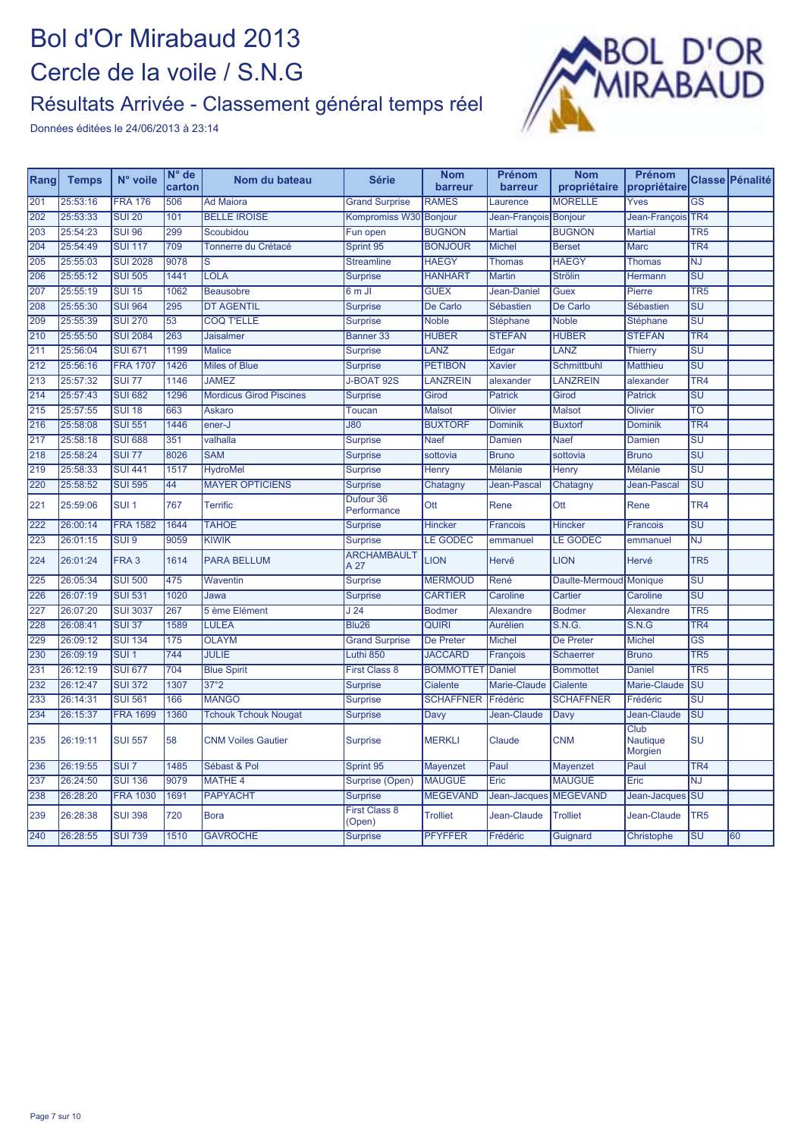

| Rang             | <b>Temps</b> | N° voile         | $N°$ de<br>carton | Nom du bateau                  | <b>Série</b>               | <b>Nom</b><br>barreur | Prénom<br>barreur     | <b>Nom</b><br>propriétaire | Prénom<br>propriétaire      |                                   | Classe Pénalité |
|------------------|--------------|------------------|-------------------|--------------------------------|----------------------------|-----------------------|-----------------------|----------------------------|-----------------------------|-----------------------------------|-----------------|
| 201              | 25:53:16     | <b>FRA 176</b>   | 506               | <b>Ad Maiora</b>               | <b>Grand Surprise</b>      | <b>RAMES</b>          | Laurence              | <b>MORELLE</b>             | Yves                        | $\overline{\text{GS}}$            |                 |
| 202              | 25:53:33     | <b>SUI 20</b>    | 101               | <b>BELLE IROISE</b>            | Kompromiss W30 Bonjour     |                       | Jean-François Bonjour |                            | Jean-François TR4           |                                   |                 |
| 203              | 25:54:23     | <b>SUI 96</b>    | 299               | Scoubidou                      | Fun open                   | <b>BUGNON</b>         | <b>Martial</b>        | <b>BUGNON</b>              | <b>Martial</b>              | TR <sub>5</sub>                   |                 |
| 204              | 25:54:49     | <b>SUI 117</b>   | 709               | Tonnerre du Crétacé            | Sprint 95                  | <b>BONJOUR</b>        | <b>Michel</b>         | <b>Berset</b>              | <b>Marc</b>                 | TR <sub>4</sub>                   |                 |
| 205              | 25:55:03     | <b>SUI 2028</b>  | 9078              | S                              | <b>Streamline</b>          | <b>HAEGY</b>          | <b>Thomas</b>         | <b>HAEGY</b>               | <b>Thomas</b>               | <b>NJ</b>                         |                 |
| 206              | 25:55:12     | <b>SUI 505</b>   | 1441              | <b>LOLA</b>                    | <b>Surprise</b>            | <b>HANHART</b>        | <b>Martin</b>         | <b>Strölin</b>             | Hermann                     | $\overline{\mathsf{SU}}$          |                 |
| 207              | 25:55:19     | <b>SUI 15</b>    | 1062              | <b>Beausobre</b>               | 6 m JI                     | <b>GUEX</b>           | Jean-Daniel           | Guex                       | Pierre                      | TR <sub>5</sub>                   |                 |
| 208              | 25:55:30     | <b>SUI 964</b>   | 295               | <b>DT AGENTIL</b>              | <b>Surprise</b>            | De Carlo              | Sébastien             | De Carlo                   | <b>Sébastien</b>            | $\overline{\mathsf{SU}}$          |                 |
| 209              | 25:55:39     | <b>SUI 270</b>   | 53                | <b>COQ T'ELLE</b>              | <b>Surprise</b>            | <b>Noble</b>          | <b>Stéphane</b>       | <b>Noble</b>               | Stéphane                    | $\overline{\mathsf{SU}}$          |                 |
| 210              | 25:55:50     | <b>SUI 2084</b>  | 263               | <b>Jaisalmer</b>               | <b>Banner 33</b>           | <b>HUBER</b>          | <b>STEFAN</b>         | <b>HUBER</b>               | <b>STEFAN</b>               | TR <sub>4</sub>                   |                 |
| 211              | 25:56:04     | <b>SUI 671</b>   | 1199              | <b>Malice</b>                  | <b>Surprise</b>            | LANZ                  | Edgar                 | LANZ                       | <b>Thierry</b>              | $\overline{\mathsf{SU}}$          |                 |
| 212              | 25:56:16     | <b>FRA 1707</b>  | 1426              | <b>Miles of Blue</b>           | <b>Surprise</b>            | <b>PETIBON</b>        | <b>Xavier</b>         | Schmittbuhl                | Matthieu                    | $\overline{\mathsf{SU}}$          |                 |
| $\overline{213}$ | 25:57:32     | <b>SUI 77</b>    | 1146              | <b>JAMEZ</b>                   | J-BOAT 92S                 | <b>LANZREIN</b>       | alexander             | LANZREIN                   | alexander                   | TR <sub>4</sub>                   |                 |
| 214              | 25:57:43     | <b>SUI 682</b>   | 1296              | <b>Mordicus Girod Piscines</b> | <b>Surprise</b>            | Girod                 | <b>Patrick</b>        | Girod                      | <b>Patrick</b>              | $\overline{\mathsf{S}\mathsf{U}}$ |                 |
| 215              | 25:57:55     | <b>SUI 18</b>    | 663               | <b>Askaro</b>                  | <b>Toucan</b>              | <b>Malsot</b>         | <b>Olivier</b>        | <b>Malsot</b>              | Olivier                     | <b>TO</b>                         |                 |
| 216              | 25:58:08     | <b>SUI 551</b>   | 1446              | ener-J                         | <b>J80</b>                 | <b>BUXTORF</b>        | <b>Dominik</b>        | <b>Buxtorf</b>             | <b>Dominik</b>              | TR <sub>4</sub>                   |                 |
| 217              | 25:58:18     | <b>SUI 688</b>   | 351               | valhalla                       | <b>Surprise</b>            | <b>Naef</b>           | Damien                | <b>Naef</b>                | Damien                      | $\overline{\text{SU}}$            |                 |
| 218              | 25:58:24     | <b>SUI 77</b>    | 8026              | <b>SAM</b>                     | <b>Surprise</b>            | sottovia              | <b>Bruno</b>          | sottovia                   | <b>Bruno</b>                | $\overline{\mathsf{SU}}$          |                 |
| 219              | 25:58:33     | <b>SUI 441</b>   | 1517              | <b>HydroMel</b>                | <b>Surprise</b>            | Henry                 | <b>Mélanie</b>        | Henry                      | Mélanie                     | $\overline{\mathsf{S}\mathsf{U}}$ |                 |
| 220              | 25:58:52     | <b>SUI 595</b>   | $\overline{44}$   | <b>MAYER OPTICIENS</b>         | <b>Surprise</b>            | Chatagny              | Jean-Pascal           | Chatagny                   | Jean-Pascal                 | $\overline{\mathsf{S}\mathsf{U}}$ |                 |
| 221              | 25:59:06     | SUI <sub>1</sub> | 767               | <b>Terrific</b>                | Dufour 36<br>Performance   | Ott                   | Rene                  | Ott                        | Rene                        | TR <sub>4</sub>                   |                 |
| 222              | 26:00:14     | <b>FRA 1582</b>  | 1644              | <b>TAHOE</b>                   | <b>Surprise</b>            | <b>Hincker</b>        | <b>Francois</b>       | <b>Hincker</b>             | Francois                    | $\overline{\mathsf{SU}}$          |                 |
| 223              | 26:01:15     | SUI <sub>9</sub> | 9059              | <b>KIWIK</b>                   | <b>Surprise</b>            | <b>LE GODEC</b>       | emmanuel              | <b>LE GODEC</b>            | emmanuel                    | <b>NJ</b>                         |                 |
| 224              | 26:01:24     | FRA <sub>3</sub> | 1614              | <b>PARA BELLUM</b>             | <b>ARCHAMBAULT</b><br>A 27 | <b>LION</b>           | Hervé                 | <b>LION</b>                | Hervé                       | TR <sub>5</sub>                   |                 |
| 225              | 26:05:34     | <b>SUI 500</b>   | 475               | Waventin                       | <b>Surprise</b>            | <b>MERMOUD</b>        | René                  | Daulte-Mermoud             | Monique                     | $\overline{\mathsf{SU}}$          |                 |
| 226              | 26:07:19     | <b>SUI 531</b>   | 1020              | Jawa                           | <b>Surprise</b>            | <b>CARTIER</b>        | Caroline              | Cartier                    | Caroline                    | $\overline{\mathsf{SU}}$          |                 |
| 227              | 26:07:20     | <b>SUI 3037</b>  | 267               | 5 ème Elément                  | $\overline{J24}$           | <b>Bodmer</b>         | Alexandre             | <b>Bodmer</b>              | Alexandre                   | TR <sub>5</sub>                   |                 |
| 228              | 26:08:41     | <b>SUI 37</b>    | 1589              | <b>LULEA</b>                   | <b>Blu26</b>               | <b>QUIRI</b>          | <b>Aurélien</b>       | S.N.G.                     | S.N.G                       | TR <sub>4</sub>                   |                 |
| 229              | 26:09:12     | <b>SUI 134</b>   | 175               | <b>OLAYM</b>                   | <b>Grand Surprise</b>      | De Preter             | <b>Michel</b>         | De Preter                  | <b>Michel</b>               | $\overline{\text{GS}}$            |                 |
| 230              | 26:09:19     | $SUI$ 1          | 744               | <b>JULIE</b>                   | Luthi 850                  | <b>JACCARD</b>        | <b>François</b>       | <b>Schaerrer</b>           | <b>Bruno</b>                | TR <sub>5</sub>                   |                 |
| 231              | 26:12:19     | <b>SUI 677</b>   | 704               | <b>Blue Spirit</b>             | <b>First Class 8</b>       | <b>BOMMOTTET</b>      | <b>Daniel</b>         | <b>Bommottet</b>           | Daniel                      | TR <sub>5</sub>                   |                 |
| 232              | 26:12:47     | <b>SUI 372</b>   | 1307              | 37°2                           | <b>Surprise</b>            | Cialente              | Marie-Claude          | Cialente                   | Marie-Claude                | $\overline{\mathsf{S}\mathsf{U}}$ |                 |
| 233              | 26:14:31     | <b>SUI 561</b>   | 166               | <b>MANGO</b>                   | <b>Surprise</b>            | <b>SCHAFFNER</b>      | Frédéric              | <b>SCHAFFNER</b>           | Frédéric                    | $\overline{\mathsf{S}\mathsf{U}}$ |                 |
| 234              | 26:15:37     | <b>FRA 1699</b>  | 1360              | <b>Tchouk Tchouk Nougat</b>    | <b>Surprise</b>            | Davy                  | Jean-Claude           | Davy                       | Jean-Claude                 | $\overline{\mathsf{SU}}$          |                 |
| 235              | 26:19:11     | <b>SUI 557</b>   | 58                | <b>CNM Voiles Gautier</b>      | <b>Surprise</b>            | <b>MERKLI</b>         | Claude                | <b>CNM</b>                 | Club<br>Nautique<br>Morgien | <b>SU</b>                         |                 |
| 236              | 26:19:55     | SUI <sub>7</sub> | 1485              | Sébast & Pol                   | Sprint 95                  | Mayenzet              | Paul                  | Mayenzet                   | Paul                        | TR <sub>4</sub>                   |                 |
| 237              | 26:24:50     | <b>SUI 136</b>   | 9079              | <b>MATHE 4</b>                 | Surprise (Open)            | <b>MAUGUÉ</b>         | Eric                  | <b>MAUGUÉ</b>              | Eric                        | $\overline{\text{NJ}}$            |                 |
| 238              | 26:28:20     | <b>FRA 1030</b>  | 1691              | <b>PAPYACHT</b>                | <b>Surprise</b>            | <b>MEGEVAND</b>       | Jean-Jacques          | <b>MEGEVAND</b>            | Jean-Jacques                | SU                                |                 |
| 239              | 26:28:38     | <b>SUI 398</b>   | 720               | <b>Bora</b>                    | First Class 8<br>(Open)    | <b>Trolliet</b>       | Jean-Claude           | <b>Trolliet</b>            | Jean-Claude                 | TR <sub>5</sub>                   |                 |
| 240              | 26:28:55     | <b>SUI 739</b>   | 1510              | <b>GAVROCHE</b>                | <b>Surprise</b>            | <b>PFYFFER</b>        | Frédéric              | Guignard                   | Christophe                  | $\overline{\mathsf{S}\mathsf{U}}$ | 60              |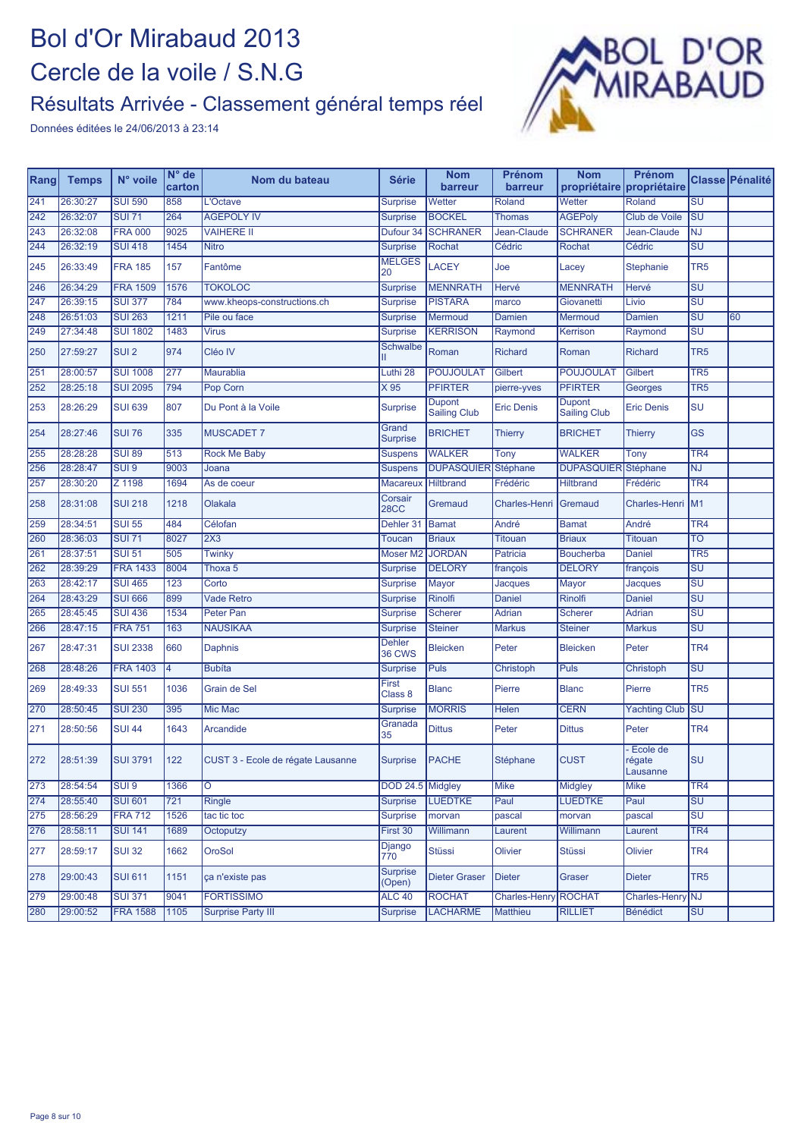

| Rang | <b>Temps</b> | N° voile         | $N^{\circ}$ de<br>carton | Nom du bateau                     | <b>Série</b>              | <b>Nom</b><br>barreur                           | Prénom<br>barreur           | <b>Nom</b><br>propriétaire           | Prénom<br>propriétaire         |                                   | Classe Pénalité |
|------|--------------|------------------|--------------------------|-----------------------------------|---------------------------|-------------------------------------------------|-----------------------------|--------------------------------------|--------------------------------|-----------------------------------|-----------------|
| 241  | 26:30:27     | <b>SUI 590</b>   | 858                      | L'Octave                          | <b>Surprise</b>           | Wetter                                          | Roland                      | Wetter                               | Roland                         | $\overline{\mathsf{SU}}$          |                 |
| 242  | 26:32:07     | <b>SUI 71</b>    | 264                      | <b>AGEPOLY IV</b>                 | <b>Surprise</b>           | <b>BOCKEL</b>                                   | <b>Thomas</b>               | <b>AGEPoly</b>                       | <b>Club de Voile</b>           | $\overline{\mathsf{SU}}$          |                 |
| 243  | 26:32:08     | <b>FRA 000</b>   | 9025                     | <b>VAIHERE II</b>                 | Dufour <sub>34</sub>      | <b>SCHRANER</b>                                 | Jean-Claude                 | <b>SCHRANER</b>                      | Jean-Claude                    | <b>NJ</b>                         |                 |
| 244  | 26:32:19     | <b>SUI 418</b>   | 1454                     | <b>Nitro</b>                      | <b>Surprise</b>           | Rochat                                          | Cédric                      | <b>Rochat</b>                        | Cédric                         | SU                                |                 |
| 245  | 26:33:49     | <b>FRA 185</b>   | 157                      | Fantôme                           | <b>MELGES</b><br>20       | LACEY                                           | Joe                         | Lacey                                | <b>Stephanie</b>               | TR <sub>5</sub>                   |                 |
| 246  | 26:34:29     | <b>FRA 1509</b>  | 1576                     | <b>TOKOLOC</b>                    | <b>Surprise</b>           | <b>MENNRATH</b>                                 | Hervé                       | <b>MENNRATH</b>                      | Hervé                          | SU                                |                 |
| 247  | 26:39:15     | <b>SUI 377</b>   | 784                      | www.kheops-constructions.ch       | <b>Surprise</b>           | <b>PISTARA</b>                                  | marco                       | Giovanetti                           | Livio                          | $\overline{\text{SU}}$            |                 |
| 248  | 26:51:03     | <b>SUI 263</b>   | 1211                     | Pile ou face                      | <b>Surprise</b>           | Mermoud                                         | Damien                      | Mermoud                              | <b>Damien</b>                  | $\overline{\mathsf{S}\mathsf{U}}$ | 60              |
| 249  | 27:34:48     | <b>SUI 1802</b>  | 1483                     | <b>Virus</b>                      | <b>Surprise</b>           | <b>KERRISON</b>                                 | Raymond                     | Kerrison                             | Raymond                        | $\overline{\mathsf{S}\mathsf{U}}$ |                 |
| 250  | 27:59:27     | SUI <sub>2</sub> | 974                      | Cléo IV                           | <b>Schwalbe</b>           | Roman                                           | <b>Richard</b>              | Roman                                | <b>Richard</b>                 | TR <sub>5</sub>                   |                 |
| 251  | 28:00:57     | <b>SUI 1008</b>  | 277                      | Maurablia                         | Luthi 28                  | <b>POUJOULAT</b><br>Gilbert<br><b>POUJOULAT</b> |                             | Gilbert                              | TR <sub>5</sub>                |                                   |                 |
| 252  | 28:25:18     | <b>SUI 2095</b>  | 794                      | Pop Corn                          | X 95                      | <b>PFIRTER</b>                                  | pierre-yves                 | <b>PFIRTER</b>                       | Georges                        | TR <sub>5</sub>                   |                 |
| 253  | 28:26:29     | <b>SUI 639</b>   | 807                      | Du Pont à la Voile                | Surprise                  | <b>Dupont</b><br><b>Sailing Club</b>            | <b>Eric Denis</b>           | <b>Dupont</b><br><b>Sailing Club</b> | <b>Eric Denis</b>              | SU                                |                 |
| 254  | 28:27:46     | <b>SUI 76</b>    | 335                      | <b>MUSCADET 7</b>                 | Grand<br><b>Surprise</b>  | <b>BRICHET</b>                                  | <b>Thierry</b>              | <b>BRICHET</b>                       | <b>Thierry</b>                 | <b>GS</b>                         |                 |
| 255  | 28:28:28     | <b>SUI 89</b>    | 513                      | <b>Rock Me Baby</b>               | <b>Suspens</b>            | <b>WALKER</b>                                   | Tony                        | <b>WALKER</b>                        | Tony                           | TR4                               |                 |
| 256  | 28:28:47     | SUI <sub>9</sub> | 9003                     | Joana                             | <b>Suspens</b>            | <b>DUPASQUIER</b>                               | Stéphane                    | <b>DUPASQUIER</b>                    | <b>Stéphane</b>                | NJ                                |                 |
| 257  | 28:30:20     | Z 1198           | 1694                     | As de coeur                       | <b>Macareux</b>           | <b>Hiltbrand</b>                                | Frédéric                    | <b>Hiltbrand</b>                     | Frédéric                       | TR4                               |                 |
| 258  | 28:31:08     | <b>SUI 218</b>   | 1218                     | Olakala                           | Corsair<br><b>28CC</b>    | Gremaud                                         | <b>Charles-Henri</b>        | Gremaud                              | Charles-Henri                  | M <sub>1</sub>                    |                 |
| 259  | 28:34:51     | <b>SUI 55</b>    | 484                      | Célofan                           | Dehler 31                 | <b>Bamat</b>                                    | André                       | <b>Bamat</b>                         | André                          | TR4                               |                 |
| 260  | 28:36:03     | <b>SUI 71</b>    | 8027                     | 2X3                               | <b>Toucan</b>             | <b>Briaux</b>                                   | <b>Titouan</b>              | <b>Briaux</b>                        | <b>Titouan</b>                 | TO                                |                 |
| 261  | 28:37:51     | <b>SUI 51</b>    | 505                      | Twinky                            | Moser M2                  | <b>JORDAN</b>                                   | Patricia                    | <b>Boucherba</b>                     | Daniel                         | TR <sub>5</sub>                   |                 |
| 262  | 28:39:29     | <b>FRA 1433</b>  | 8004                     | Thoxa 5                           | <b>Surprise</b>           | <b>DELORY</b>                                   | françois                    | <b>DELORY</b>                        | françois                       | SU                                |                 |
| 263  | 28:42:17     | <b>SUI 465</b>   | 123                      | Corto                             | <b>Surprise</b>           | Mayor                                           | <b>Jacques</b>              | Mayor                                | <b>Jacques</b>                 | SU                                |                 |
| 264  | 28:43:29     | <b>SUI 666</b>   | 899                      | <b>Vade Retro</b>                 | Surprise                  | <b>Rinolfi</b>                                  | <b>Daniel</b>               | Rinolfi                              | Daniel                         | $\overline{\mathsf{SU}}$          |                 |
| 265  | 28:45:45     | <b>SUI 436</b>   | 1534                     | Peter Pan                         | <b>Surprise</b>           | <b>Scherer</b>                                  | <b>Adrian</b>               | <b>Scherer</b>                       | Adrian                         | <b>SU</b>                         |                 |
| 266  | 28:47:15     | <b>FRA 751</b>   | 163                      | <b>NAUSIKAA</b>                   | <b>Surprise</b>           | <b>Steiner</b>                                  | <b>Markus</b>               | <b>Steiner</b>                       | <b>Markus</b>                  | SU                                |                 |
| 267  | 28:47:31     | <b>SUI 2338</b>  | 660                      | <b>Daphnis</b>                    | <b>Dehler</b><br>36 CWS   | <b>Bleicken</b>                                 | Peter                       | <b>Bleicken</b>                      | Peter                          | TR4                               |                 |
| 268  | 28:48:26     | <b>FRA 1403</b>  | $\overline{4}$           | <b>Bubíta</b>                     | <b>Surprise</b>           | <b>Puls</b>                                     | Christoph                   | <b>Puls</b>                          | Christoph                      | SU                                |                 |
| 269  | 28:49:33     | <b>SUI 551</b>   | 1036                     | Grain de Sel                      | First<br>Class 8          | <b>Blanc</b>                                    | Pierre                      | <b>Blanc</b>                         | Pierre                         | TR <sub>5</sub>                   |                 |
| 270  | 28:50:45     | <b>SUI 230</b>   | 395                      | Mic Mac                           | <b>Surprise</b>           | <b>MORRIS</b>                                   | Helen                       | <b>CERN</b>                          | <b>Yachting Club</b>           | <b>SU</b>                         |                 |
| 271  | 28:50:56     | <b>SUI 44</b>    | 1643                     | Arcandide                         | Granada<br>35             | <b>Dittus</b>                                   | Peter                       | <b>Dittus</b>                        | Peter                          | TR4                               |                 |
| 272  | 28:51:39     | <b>SUI 3791</b>  | 122                      | CUST 3 - Ecole de régate Lausanne | <b>Surprise</b>           | <b>PACHE</b>                                    | Stéphane                    | <b>CUST</b>                          | Ecole de<br>régate<br>Lausanne | <b>SU</b>                         |                 |
| 273  | 28:54:54     | SUI 9            | 1366                     | ΙÔ                                | DOD 24.5 Midgley          |                                                 | <b>Mike</b>                 | Midgley                              | <b>Mike</b>                    | TR4                               |                 |
| 274  | 28:55:40     | <b>SUI 601</b>   | 721                      | <b>Ringle</b>                     | <b>Surprise</b>           | <b>LUEDTKE</b>                                  | Paul                        | <b>LUEDTKE</b>                       | Paul                           | SU                                |                 |
| 275  | 28:56:29     | <b>FRA 712</b>   | 1526                     | tac tic toc                       | <b>Surprise</b>           | morvan                                          | pascal                      | morvan                               | pascal                         | SU                                |                 |
| 276  | 28:58:11     | <b>SUI 141</b>   | 1689                     | Octoputzy                         | First 30                  | Willimann                                       | Laurent                     | Willimann                            | Laurent                        | TR <sub>4</sub>                   |                 |
| 277  | 28:59:17     | <b>SUI 32</b>    | 1662                     | OroSol                            | Django<br>770             | <b>Stüssi</b>                                   | Olivier                     | <b>Stüssi</b><br>Olivier             |                                | TR4                               |                 |
| 278  | 29:00:43     | <b>SUI 611</b>   | 1151                     | ça n'existe pas                   | <b>Surprise</b><br>(Open) | <b>Dieter Graser</b>                            | <b>Dieter</b>               | Graser<br><b>Dieter</b>              |                                | TR <sub>5</sub>                   |                 |
| 279  | 29:00:48     | <b>SUI 371</b>   | 9041                     | <b>FORTISSIMO</b>                 | <b>ALC 40</b>             | <b>ROCHAT</b>                                   | <b>Charles-Henry ROCHAT</b> |                                      | Charles-Henry NJ               |                                   |                 |
| 280  | 29:00:52     | <b>FRA 1588</b>  | 1105                     | <b>Surprise Party III</b>         | <b>Surprise</b>           | <b>LACHARME</b>                                 | Matthieu                    | <b>RILLIET</b>                       | <b>Bénédict</b>                | SU                                |                 |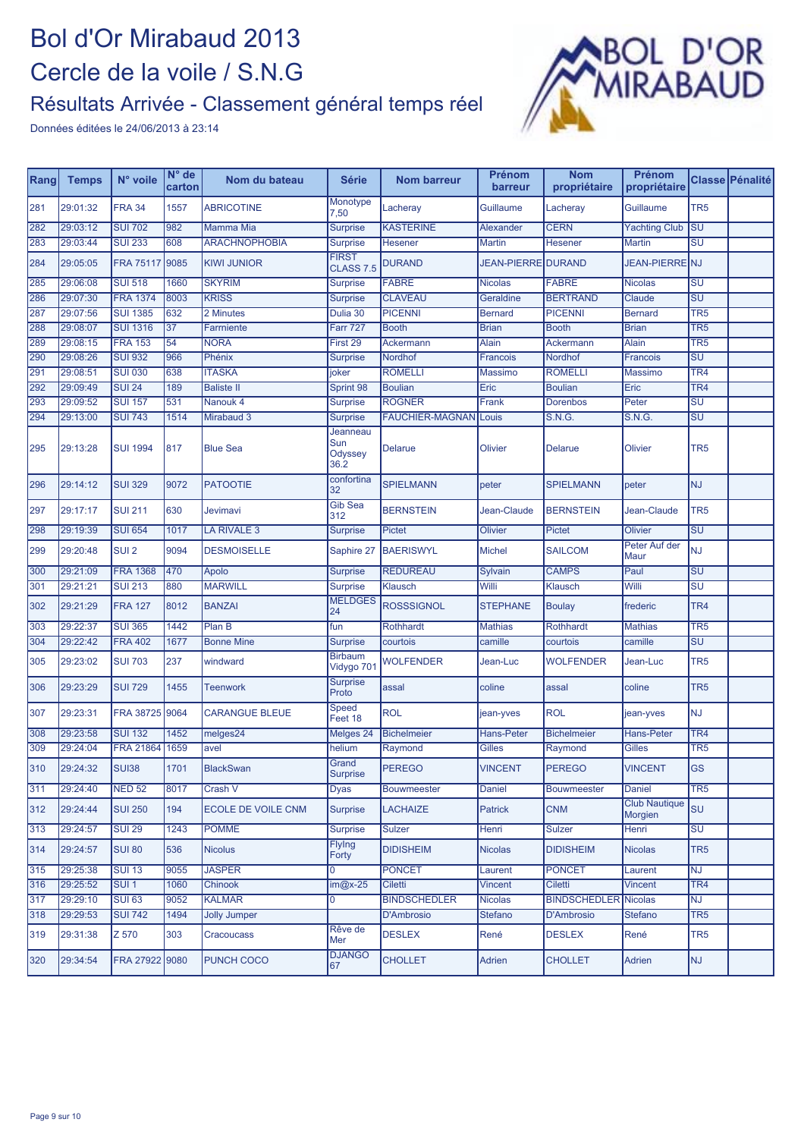

| Rang | <b>Temps</b> | N° voile         | $N^{\circ}$ de<br>carton | Nom du bateau             | <b>Série</b>                       | <b>Nom barreur</b>     | Prénom<br>barreur         | <b>Nom</b><br>propriétaire  | Prénom<br>propriétaire          |                                   | Classe Pénalité |
|------|--------------|------------------|--------------------------|---------------------------|------------------------------------|------------------------|---------------------------|-----------------------------|---------------------------------|-----------------------------------|-----------------|
| 281  | 29:01:32     | <b>FRA 34</b>    | 1557                     | <b>ABRICOTINE</b>         | Monotype<br>7,50                   | Lacheray               | Guillaume                 | Lacheray                    | Guillaume                       | TR <sub>5</sub>                   |                 |
| 282  | 29:03:12     | <b>SUI 702</b>   | 982                      | Mamma Mia                 | Surprise                           | <b>KASTERINE</b>       | Alexander                 | <b>CERN</b>                 | <b>Yachting Club</b>            | $\overline{\text{su}}$            |                 |
| 283  | 29:03:44     | <b>SUI 233</b>   | 608                      | <b>ARACHNOPHOBIA</b>      | <b>Surprise</b>                    | Hesener                | <b>Martin</b>             | <b>Hesener</b>              | Martin                          | $\overline{\mathsf{S}\mathsf{U}}$ |                 |
| 284  | 29:05:05     | <b>FRA 75117</b> | 9085                     | <b>KIWI JUNIOR</b>        | <b>FIRST</b><br><b>CLASS 7.5</b>   | <b>DURAND</b>          | <b>JEAN-PIERRE DURAND</b> |                             | JEAN-PIERRE NJ                  |                                   |                 |
| 285  | 29:06:08     | <b>SUI 518</b>   | 1660                     | <b>SKYRIM</b>             | Surprise                           | <b>FABRE</b>           | <b>Nicolas</b>            | <b>FABRE</b>                | <b>Nicolas</b>                  | SU                                |                 |
| 286  | 29:07:30     | <b>FRA 1374</b>  | 8003                     | <b>KRISS</b>              | <b>Surprise</b>                    | <b>CLAVEAU</b>         | Geraldine                 | <b>BERTRAND</b>             | Claude                          | $\overline{\mathsf{SU}}$          |                 |
| 287  | 29:07:56     | <b>SUI 1385</b>  | 632                      | 2 Minutes                 | Dulia 30                           | <b>PICENNI</b>         | <b>Bernard</b>            | <b>PICENNI</b>              | <b>Bernard</b>                  | TR <sub>5</sub>                   |                 |
| 288  | 29:08:07     | <b>SUI 1316</b>  | 37                       | Farrniente                | <b>Farr 727</b>                    | <b>Booth</b>           | <b>Brian</b>              | <b>Booth</b>                | <b>Brian</b>                    | TR <sub>5</sub>                   |                 |
| 289  | 29:08:15     | <b>FRA 153</b>   | 54                       | <b>NORA</b>               | First 29                           | Ackermann              | Alain                     | Ackermann                   | <b>Alain</b>                    | TR <sub>5</sub>                   |                 |
| 290  | 29:08:26     | <b>SUI 932</b>   | 966                      | Phénix                    | <b>Surprise</b>                    | Nordhof                | Francois                  | Nordhof                     | Francois                        | SU                                |                 |
| 291  | 29:08:51     | <b>SUI 030</b>   | 638                      | <b>ITASKA</b>             | joker                              | <b>ROMELLI</b>         | <b>Massimo</b>            | <b>ROMELLI</b>              | Massimo                         | TR <sub>4</sub>                   |                 |
| 292  | 29:09:49     | <b>SUI 24</b>    | 189                      | <b>Baliste II</b>         | Sprint 98                          | <b>Boulian</b>         | Eric                      | <b>Boulian</b>              | Eric                            | TR <sub>4</sub>                   |                 |
| 293  | 29:09:52     | <b>SUI 157</b>   | 531                      | Nanouk 4                  | <b>Surprise</b>                    | <b>ROGNER</b>          | Frank                     | Dorenbos                    | Peter                           | SU                                |                 |
| 294  | 29:13:00     | <b>SUI 743</b>   | 1514                     | Mirabaud 3                | <b>Surprise</b>                    | <b>FAUCHIER-MAGNAN</b> | Louis                     | <b>S.N.G.</b>               | S.N.G.                          | SU                                |                 |
| 295  | 29:13:28     | <b>SUI 1994</b>  | 817                      | <b>Blue Sea</b>           | Jeanneau<br>Sun<br>Odyssey<br>36.2 | <b>Delarue</b>         | Olivier                   | Delarue                     | Olivier                         | TR <sub>5</sub>                   |                 |
| 296  | 29:14:12     | <b>SUI 329</b>   | 9072                     | <b>PATOOTIE</b>           | confortina<br>32                   | <b>SPIELMANN</b>       | peter                     | <b>SPIELMANN</b>            | peter                           | NJ                                |                 |
| 297  | 29:17:17     | <b>SUI 211</b>   | 630                      | <b>Jevimavi</b>           | <b>Gib Sea</b><br>312              | <b>BERNSTEIN</b>       | Jean-Claude               | <b>BERNSTEIN</b>            | Jean-Claude                     | TR <sub>5</sub>                   |                 |
| 298  | 29:19:39     | <b>SUI 654</b>   | 1017                     | LA RIVALE 3               | <b>Surprise</b>                    | <b>Pictet</b>          | Olivier                   | <b>Pictet</b>               | <b>Olivier</b>                  | SU                                |                 |
| 299  | 29:20:48     | SUI <sub>2</sub> | 9094                     | <b>DESMOISELLE</b>        | Saphire 27                         | <b>BAERISWYL</b>       | <b>Michel</b>             | <b>SAILCOM</b>              | Peter Auf der<br>Maur           | <b>NJ</b>                         |                 |
| 300  | 29:21:09     | <b>FRA 1368</b>  | 470                      | Apolo                     | <b>Surprise</b>                    | <b>REDUREAU</b>        | Sylvain                   | <b>CAMPS</b>                | Paul                            | SU                                |                 |
| 301  | 29:21:21     | <b>SUI 213</b>   | 880                      | <b>MARWILL</b>            | <b>Surprise</b>                    | Klausch                | Willi                     | Klausch                     | Willi                           | $\overline{\mathsf{s}\mathsf{u}}$ |                 |
| 302  | 29:21:29     | <b>FRA 127</b>   | 8012                     | <b>BANZAI</b>             | <b>MELDGES</b><br>24               | <b>ROSSSIGNOL</b>      | <b>STEPHANE</b>           | <b>Boulay</b>               | frederic                        | TR <sub>4</sub>                   |                 |
| 303  | 29:22:37     | <b>SUI 365</b>   | 1442                     | Plan <sub>B</sub>         | fun                                | <b>Rothhardt</b>       | <b>Mathias</b>            | <b>Rothhardt</b>            | <b>Mathias</b>                  | TR <sub>5</sub>                   |                 |
| 304  | 29:22:42     | <b>FRA 402</b>   | 1677                     | <b>Bonne Mine</b>         | <b>Surprise</b>                    | courtois               | camille                   | courtois                    | camille                         | $\overline{\text{SU}}$            |                 |
| 305  | 29:23:02     | <b>SUI 703</b>   | 237                      | windward                  | <b>Birbaum</b><br>Vidygo 701       | WOLFENDER              | Jean-Luc                  | <b>WOLFENDER</b>            | Jean-Luc                        | TR <sub>5</sub>                   |                 |
| 306  | 29:23:29     | <b>SUI 729</b>   | 1455                     | <b>Teenwork</b>           | Surprise<br>Proto                  | assal                  | coline                    | assal                       | coline                          | TR <sub>5</sub>                   |                 |
| 307  | 29:23:31     | FRA 38725 9064   |                          | <b>CARANGUE BLEUE</b>     | Speed<br>Feet 18                   | <b>ROL</b>             | jean-yves                 | <b>ROL</b>                  | jean-yves                       | <b>NJ</b>                         |                 |
| 308  | 29:23:58     | <b>SUI 132</b>   | 1452                     | melges <sub>24</sub>      | Melges 24                          | <b>Bichelmeier</b>     | <b>Hans-Peter</b>         | <b>Bichelmeier</b>          | <b>Hans-Peter</b>               | TR <sub>4</sub>                   |                 |
| 309  | 29:24:04     | <b>FRA 21864</b> | 1659                     | avel                      | helium                             | Raymond                | Gilles                    | Raymond                     | Gilles                          | TR <sub>5</sub>                   |                 |
| 310  | 29:24:32     | <b>SUI38</b>     | 1701                     | <b>BlackSwan</b>          | Grand<br><b>Surprise</b>           | <b>PEREGO</b>          | <b>VINCENT</b>            | <b>PEREGO</b>               | <b>VINCENT</b>                  | <b>GS</b>                         |                 |
| 311  | 29:24:40     | <b>NED 52</b>    | 8017                     | Crash V                   | Dyas                               | <b>Bouwmeester</b>     | Daniel                    | <b>Bouwmeester</b>          | Daniel                          | TR <sub>5</sub>                   |                 |
| 312  | 29:24:44     | <b>SUI 250</b>   | 194                      | <b>ECOLE DE VOILE CNM</b> | <b>Surprise</b>                    | <b>LACHAIZE</b>        | <b>Patrick</b>            | <b>CNM</b>                  | <b>Club Nautique</b><br>Morgien | SU                                |                 |
| 313  | 29:24:57     | <b>SUI 29</b>    | 1243                     | <b>POMME</b>              | Surprise                           | Sulzer                 | Henri                     | <b>Sulzer</b>               | Henri                           | $\overline{\text{SU}}$            |                 |
| 314  | 29:24:57     | <b>SUI 80</b>    | 536                      | <b>Nicolus</b>            | Flying<br>Forty                    | <b>DIDISHEIM</b>       | <b>Nicolas</b>            | <b>DIDISHEIM</b>            | <b>Nicolas</b>                  | TR <sub>5</sub>                   |                 |
| 315  | 29:25:38     | <b>SUI 13</b>    | 9055                     | <b>JASPER</b>             | $\Omega$                           | <b>PONCET</b>          | Laurent                   | <b>PONCET</b>               | Laurent                         | <b>NJ</b>                         |                 |
| 316  | 29:25:52     | SUI <sub>1</sub> | 1060                     | Chinook                   | $im@x-25$                          | <b>Ciletti</b>         | <b>Vincent</b>            | Ciletti                     | Vincent                         | TR <sub>4</sub>                   |                 |
| 317  | 29:29:10     | <b>SUI 63</b>    | 9052                     | <b>KALMAR</b>             | 0                                  | <b>BINDSCHEDLER</b>    | <b>Nicolas</b>            | <b>BINDSCHEDLER</b> Nicolas |                                 | <b>NJ</b>                         |                 |
| 318  | 29:29:53     | <b>SUI 742</b>   | 1494                     | <b>Jolly Jumper</b>       |                                    | D'Ambrosio             | <b>Stefano</b>            | D'Ambrosio                  | Stefano                         | TR <sub>5</sub>                   |                 |
| 319  | 29:31:38     | Z 570            | 303                      | Cracoucass                | Rêve de<br>Mer                     | <b>DESLEX</b>          | René                      | <b>DESLEX</b>               | René                            | TR <sub>5</sub>                   |                 |
| 320  | 29:34:54     | FRA 27922 9080   |                          | <b>PUNCH COCO</b>         | <b>DJANGO</b><br>67                | <b>CHOLLET</b>         | Adrien                    | <b>CHOLLET</b>              | Adrien                          | <b>NJ</b>                         |                 |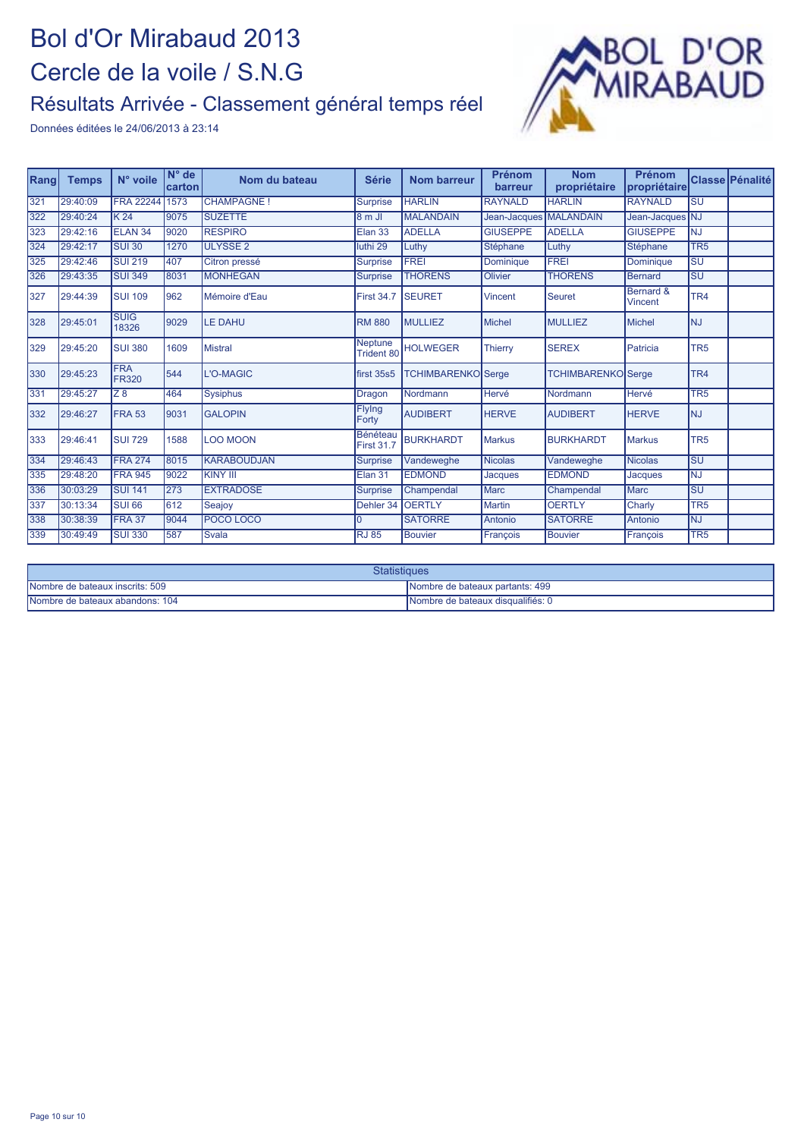

| Rang | <b>Temps</b> | N° voile                   | $N^{\circ}$ de<br>carton | Nom du bateau      | <b>Série</b>                        | <b>Nom barreur</b>        | <b>Prénom</b><br>barreur | <b>Nom</b><br>propriétaire | <b>Prénom</b><br>Ipropriétaire |                                   | <b>Classe Pénalité</b> |
|------|--------------|----------------------------|--------------------------|--------------------|-------------------------------------|---------------------------|--------------------------|----------------------------|--------------------------------|-----------------------------------|------------------------|
| 321  | 29:40:09     | <b>FRA 22244</b>           | 1573                     | <b>CHAMPAGNE!</b>  | <b>Surprise</b>                     | <b>HARLIN</b>             | <b>RAYNALD</b>           | <b>HARLIN</b>              | <b>RAYNALD</b>                 | $\overline{\text{SU}}$            |                        |
| 322  | 29:40:24     | K <sub>24</sub>            | 9075                     | <b>SUZETTE</b>     | $8m$ JI                             | <b>MALANDAIN</b>          | Jean-Jacques MALANDAIN   |                            | Jean-Jacques NJ                |                                   |                        |
| 323  | 29:42:16     | ELAN <sub>34</sub>         | 9020                     | <b>RESPIRO</b>     | Elan 33                             | <b>ADELLA</b>             | <b>GIUSEPPE</b>          | <b>ADELLA</b>              | <b>GIUSEPPE</b>                | INJ.                              |                        |
| 324  | 29:42:17     | <b>SUI 30</b>              | 1270                     | <b>ULYSSE 2</b>    | luthi 29                            | Luthy                     | Stéphane                 | Luthy                      | Stéphane                       | TR <sub>5</sub>                   |                        |
| 325  | 29:42:46     | <b>SUI 219</b>             | 407                      | Citron pressé      | <b>Surprise</b>                     | <b>FREI</b>               | Dominique                | <b>FREI</b>                | Dominique                      | $\overline{\mathsf{S}\mathsf{U}}$ |                        |
| 326  | 29:43:35     | <b>SUI 349</b>             | 8031                     | <b>MONHEGAN</b>    | <b>Surprise</b>                     | <b>THORENS</b>            | Olivier                  | <b>THORENS</b>             | <b>Bernard</b>                 | SU                                |                        |
| 327  | 29:44:39     | <b>SUI 109</b>             | 962                      | Mémoire d'Eau      | <b>First 34.7</b>                   | <b>ISEURET</b>            | <b>Vincent</b>           | <b>Seuret</b>              | Bernard &<br><b>Vincent</b>    | TR <sub>4</sub>                   |                        |
| 328  | 29:45:01     | <b>SUIG</b><br>18326       | 9029                     | <b>LE DAHU</b>     | <b>RM 880</b>                       | MULLIEZ                   | <b>Michel</b>            | MULLIEZ                    | Michel                         | INJ.                              |                        |
| 329  | 29:45:20     | <b>SUI 380</b>             | 1609                     | <b>Mistral</b>     | <b>Neptune</b><br><b>Trident 80</b> | <b>HOLWEGER</b>           | <b>Thierry</b>           | <b>SEREX</b>               | Patricia                       | TR <sub>5</sub>                   |                        |
| 330  | 29:45:23     | <b>FRA</b><br><b>FR320</b> | 544                      | L'O-MAGIC          | first 35s5                          | <b>TCHIMBARENKO</b> Serge |                          | <b>TCHIMBARENKO</b> Serge  |                                | TR <sub>4</sub>                   |                        |
| 331  | 29:45:27     | $\overline{Z8}$            | 464                      | <b>Sysiphus</b>    | Dragon                              | Nordmann                  | Hervé                    | Nordmann                   | <b>Hervé</b>                   | TR <sub>5</sub>                   |                        |
| 332  | 29:46:27     | FRA 53                     | 9031                     | <b>GALOPIN</b>     | Flying<br>Forty                     | <b>AUDIBERT</b>           | <b>HERVE</b>             | <b>AUDIBERT</b>            | <b>HERVE</b>                   | INJ.                              |                        |
| 333  | 29:46:41     | <b>SUI 729</b>             | 1588                     | <b>LOO MOON</b>    | Bénéteau<br><b>First 31.7</b>       | <b>BURKHARDT</b>          | <b>Markus</b>            | <b>BURKHARDT</b>           | <b>Markus</b>                  | TR <sub>5</sub>                   |                        |
| 334  | 29:46:43     | <b>FRA 274</b>             | 8015                     | <b>KARABOUDJAN</b> | Surprise                            | Vandeweghe                | Nicolas                  | Vandeweghe                 | <b>Nicolas</b>                 | $\overline{\mathsf{S}\mathsf{U}}$ |                        |
| 335  | 29:48:20     | <b>FRA 945</b>             | 9022                     | <b>KINY III</b>    | Elan 31                             | <b>EDMOND</b>             | <b>Jacques</b>           | <b>EDMOND</b>              | Jacques                        | <b>NJ</b>                         |                        |
| 336  | 30:03:29     | <b>SUI 141</b>             | 273                      | <b>EXTRADOSE</b>   | <b>Surprise</b>                     | Champendal                | Marc                     | Champendal                 | <b>Marc</b>                    | <b>SU</b>                         |                        |
| 337  | 30:13:34     | <b>SUI 66</b>              | 612                      | Seajoy             | Dehler 34                           | <b>OERTLY</b>             | <b>Martin</b>            | <b>OERTLY</b>              | Charly                         | TR <sub>5</sub>                   |                        |
| 338  | 30:38:39     | <b>FRA 37</b>              | 9044                     | POCO LOCO          | l N                                 | <b>SATORRE</b>            | Antonio                  | <b>SATORRE</b>             | Antonio                        | <b>NJ</b>                         |                        |
| 339  | 30:49:49     | <b>SUI 330</b>             | 587                      | <b>Svala</b>       | <b>RJ 85</b>                        | <b>Bouvier</b>            | Francois                 | <b>Bouvier</b>             | François                       | TR <sub>5</sub>                   |                        |

| Statistiques                    |                                   |  |  |  |  |  |
|---------------------------------|-----------------------------------|--|--|--|--|--|
| Nombre de bateaux inscrits: 509 | Nombre de bateaux partants: 499   |  |  |  |  |  |
| Nombre de bateaux abandons: 104 | Nombre de bateaux disqualifiés: 0 |  |  |  |  |  |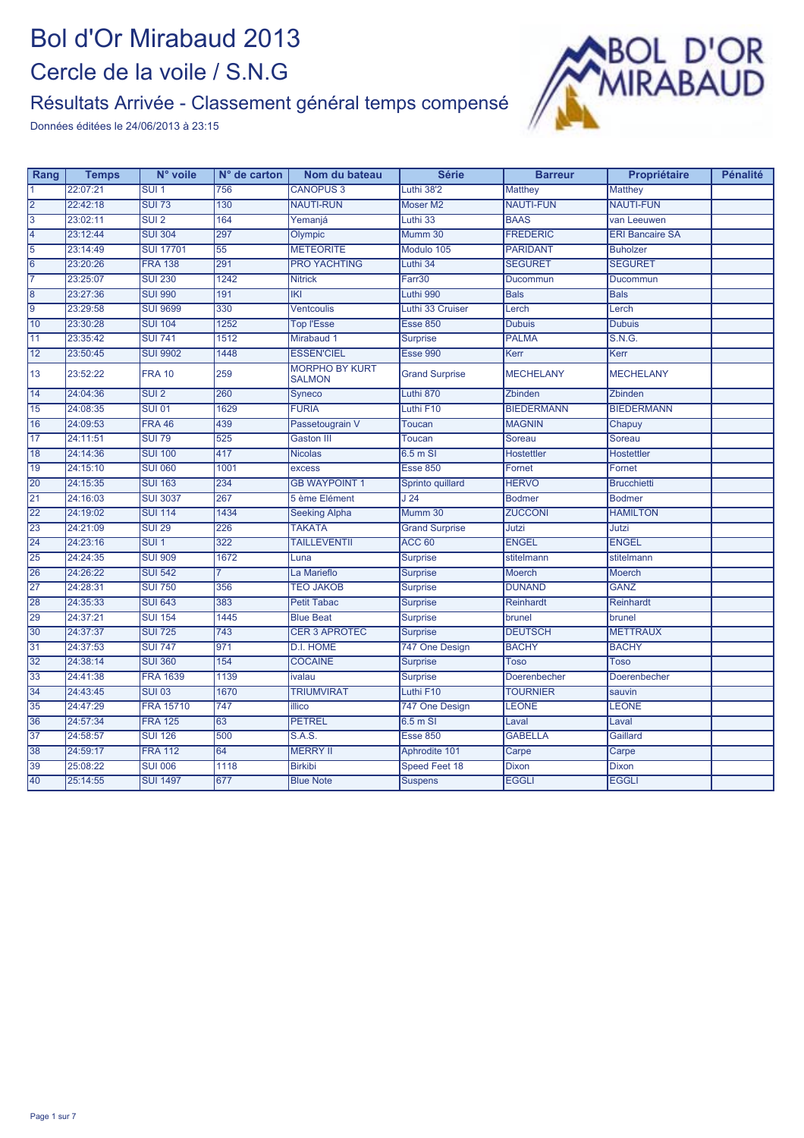#### Résultats Arrivée - Classement général temps compensé



| Rang            | <b>Temps</b> | N° voile          | $N°$ de carton   | Nom du bateau                          | <b>Série</b>          | <b>Barreur</b>    | Propriétaire           | <b>Pénalité</b> |
|-----------------|--------------|-------------------|------------------|----------------------------------------|-----------------------|-------------------|------------------------|-----------------|
| $\overline{1}$  | 22:07:21     | SUI <sub>1</sub>  | 756              | <b>CANOPUS 3</b>                       | Luthi 38'2            | Matthey           | <b>Matthey</b>         |                 |
| $\overline{2}$  | 22:42:18     | <b>SUI 73</b>     | 130              | <b>NAUTI-RUN</b>                       | <b>Moser M2</b>       | <b>NAUTI-FUN</b>  | <b>NAUTI-FUN</b>       |                 |
| $\overline{3}$  | 23:02:11     | SUI2              | 164              | Yemanjá                                | Luthi 33              | <b>BAAS</b>       | van Leeuwen            |                 |
| $\vert 4$       | 23:12:44     | <b>SUI 304</b>    | 297              | Olympic                                | Mumm 30               | <b>FREDERIC</b>   | <b>ERI Bancaire SA</b> |                 |
| $\overline{5}$  | 23:14:49     | <b>SUI 17701</b>  | 55               | <b>METEORITE</b>                       | Modulo 105            | <b>PARIDANT</b>   | <b>Buholzer</b>        |                 |
| $\overline{6}$  | 23:20:26     | <b>FRA 138</b>    | 291              | <b>PRO YACHTING</b>                    | Luthi 34              | <b>SEGURET</b>    | <b>SEGURET</b>         |                 |
| 7               | 23:25:07     | <b>SUI 230</b>    | 1242             | <b>Nitrick</b>                         | Farr30                | Ducommun          | Ducommun               |                 |
| $\overline{8}$  | 23:27:36     | <b>SUI 990</b>    | 191              | K                                      | Luthi 990             | <b>Bals</b>       | <b>Bals</b>            |                 |
| 9               | 23:29:58     | <b>SUI 9699</b>   | 330              | <b>Ventcoulis</b>                      | Luthi 33 Cruiser      | Lerch             | Lerch                  |                 |
| 10              | 23:30:28     | <b>SUI 104</b>    | 1252             | <b>Top l'Esse</b>                      | <b>Esse 850</b>       | <b>Dubuis</b>     | <b>Dubuis</b>          |                 |
| $\overline{11}$ | 23:35:42     | <b>SUI 741</b>    | 1512             | Mirabaud 1                             | <b>Surprise</b>       | <b>PALMA</b>      | S.N.G.                 |                 |
| $\overline{12}$ | 23:50:45     | <b>SUI 9902</b>   | 1448             | <b>ESSEN'CIEL</b>                      | <b>Esse 990</b>       | Kerr              | Kerr                   |                 |
| 13              | 23:52:22     | <b>FRA 10</b>     | 259              | <b>MORPHO BY KURT</b><br><b>SALMON</b> | <b>Grand Surprise</b> | <b>MECHELANY</b>  | <b>MECHELANY</b>       |                 |
| 14              | 24:04:36     | $\overline{SU12}$ | 260              | Syneco                                 | Luthi 870             | Zbinden           | Zbinden                |                 |
| $\overline{15}$ | 24:08:35     | <b>SUI 01</b>     | 1629             | <b>FURIA</b>                           | Luthi F10             | <b>BIEDERMANN</b> | <b>BIEDERMANN</b>      |                 |
| 16              | 24:09:53     | <b>FRA 46</b>     | 439              | Passetougrain V                        | <b>Toucan</b>         | <b>MAGNIN</b>     | Chapuy                 |                 |
| $\overline{17}$ | 24:11:51     | <b>SUI 79</b>     | 525              | <b>Gaston III</b>                      | <b>Toucan</b>         | Soreau            | Soreau                 |                 |
| 18              | 24:14:36     | <b>SUI 100</b>    | 417              | <b>Nicolas</b>                         | $6.5m$ SI             | Hostettler        | <b>Hostettler</b>      |                 |
| 19              | 24:15:10     | <b>SUI 060</b>    | 1001             | excess                                 | <b>Esse 850</b>       | Fornet            | Fornet                 |                 |
| 20              | 24:15:35     | <b>SUI 163</b>    | 234              | <b>GB WAYPOINT 1</b>                   | Sprinto quillard      | <b>HERVO</b>      | <b>Brucchietti</b>     |                 |
| $\overline{21}$ | 24:16:03     | <b>SUI 3037</b>   | 267              | 5 ème Elément                          | J <sub>24</sub>       | <b>Bodmer</b>     | <b>Bodmer</b>          |                 |
| $\overline{22}$ | 24:19:02     | <b>SUI 114</b>    | 1434             | <b>Seeking Alpha</b>                   | Mumm 30               | <b>ZUCCONI</b>    | <b>HAMILTON</b>        |                 |
| $\overline{23}$ | 24:21:09     | <b>SUI 29</b>     | 226              | <b>TAKATA</b>                          | <b>Grand Surprise</b> | Jutzi             | Jutzi                  |                 |
| $\overline{24}$ | 24:23:16     | $SUI$ 1           | 322              | <b>TAILLEVENTII</b>                    | ACC <sub>60</sub>     | <b>ENGEL</b>      | <b>ENGEL</b>           |                 |
| $\overline{25}$ | 24:24:35     | <b>SUI 909</b>    | 1672             | Luna                                   | <b>Surprise</b>       | stitelmann        | stitelmann             |                 |
| 26              | 24:26:22     | <b>SUI 542</b>    | 7                | La Marieflo                            | <b>Surprise</b>       | <b>Moerch</b>     | <b>Moerch</b>          |                 |
| $\overline{27}$ | 24:28:31     | <b>SUI 750</b>    | 356              | <b>TEO JAKOB</b>                       | <b>Surprise</b>       | <b>DUNAND</b>     | <b>GANZ</b>            |                 |
| 28              | 24:35:33     | <b>SUI 643</b>    | 383              | <b>Petit Tabac</b>                     | <b>Surprise</b>       | Reinhardt         | Reinhardt              |                 |
| 29              | 24:37:21     | <b>SUI 154</b>    | 1445             | <b>Blue Beat</b>                       | <b>Surprise</b>       | brunel            | brunel                 |                 |
| 30              | 24:37:37     | <b>SUI 725</b>    | $\overline{743}$ | <b>CER 3 APROTEC</b>                   | <b>Surprise</b>       | <b>DEUTSCH</b>    | <b>METTRAUX</b>        |                 |
| 31              | 24:37:53     | <b>SUI 747</b>    | 971              | <b>D.I. HOME</b>                       | 747 One Design        | <b>BACHY</b>      | <b>BACHY</b>           |                 |
| 32              | 24:38:14     | <b>SUI 360</b>    | 154              | <b>COCAINE</b>                         | <b>Surprise</b>       | Toso              | <b>Toso</b>            |                 |
| 33              | 24:41:38     | <b>FRA 1639</b>   | 1139             | ivalau                                 | <b>Surprise</b>       | Doerenbecher      | Doerenbecher           |                 |
| 34              | 24:43:45     | <b>SUI 03</b>     | 1670             | <b>TRIUMVIRAT</b>                      | Luthi F10             | <b>TOURNIER</b>   | sauvin                 |                 |
| 35              | 24:47:29     | <b>FRA 15710</b>  | 747              | <b>illico</b>                          | 747 One Design        | <b>LEONE</b>      | <b>LEONE</b>           |                 |
| 36              | 24:57:34     | <b>FRA 125</b>    | 63               | <b>PETREL</b>                          | 6.5 m SI              | Laval             | Laval                  |                 |
| $\overline{37}$ | 24:58:57     | <b>SUI 126</b>    | 500              | S.A.S.                                 | <b>Esse 850</b>       | <b>GABELLA</b>    | Gaillard               |                 |
| 38              | 24:59:17     | <b>FRA 112</b>    | 64               | <b>MERRY II</b>                        | Aphrodite 101         | Carpe             | Carpe                  |                 |
| 39              | 25:08:22     | <b>SUI 006</b>    | 1118             | <b>Birkibi</b>                         | <b>Speed Feet 18</b>  | <b>Dixon</b>      | <b>Dixon</b>           |                 |
| 40              | 25:14:55     | <b>SUI 1497</b>   | 677              | <b>Blue Note</b>                       | <b>Suspens</b>        | <b>EGGLI</b>      | <b>EGGLI</b>           |                 |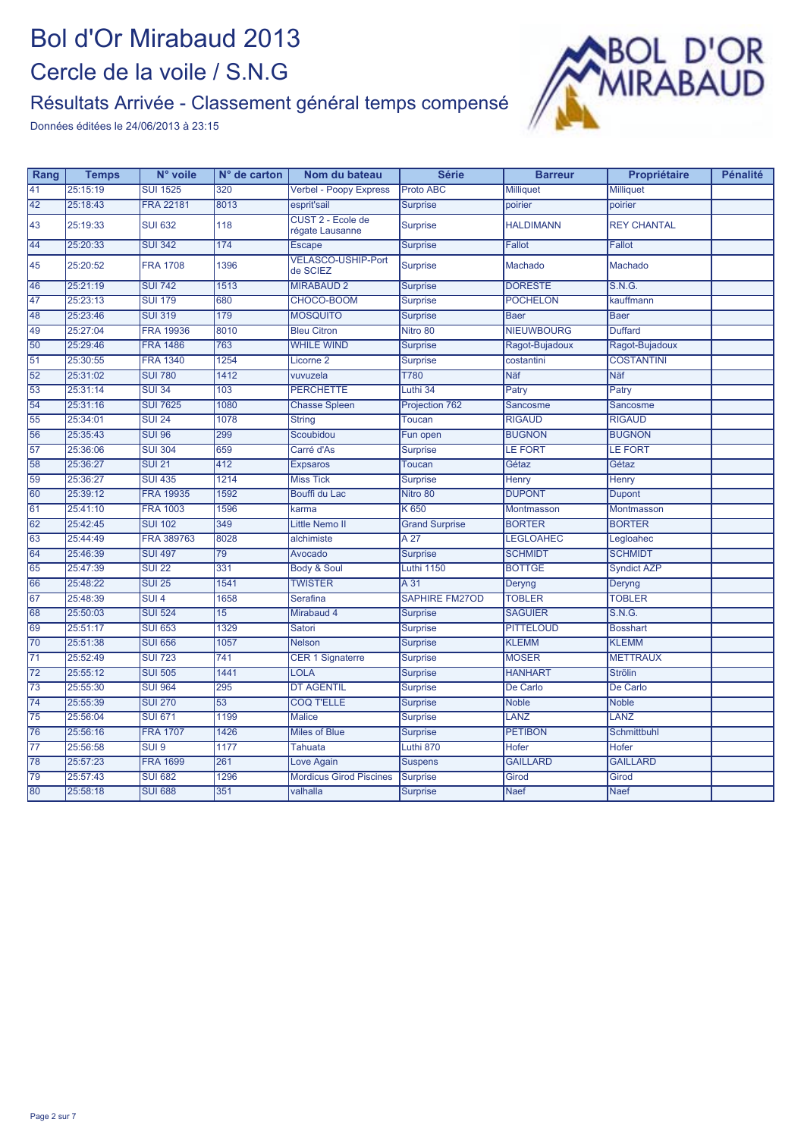#### Résultats Arrivée - Classement général temps compensé



| 25:15:19<br><b>SUI 1525</b><br><b>Proto ABC</b><br>41<br>320<br><b>Verbel - Poopy Express</b><br><b>Milliquet</b><br><b>Milliquet</b>        |  |
|----------------------------------------------------------------------------------------------------------------------------------------------|--|
|                                                                                                                                              |  |
| 25:18:43<br><b>FRA 22181</b><br>8013<br>42<br>esprit'sail<br><b>Surprise</b><br>poirier<br>poirier                                           |  |
| CUST 2 - Ecole de<br><b>SUI 632</b><br>118<br><b>REY CHANTAL</b><br>43<br>25:19:33<br><b>Surprise</b><br><b>HALDIMANN</b><br>régate Lausanne |  |
| 44<br>25:20:33<br><b>SUI 342</b><br>174<br><b>Escape</b><br><b>Surprise</b><br><b>Fallot</b><br>Fallot                                       |  |
| <b>VELASCO-USHIP-Port</b><br>25:20:52<br><b>FRA 1708</b><br>1396<br>Machado<br>Machado<br>45<br><b>Surprise</b><br>de SCIEZ                  |  |
| 46<br>25:21:19<br><b>SUI 742</b><br>1513<br><b>MIRABAUD 2</b><br><b>DORESTE</b><br>S.N.G.<br><b>Surprise</b>                                 |  |
| 25:23:13<br><b>SUI 179</b><br>680<br>47<br>CHOCO-BOOM<br><b>POCHELON</b><br>kauffmann<br><b>Surprise</b>                                     |  |
| 179<br>25:23:46<br><b>SUI 319</b><br><b>MOSQUITO</b><br>48<br><b>Surprise</b><br><b>Baer</b><br><b>Baer</b>                                  |  |
| 25:27:04<br><b>FRA 19936</b><br>8010<br>49<br><b>Bleu Citron</b><br>Nitro 80<br><b>NIEUWBOURG</b><br><b>Duffard</b>                          |  |
| 763<br>25:29:46<br><b>FRA 1486</b><br><b>WHILE WIND</b><br>50<br><b>Surprise</b><br>Ragot-Bujadoux<br>Ragot-Bujadoux                         |  |
| 25:30:55<br><b>FRA 1340</b><br>1254<br>$\overline{51}$<br><b>COSTANTINI</b><br>Licorne <sub>2</sub><br><b>Surprise</b><br>costantini         |  |
| 1412<br>25:31:02<br><b>SUI 780</b><br><b>T780</b><br><b>Näf</b><br><b>Näf</b><br>52<br>vuvuzela                                              |  |
| 25:31:14<br>53<br><b>SUI 34</b><br>103<br><b>PERCHETTE</b><br>Luthi 34<br>Patry<br>Patry                                                     |  |
| $\overline{54}$<br>25:31:16<br><b>SUI 7625</b><br>1080<br><b>Chasse Spleen</b><br>Projection 762<br>Sancosme<br>Sancosme                     |  |
| <b>SUI 24</b><br>1078<br><b>RIGAUD</b><br><b>RIGAUD</b><br>$\overline{55}$<br>25:34:01<br><b>String</b><br><b>Toucan</b>                     |  |
| 56<br>25:35:43<br><b>SUI 96</b><br>299<br>Scoubidou<br><b>BUGNON</b><br><b>BUGNON</b><br>Fun open                                            |  |
| 25:36:06<br><b>LE FORT</b><br>57<br><b>SUI 304</b><br>659<br>Carré d'As<br><b>LE FORT</b><br><b>Surprise</b>                                 |  |
| 412<br>$\overline{58}$<br>25:36:27<br><b>SUI 21</b><br>Gétaz<br><b>Toucan</b><br>Gétaz<br><b>Expsaros</b>                                    |  |
| <b>SUI 435</b><br>59<br>25:36:27<br>1214<br><b>Miss Tick</b><br><b>Surprise</b><br>Henry<br>Henry                                            |  |
| 60<br>25:39:12<br><b>FRA 19935</b><br>1592<br><b>DUPONT</b><br>Bouffi du Lac<br>Nitro 80<br><b>Dupont</b>                                    |  |
| 61<br>25:41:10<br><b>FRA 1003</b><br>1596<br>K 650<br>Montmasson<br>Montmasson<br>karma                                                      |  |
| 62<br><b>SUI 102</b><br>349<br><b>BORTER</b><br>25:42:45<br><b>Little Nemo II</b><br><b>Grand Surprise</b><br><b>BORTER</b>                  |  |
| 8028<br>63<br>25:44:49<br>FRA 389763<br>A 27<br><b>LEGLOAHEC</b><br>alchimiste<br>Legloahec                                                  |  |
| 64<br><b>SUI 497</b><br>$\overline{79}$<br><b>SCHMIDT</b><br><b>SCHMIDT</b><br>25:46:39<br><b>Surprise</b><br>Avocado                        |  |
| 65<br>25:47:39<br><b>SUI 22</b><br>331<br><b>Body &amp; Soul</b><br>Luthi 1150<br><b>BOTTGE</b><br><b>Syndict AZP</b>                        |  |
| 66<br>25:48:22<br><b>SUI 25</b><br>1541<br><b>TWISTER</b><br>A 31<br>Deryng<br>Deryng                                                        |  |
| 25:48:39<br>SUI <sub>4</sub><br><b>TOBLER</b><br><b>TOBLER</b><br>67<br>1658<br><b>Serafina</b><br><b>SAPHIRE FM27OD</b>                     |  |
| <b>SUI 524</b><br>S.N.G.<br>68<br>25:50:03<br>15<br>Mirabaud 4<br><b>SAGUIER</b><br><b>Surprise</b>                                          |  |
| 25:51:17<br>69<br><b>SUI 653</b><br>1329<br>Satori<br><b>PITTELOUD</b><br><b>Surprise</b><br><b>Bosshart</b>                                 |  |
| 1057<br>70<br>25:51:38<br><b>SUI 656</b><br><b>KLEMM</b><br><b>KLEMM</b><br><b>Nelson</b><br><b>Surprise</b>                                 |  |
| $\overline{71}$<br>25:52:49<br><b>SUI 723</b><br>741<br><b>CER 1 Signaterre</b><br><b>MOSER</b><br><b>METTRAUX</b><br><b>Surprise</b>        |  |
| $\overline{72}$<br>25:55:12<br><b>SUI 505</b><br>1441<br><b>LOLA</b><br><b>HANHART</b><br><b>Strölin</b><br><b>Surprise</b>                  |  |
| 25:55:30<br><b>SUI 964</b><br>295<br><b>DT AGENTIL</b><br>$\overline{73}$<br><b>Surprise</b><br>De Carlo<br>De Carlo                         |  |
| $\overline{53}$<br>$\overline{74}$<br>25:55:39<br><b>SUI 270</b><br><b>COQ T'ELLE</b><br><b>Noble</b><br><b>Noble</b><br><b>Surprise</b>     |  |
| $\overline{75}$<br>25:56:04<br><b>SUI 671</b><br>1199<br>LANZ<br>LANZ<br><b>Malice</b><br><b>Surprise</b>                                    |  |
| 76<br>25:56:16<br><b>FRA 1707</b><br>1426<br><b>Miles of Blue</b><br><b>PETIBON</b><br><b>Schmittbuhl</b><br><b>Surprise</b>                 |  |
| Luthi 870<br>$\overline{77}$<br>25:56:58<br>SUI <sub>9</sub><br>1177<br><b>Hofer</b><br><b>Hofer</b><br><b>Tahuata</b>                       |  |
| 78<br>25:57:23<br><b>FRA 1699</b><br>261<br><b>GAILLARD</b><br><b>GAILLARD</b><br>Love Again<br><b>Suspens</b>                               |  |
| 79<br>25:57:43<br><b>SUI 682</b><br>1296<br><b>Mordicus Girod Piscines</b><br><b>Surprise</b><br>Girod<br>Girod                              |  |
| 80<br>25:58:18<br>351<br><b>SUI 688</b><br>valhalla<br><b>Naef</b><br><b>Naef</b><br><b>Surprise</b>                                         |  |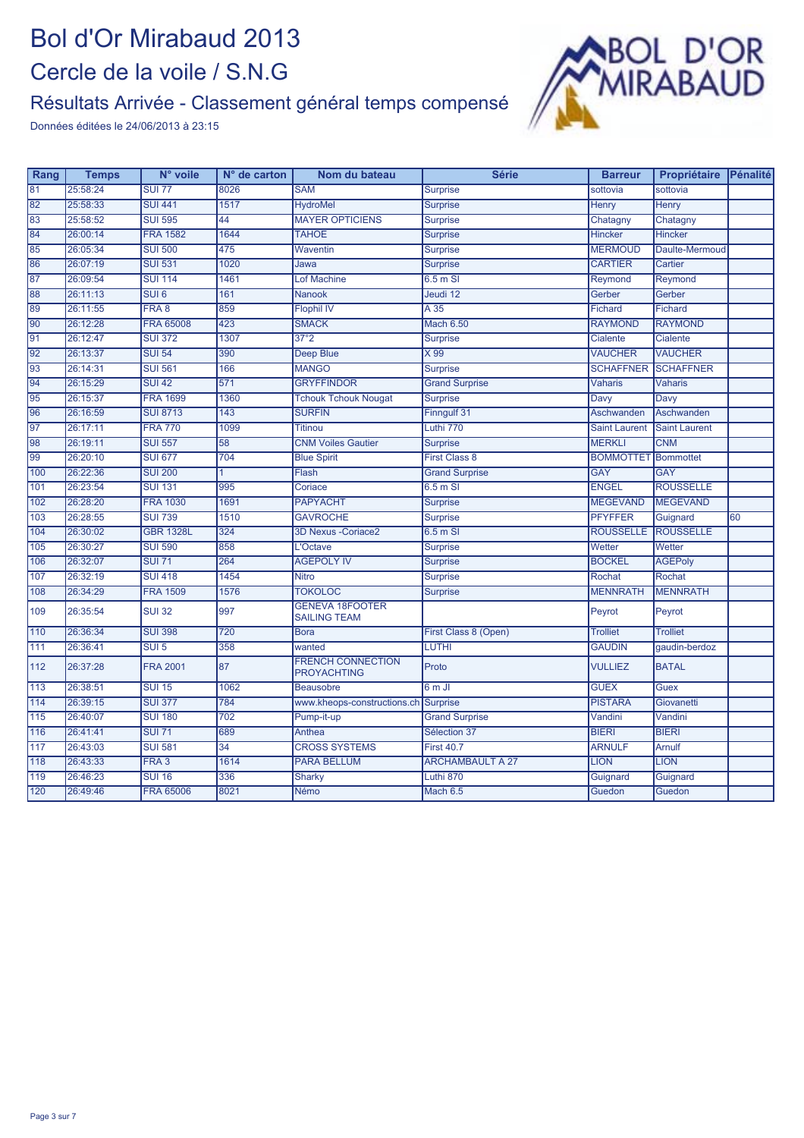#### Résultats Arrivée - Classement général temps compensé



| 81<br>25:58:24<br>8026<br><b>SUI 77</b><br><b>SAM</b><br><b>Surprise</b><br>sottovia<br>sottovia<br>82<br>1517<br>25:58:33<br><b>SUI 441</b><br><b>Henry</b><br><b>HydroMel</b><br><b>Surprise</b><br>Henry<br>83<br>25:58:52<br><b>SUI 595</b><br>44<br><b>MAYER OPTICIENS</b><br><b>Surprise</b><br>Chatagny<br>Chatagny<br>84<br>26:00:14<br><b>FRA 1582</b><br>1644<br><b>TAHOE</b><br><b>Surprise</b><br><b>Hincker</b><br><b>Hincker</b><br>85<br>26:05:34<br><b>SUI 500</b><br>475<br><b>MERMOUD</b><br>Waventin<br><b>Surprise</b><br>Daulte-Mermoud |    |
|--------------------------------------------------------------------------------------------------------------------------------------------------------------------------------------------------------------------------------------------------------------------------------------------------------------------------------------------------------------------------------------------------------------------------------------------------------------------------------------------------------------------------------------------------------------|----|
|                                                                                                                                                                                                                                                                                                                                                                                                                                                                                                                                                              |    |
|                                                                                                                                                                                                                                                                                                                                                                                                                                                                                                                                                              |    |
|                                                                                                                                                                                                                                                                                                                                                                                                                                                                                                                                                              |    |
|                                                                                                                                                                                                                                                                                                                                                                                                                                                                                                                                                              |    |
|                                                                                                                                                                                                                                                                                                                                                                                                                                                                                                                                                              |    |
| 86<br>1020<br><b>CARTIER</b><br>26:07:19<br><b>SUI 531</b><br>Cartier<br>Jawa<br><b>Surprise</b>                                                                                                                                                                                                                                                                                                                                                                                                                                                             |    |
| 87<br>1461<br>26:09:54<br><b>SUI 114</b><br><b>Lof Machine</b><br>$6.5m$ SI<br>Reymond<br>Reymond                                                                                                                                                                                                                                                                                                                                                                                                                                                            |    |
| 88<br>26:11:13<br>SUI6<br>161<br><b>Nanook</b><br>Jeudi 12<br>Gerber<br>Gerber                                                                                                                                                                                                                                                                                                                                                                                                                                                                               |    |
| 89<br>26:11:55<br>FRA 8<br>859<br><b>Flophil IV</b><br>A35<br>Fichard<br>Fichard                                                                                                                                                                                                                                                                                                                                                                                                                                                                             |    |
| 90<br>26:12:28<br><b>FRA 65008</b><br>423<br><b>SMACK</b><br><b>RAYMOND</b><br><b>RAYMOND</b><br>Mach 6.50                                                                                                                                                                                                                                                                                                                                                                                                                                                   |    |
| 91<br>26:12:47<br><b>SUI 372</b><br>1307<br>37°2<br><b>Surprise</b><br><b>Cialente</b><br>Cialente                                                                                                                                                                                                                                                                                                                                                                                                                                                           |    |
| 92<br>26:13:37<br><b>SUI 54</b><br>390<br>$\times 99$<br><b>VAUCHER</b><br><b>VAUCHER</b><br><b>Deep Blue</b>                                                                                                                                                                                                                                                                                                                                                                                                                                                |    |
| 93<br>26:14:31<br><b>SUI 561</b><br>166<br><b>MANGO</b><br><b>SCHAFFNER</b><br><b>SCHAFFNER</b><br><b>Surprise</b>                                                                                                                                                                                                                                                                                                                                                                                                                                           |    |
| 94<br>571<br><b>GRYFFINDOR</b><br>26:15:29<br><b>SUI 42</b><br><b>Grand Surprise</b><br><b>Vaharis</b><br><b>Vaharis</b>                                                                                                                                                                                                                                                                                                                                                                                                                                     |    |
| 95<br>1360<br>26:15:37<br><b>FRA 1699</b><br><b>Tchouk Tchouk Nougat</b><br><b>Surprise</b><br>Davy<br>Davy                                                                                                                                                                                                                                                                                                                                                                                                                                                  |    |
| 96<br>26:16:59<br><b>SUI 8713</b><br>$\overline{143}$<br><b>SURFIN</b><br>Finngulf 31<br>Aschwanden<br>Aschwanden                                                                                                                                                                                                                                                                                                                                                                                                                                            |    |
| 97<br>26:17:11<br><b>FRA 770</b><br>1099<br>Luthi 770<br><b>Titinou</b><br><b>Saint Laurent</b><br><b>Saint Laurent</b>                                                                                                                                                                                                                                                                                                                                                                                                                                      |    |
| 98<br>26:19:11<br><b>SUI 557</b><br>$\overline{58}$<br><b>MERKLI</b><br><b>CNM</b><br><b>CNM Voiles Gautier</b><br><b>Surprise</b>                                                                                                                                                                                                                                                                                                                                                                                                                           |    |
| 99<br>704<br>26:20:10<br><b>SUI 677</b><br><b>BOMMOTTET</b> Bommottet<br><b>Blue Spirit</b><br><b>First Class 8</b>                                                                                                                                                                                                                                                                                                                                                                                                                                          |    |
| 100<br>26:22:36<br><b>GAY</b><br><b>GAY</b><br><b>SUI 200</b><br>Flash<br><b>Grand Surprise</b><br>1                                                                                                                                                                                                                                                                                                                                                                                                                                                         |    |
| 101<br>26:23:54<br><b>SUI 131</b><br>995<br><b>ENGEL</b><br><b>ROUSSELLE</b><br>$6.5m$ SI<br>Coriace                                                                                                                                                                                                                                                                                                                                                                                                                                                         |    |
| 102<br>26:28:20<br><b>FRA 1030</b><br>1691<br><b>MEGEVAND</b><br><b>MEGEVAND</b><br><b>PAPYACHT</b><br><b>Surprise</b>                                                                                                                                                                                                                                                                                                                                                                                                                                       |    |
| 103<br>26:28:55<br><b>SUI 739</b><br>1510<br><b>GAVROCHE</b><br><b>PFYFFER</b><br><b>Surprise</b><br>Guignard                                                                                                                                                                                                                                                                                                                                                                                                                                                | 60 |
| 104<br>26:30:02<br>324<br><b>ROUSSELLE</b><br><b>ROUSSELLE</b><br><b>GBR 1328L</b><br>$6.5m$ SI<br><b>3D Nexus - Coriace2</b>                                                                                                                                                                                                                                                                                                                                                                                                                                |    |
| 105<br>26:30:27<br>858<br>Wetter<br><b>SUI 590</b><br>L'Octave<br>Wetter<br><b>Surprise</b>                                                                                                                                                                                                                                                                                                                                                                                                                                                                  |    |
| 106<br>26:32:07<br><b>AGEPoly</b><br><b>SUI 71</b><br>264<br><b>AGEPOLY IV</b><br><b>Surprise</b><br><b>BOCKEL</b>                                                                                                                                                                                                                                                                                                                                                                                                                                           |    |
| 1454<br>107<br>26:32:19<br><b>SUI 418</b><br>Rochat<br><b>Nitro</b><br><b>Surprise</b><br>Rochat                                                                                                                                                                                                                                                                                                                                                                                                                                                             |    |
| 108<br>26:34:29<br><b>FRA 1509</b><br>1576<br><b>TOKOLOC</b><br><b>MENNRATH</b><br><b>MENNRATH</b><br><b>Surprise</b>                                                                                                                                                                                                                                                                                                                                                                                                                                        |    |
| <b>GENEVA 18FOOTER</b><br>997<br>109<br>26:35:54<br><b>SUI 32</b><br>Peyrot<br>Peyrot<br><b>SAILING TEAM</b>                                                                                                                                                                                                                                                                                                                                                                                                                                                 |    |
| 110<br>720<br>26:36:34<br><b>SUI 398</b><br>First Class 8 (Open)<br><b>Trolliet</b><br><b>Trolliet</b><br><b>Bora</b>                                                                                                                                                                                                                                                                                                                                                                                                                                        |    |
| 111<br>26:36:41<br>358<br><b>LUTHI</b><br><b>GAUDIN</b><br>$SUI$ <sub>5</sub><br>wanted<br>qaudin-berdoz                                                                                                                                                                                                                                                                                                                                                                                                                                                     |    |
| <b>FRENCH CONNECTION</b><br>87<br><b>FRA 2001</b><br>112<br>26:37:28<br>Proto<br><b>VULLIEZ</b><br><b>BATAL</b><br><b>PROYACHTING</b>                                                                                                                                                                                                                                                                                                                                                                                                                        |    |
| 113<br>26:38:51<br><b>SUI 15</b><br>1062<br><b>Beausobre</b><br>6 m JI<br><b>GUEX</b><br>Guex                                                                                                                                                                                                                                                                                                                                                                                                                                                                |    |
| 114<br>26:39:15<br><b>SUI 377</b><br>784<br><b>PISTARA</b><br>Surprise<br>Giovanetti<br>www.kheops-constructions.ch                                                                                                                                                                                                                                                                                                                                                                                                                                          |    |
| 115<br>26:40:07<br>702<br><b>SUI 180</b><br><b>Grand Surprise</b><br>Vandini<br>Vandini<br>Pump-it-up                                                                                                                                                                                                                                                                                                                                                                                                                                                        |    |
| 116<br>26:41:41<br>689<br><b>BIERI</b><br><b>BIERI</b><br><b>SUI 71</b><br>Anthea<br>Sélection 37                                                                                                                                                                                                                                                                                                                                                                                                                                                            |    |
| 117<br>26:43:03<br><b>SUI 581</b><br>$\overline{34}$<br><b>CROSS SYSTEMS</b><br><b>First 40.7</b><br><b>ARNULF</b><br><b>Arnulf</b>                                                                                                                                                                                                                                                                                                                                                                                                                          |    |
| 118<br>FRA <sub>3</sub><br>1614<br><b>LION</b><br>26:43:33<br><b>PARA BELLUM</b><br><b>ARCHAMBAULT A 27</b><br><b>LION</b>                                                                                                                                                                                                                                                                                                                                                                                                                                   |    |
| 119<br>26:46:23<br><b>SUI 16</b><br>336<br>Luthi 870<br><b>Sharky</b><br>Guignard<br>Guignard                                                                                                                                                                                                                                                                                                                                                                                                                                                                |    |
| 120<br>26:49:46<br><b>FRA 65006</b><br>8021<br><b>Némo</b><br>Mach 6.5<br>Guedon<br>Guedon                                                                                                                                                                                                                                                                                                                                                                                                                                                                   |    |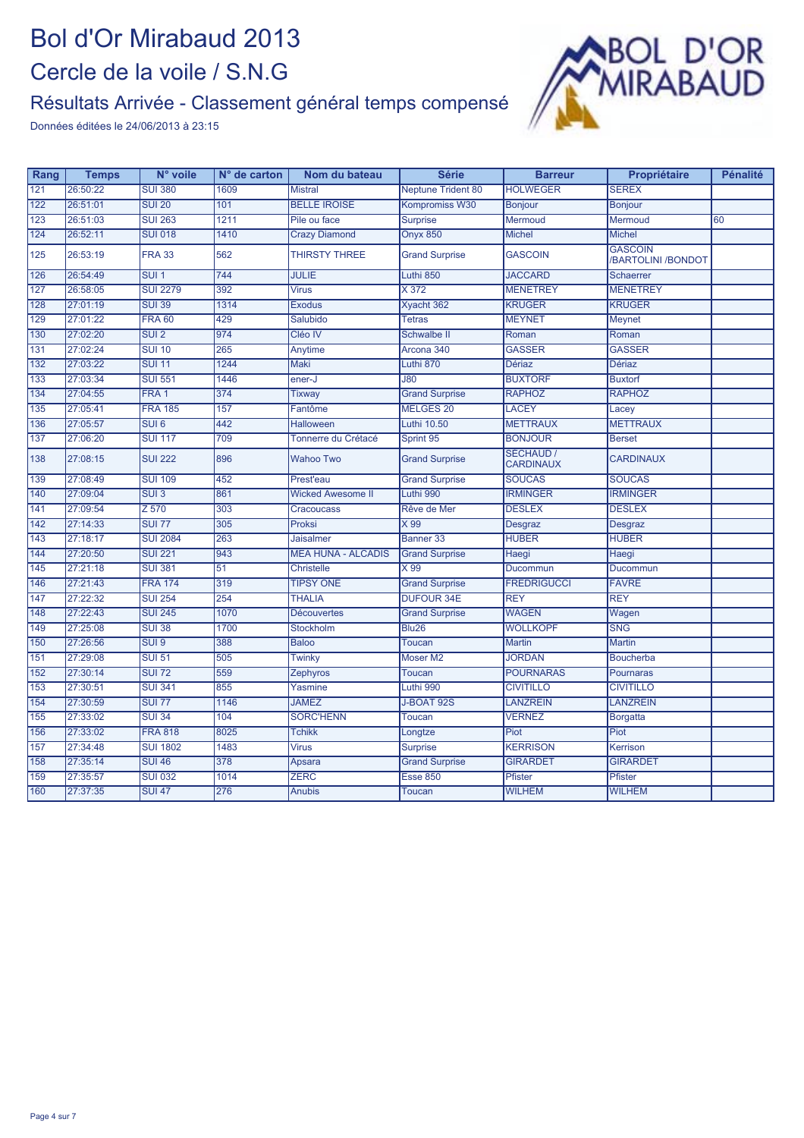#### Résultats Arrivée - Classement général temps compensé



| Rang          | <b>Temps</b> | N° voile         | $No$ de carton | Nom du bateau             | <b>Série</b>              | <b>Barreur</b>                | Propriétaire                                | <b>Pénalité</b> |
|---------------|--------------|------------------|----------------|---------------------------|---------------------------|-------------------------------|---------------------------------------------|-----------------|
| 121           | 26:50:22     | <b>SUI 380</b>   | 1609           | <b>Mistral</b>            | <b>Neptune Trident 80</b> | <b>HOLWEGER</b>               | <b>SEREX</b>                                |                 |
| 122           | 26:51:01     | <b>SUI 20</b>    | 101            | <b>BELLE IROISE</b>       | Kompromiss W30            | Bonjour                       | <b>Bonjour</b>                              |                 |
| 123           | 26:51:03     | <b>SUI 263</b>   | 1211           | Pile ou face              | <b>Surprise</b>           | Mermoud                       | Mermoud                                     | 60              |
| 124           | 26:52:11     | <b>SUI 018</b>   | 1410           | <b>Crazy Diamond</b>      | <b>Onyx 850</b>           | <b>Michel</b>                 | <b>Michel</b>                               |                 |
| 125           | 26:53:19     | <b>FRA 33</b>    | 562            | <b>THIRSTY THREE</b>      | <b>Grand Surprise</b>     | <b>GASCOIN</b>                | <b>GASCOIN</b><br><b>/BARTOLINI /BONDOT</b> |                 |
| 126           | 26:54:49     | SUI <sub>1</sub> | 744            | <b>JULIE</b>              | Luthi 850                 | <b>JACCARD</b>                | Schaerrer                                   |                 |
| $\boxed{127}$ | 26:58:05     | <b>SUI 2279</b>  | 392            | <b>Virus</b>              | X 372                     | <b>MENETREY</b>               | <b>MENETREY</b>                             |                 |
| 128           | 27:01:19     | <b>SUI 39</b>    | 1314           | <b>Exodus</b>             | Xyacht 362                | <b>KRUGER</b>                 | <b>KRUGER</b>                               |                 |
| 129           | 27:01:22     | <b>FRA 60</b>    | 429            | Salubido                  | <b>Tetras</b>             | <b>MEYNET</b>                 | <b>Meynet</b>                               |                 |
| 130           | 27:02:20     | SUI2             | 974            | Cléo IV                   | Schwalbe II               | Roman                         | Roman                                       |                 |
| 131           | 27:02:24     | <b>SUI 10</b>    | 265            | Anytime                   | Arcona 340                | <b>GASSER</b>                 | <b>GASSER</b>                               |                 |
| 132           | 27:03:22     | <b>SUI 11</b>    | 1244           | Maki                      | Luthi 870                 | <b>Dériaz</b>                 | <b>Dériaz</b>                               |                 |
| 133           | 27:03:34     | <b>SUI 551</b>   | 1446           | ener-J                    | $\overline{J80}$          | <b>BUXTORF</b>                | <b>Buxtorf</b>                              |                 |
| 134           | 27:04:55     | FRA <sub>1</sub> | 374            | Tixway                    | <b>Grand Surprise</b>     | <b>RAPHOZ</b>                 | <b>RAPHOZ</b>                               |                 |
| 135           | 27:05:41     | <b>FRA 185</b>   | 157            | Fantôme                   | MELGES 20                 | LACEY                         | Lacey                                       |                 |
| 136           | 27:05:57     | SUI6             | 442            | <b>Halloween</b>          | <b>Luthi 10.50</b>        | <b>METTRAUX</b>               | <b>METTRAUX</b>                             |                 |
| 137           | 27:06:20     | <b>SUI 117</b>   | 709            | Tonnerre du Crétacé       | Sprint 95                 | <b>BONJOUR</b>                | <b>Berset</b>                               |                 |
| 138           | 27:08:15     | <b>SUI 222</b>   | 896            | <b>Wahoo Two</b>          | <b>Grand Surprise</b>     | SÉCHAUD /<br><b>CARDINAUX</b> | <b>CARDINAUX</b>                            |                 |
| 139           | 27:08:49     | <b>SUI 109</b>   | 452            | Prest'eau                 | <b>Grand Surprise</b>     | <b>SOUCAS</b>                 | <b>SOUCAS</b>                               |                 |
| 140           | 27:09:04     | SUI <sub>3</sub> | 861            | <b>Wicked Awesome II</b>  | Luthi 990                 | <b>IRMINGER</b>               | <b>IRMINGER</b>                             |                 |
| 141           | 27:09:54     | Z 570            | 303            | Cracoucass                | Rêve de Mer               | <b>DESLEX</b>                 | <b>DESLEX</b>                               |                 |
| 142           | 27:14:33     | <b>SUI 77</b>    | 305            | Proksi                    | $\times 99$               | Desgraz                       | Desgraz                                     |                 |
| 143           | 27:18:17     | <b>SUI 2084</b>  | 263            | <b>Jaisalmer</b>          | Banner 33                 | <b>HUBER</b>                  | <b>HUBER</b>                                |                 |
| 144           | 27:20:50     | <b>SUI 221</b>   | 943            | <b>MEA HUNA - ALCADIS</b> | <b>Grand Surprise</b>     | Haegi                         | Haegi                                       |                 |
| 145           | 27:21:18     | <b>SUI 381</b>   | 51             | <b>Christelle</b>         | $\times 99$               | Ducommun                      | Ducommun                                    |                 |
| 146           | 27:21:43     | <b>FRA 174</b>   | 319            | <b>TIPSY ONE</b>          | <b>Grand Surprise</b>     | <b>FREDRIGUCCI</b>            | <b>FAVRE</b>                                |                 |
| 147           | 27:22:32     | <b>SUI 254</b>   | 254            | <b>THALIA</b>             | <b>DUFOUR 34E</b>         | <b>REY</b>                    | <b>REY</b>                                  |                 |
| 148           | 27:22:43     | <b>SUI 245</b>   | 1070           | <b>Découvertes</b>        | <b>Grand Surprise</b>     | <b>WAGEN</b>                  | Wagen                                       |                 |
| 149           | 27:25:08     | <b>SUI 38</b>    | 1700           | Stockholm                 | <b>Blu26</b>              | <b>WOLLKOPF</b>               | <b>SNG</b>                                  |                 |
| 150           | 27:26:56     | SUI <sub>9</sub> | 388            | <b>Baloo</b>              | <b>Toucan</b>             | <b>Martin</b>                 | <b>Martin</b>                               |                 |
| 151           | 27:29:08     | <b>SUI 51</b>    | 505            | <b>Twinky</b>             | Moser M2                  | <b>JORDAN</b>                 | <b>Boucherba</b>                            |                 |
| 152           | 27:30:14     | <b>SUI 72</b>    | 559            | Zephyros                  | Toucan                    | <b>POURNARAS</b>              | <b>Pournaras</b>                            |                 |
| 153           | 27:30:51     | <b>SUI 341</b>   | 855            | Yasmine                   | Luthi 990                 | <b>CIVITILLO</b>              | <b>CIVITILLO</b>                            |                 |
| 154           | 27:30:59     | <b>SUI 77</b>    | 1146           | <b>JAMEZ</b>              | J-BOAT 92S                | <b>LANZREIN</b>               | <b>LANZREIN</b>                             |                 |
| 155           | 27:33:02     | <b>SUI 34</b>    | 104            | <b>SORC'HENN</b>          | <b>Toucan</b>             | <b>VERNEZ</b>                 | <b>Borgatta</b>                             |                 |
| 156           | 27:33:02     | <b>FRA 818</b>   | 8025           | <b>Tchikk</b>             | Longtze                   | Piot                          | Piot                                        |                 |
| 157           | 27:34:48     | <b>SUI 1802</b>  | 1483           | <b>Virus</b>              | <b>Surprise</b>           | <b>KERRISON</b>               | Kerrison                                    |                 |
| 158           | 27:35:14     | <b>SUI 46</b>    | 378            | Apsara                    | <b>Grand Surprise</b>     | <b>GIRARDET</b>               | <b>GIRARDET</b>                             |                 |
| 159           | 27:35:57     | <b>SUI 032</b>   | 1014           | <b>ZERC</b>               | Esse 850                  | Pfister                       | Pfister                                     |                 |
| 160           | 27:37:35     | <b>SUI 47</b>    | 276            | <b>Anubis</b>             | <b>Toucan</b>             | <b>WILHEM</b>                 | <b>WILHEM</b>                               |                 |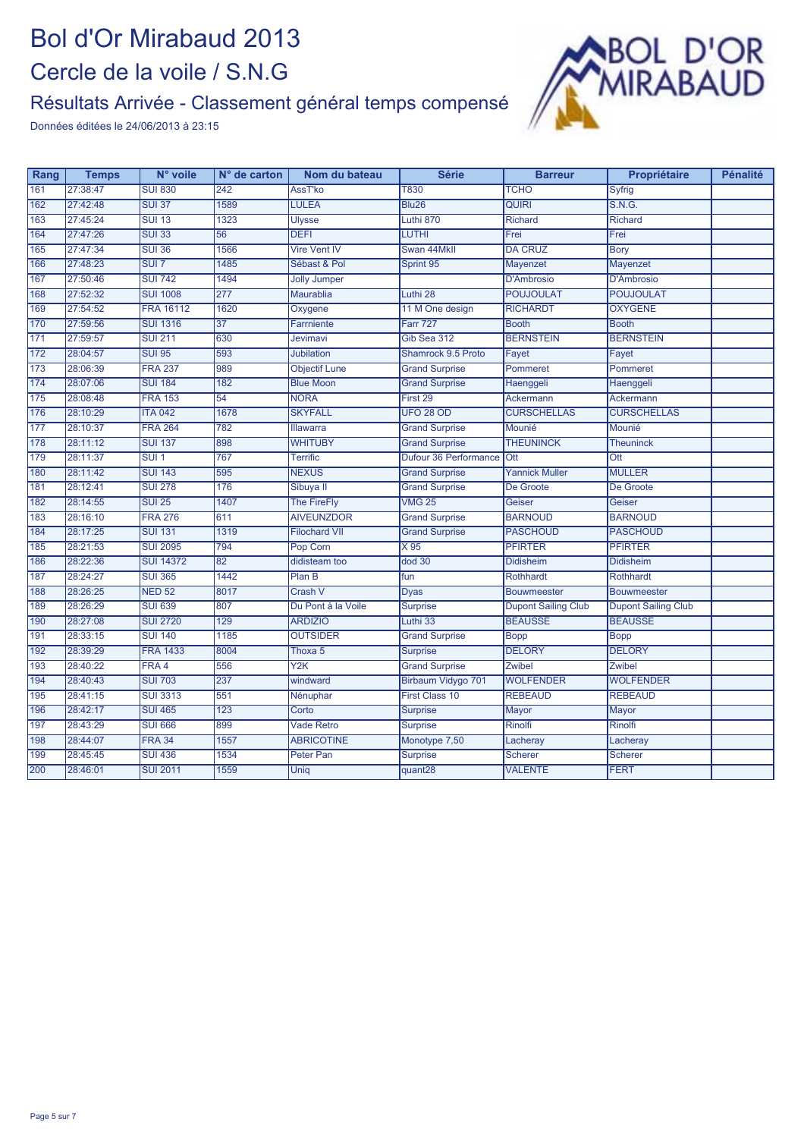#### Résultats Arrivée - Classement général temps compensé



| Rang | <b>Temps</b> | N° voile         | N° de carton | Nom du bateau        | <b>Série</b>          | <b>Barreur</b>             | Propriétaire               | <b>Pénalité</b> |
|------|--------------|------------------|--------------|----------------------|-----------------------|----------------------------|----------------------------|-----------------|
| 161  | 27:38:47     | <b>SUI 830</b>   | 242          | AssT'ko              | <b>T830</b>           | <b>TCHO</b>                | Syfrig                     |                 |
| 162  | 27:42:48     | <b>SUI 37</b>    | 1589         | <b>LULEA</b>         | <b>Blu26</b>          | <b>QUIRI</b>               | S.N.G.                     |                 |
| 163  | 27:45:24     | <b>SUI 13</b>    | 1323         | <b>Ulysse</b>        | Luthi 870             | <b>Richard</b>             | Richard                    |                 |
| 164  | 27:47:26     | <b>SUI 33</b>    | 56           | <b>DEFI</b>          | LUTHI                 | Frei                       | Frei                       |                 |
| 165  | 27:47:34     | <b>SUI 36</b>    | 1566         | <b>Vire Vent IV</b>  | Swan 44Mkll           | <b>DA CRUZ</b>             | <b>Bory</b>                |                 |
| 166  | 27:48:23     | SUI <sub>7</sub> | 1485         | Sébast & Pol         | Sprint 95             | Mayenzet                   | Mayenzet                   |                 |
| 167  | 27:50:46     | <b>SUI 742</b>   | 1494         | <b>Jolly Jumper</b>  |                       | D'Ambrosio                 | <b>D'Ambrosio</b>          |                 |
| 168  | 27:52:32     | <b>SUI 1008</b>  | 277          | Maurablia            | Luthi 28              | <b>POUJOULAT</b>           | <b>POUJOULAT</b>           |                 |
| 169  | 27:54:52     | <b>FRA 16112</b> | 1620         | Oxygene              | 11 M One design       | <b>RICHARDT</b>            | <b>OXYGENE</b>             |                 |
| 170  | 27:59:56     | <b>SUI 1316</b>  | 37           | Farmiente            | <b>Farr 727</b>       | <b>Booth</b>               | <b>Booth</b>               |                 |
| 171  | 27:59:57     | <b>SUI 211</b>   | 630          | <b>Jevimavi</b>      | Gib Sea 312           | <b>BERNSTEIN</b>           | <b>BERNSTEIN</b>           |                 |
| 172  | 28:04:57     | <b>SUI 95</b>    | 593          | <b>Jubilation</b>    | Shamrock 9.5 Proto    | Fayet                      | Fayet                      |                 |
| 173  | 28:06:39     | <b>FRA 237</b>   | 989          | <b>Objectif Lune</b> | <b>Grand Surprise</b> | Pommeret                   | Pommeret                   |                 |
| 174  | 28:07:06     | <b>SUI 184</b>   | 182          | <b>Blue Moon</b>     | <b>Grand Surprise</b> | Haenggeli                  | Haenggeli                  |                 |
| 175  | 28:08:48     | <b>FRA 153</b>   | 54           | <b>NORA</b>          | First 29              | Ackermann                  | Ackermann                  |                 |
| 176  | 28:10:29     | <b>ITA 042</b>   | 1678         | <b>SKYFALL</b>       | <b>UFO 28 OD</b>      | <b>CURSCHELLAS</b>         | <b>CURSCHELLAS</b>         |                 |
| 177  | 28:10:37     | <b>FRA 264</b>   | 782          | Illawarra            | <b>Grand Surprise</b> | Mounié                     | Mounié                     |                 |
| 178  | 28:11:12     | <b>SUI 137</b>   | 898          | <b>WHITUBY</b>       | <b>Grand Surprise</b> | <b>THEUNINCK</b>           | <b>Theuninck</b>           |                 |
| 179  | 28:11:37     | SUI <sub>1</sub> | 767          | <b>Terrific</b>      | Dufour 36 Performance | Ott                        | Ott                        |                 |
| 180  | 28:11:42     | <b>SUI 143</b>   | 595          | <b>NEXUS</b>         | <b>Grand Surprise</b> | <b>Yannick Muller</b>      | <b>MULLER</b>              |                 |
| 181  | 28:12:41     | <b>SUI 278</b>   | 176          | Sibuya II            | <b>Grand Surprise</b> | De Groote                  | De Groote                  |                 |
| 182  | 28:14:55     | <b>SUI 25</b>    | 1407         | <b>The FireFly</b>   | <b>VMG 25</b>         | Geiser                     | Geiser                     |                 |
| 183  | 28:16:10     | <b>FRA 276</b>   | 611          | <b>AIVEUNZDOR</b>    | <b>Grand Surprise</b> | <b>BARNOUD</b>             | <b>BARNOUD</b>             |                 |
| 184  | 28:17:25     | <b>SUI 131</b>   | 1319         | <b>Filochard VII</b> | <b>Grand Surprise</b> | <b>PASCHOUD</b>            | <b>PASCHOUD</b>            |                 |
| 185  | 28:21:53     | <b>SUI 2095</b>  | 794          | Pop Corn             | X 95                  | <b>PFIRTER</b>             | <b>PFIRTER</b>             |                 |
| 186  | 28:22:36     | <b>SUI 14372</b> | 82           | didisteam too        | dod 30                | <b>Didisheim</b>           | <b>Didisheim</b>           |                 |
| 187  | 28:24:27     | <b>SUI 365</b>   | 1442         | Plan B               | fun                   | Rothhardt                  | <b>Rothhardt</b>           |                 |
| 188  | 28:26:25     | <b>NED 52</b>    | 8017         | Crash V              | <b>Dyas</b>           | <b>Bouwmeester</b>         | <b>Bouwmeester</b>         |                 |
| 189  | 28:26:29     | <b>SUI 639</b>   | 807          | Du Pont à la Voile   | <b>Surprise</b>       | <b>Dupont Sailing Club</b> | <b>Dupont Sailing Club</b> |                 |
| 190  | 28:27:08     | <b>SUI 2720</b>  | 129          | <b>ARDIZIO</b>       | Luthi 33              | <b>BEAUSSE</b>             | <b>BEAUSSE</b>             |                 |
| 191  | 28:33:15     | <b>SUI 140</b>   | 1185         | <b>OUTSIDER</b>      | <b>Grand Surprise</b> | <b>Bopp</b>                | <b>Bopp</b>                |                 |
| 192  | 28:39:29     | <b>FRA 1433</b>  | 8004         | Thoxa 5              | <b>Surprise</b>       | <b>DELORY</b>              | <b>DELORY</b>              |                 |
| 193  | 28:40:22     | FRA 4            | 556          | Y2K                  | <b>Grand Surprise</b> | <b>Zwibel</b>              | Zwibel                     |                 |
| 194  | 28:40:43     | <b>SUI 703</b>   | 237          | windward             | Birbaum Vidygo 701    | <b>WOLFENDER</b>           | <b>WOLFENDER</b>           |                 |
| 195  | 28:41:15     | <b>SUI 3313</b>  | 551          | Nénuphar             | <b>First Class 10</b> | <b>REBEAUD</b>             | <b>REBEAUD</b>             |                 |
| 196  | 28:42:17     | <b>SUI 465</b>   | 123          | Corto                | <b>Surprise</b>       | Mayor                      | Mayor                      |                 |
| 197  | 28:43:29     | <b>SUI 666</b>   | 899          | <b>Vade Retro</b>    | <b>Surprise</b>       | Rinolfi                    | Rinolfi                    |                 |
| 198  | 28:44:07     | <b>FRA 34</b>    | 1557         | <b>ABRICOTINE</b>    | Monotype 7,50         | Lacheray                   | Lacheray                   |                 |
| 199  | 28:45:45     | <b>SUI 436</b>   | 1534         | Peter Pan            | <b>Surprise</b>       | Scherer                    | <b>Scherer</b>             |                 |
| 200  | 28:46:01     | <b>SUI 2011</b>  | 1559         | <b>Unig</b>          | quant28               | <b>VALENTE</b>             | <b>FERT</b>                |                 |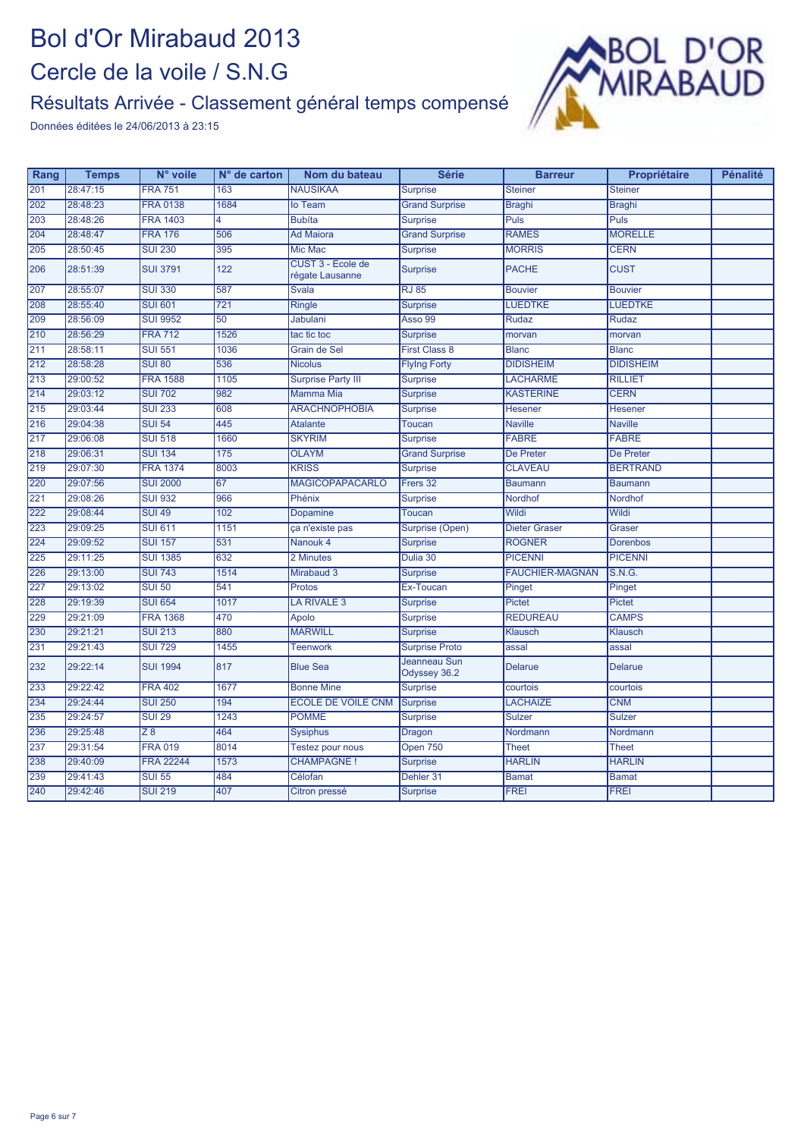#### Résultats Arrivée - Classement général temps compensé



| Rang | <b>Temps</b> | N° voile         | N° de carton   | Nom du bateau                        | <b>Série</b>                 | <b>Barreur</b>         | Propriétaire     | <b>Pénalité</b> |
|------|--------------|------------------|----------------|--------------------------------------|------------------------------|------------------------|------------------|-----------------|
| 201  | 28:47:15     | <b>FRA 751</b>   | 163            | <b>NAUSIKAA</b>                      | <b>Surprise</b>              | <b>Steiner</b>         | <b>Steiner</b>   |                 |
| 202  | 28:48:23     | <b>FRA 0138</b>  | 1684           | lo Team                              | <b>Grand Surprise</b>        | <b>Braghi</b>          | <b>Braghi</b>    |                 |
| 203  | 28:48:26     | <b>FRA 1403</b>  | $\overline{4}$ | <b>Bubíta</b>                        | <b>Surprise</b>              | Puls                   | Puls             |                 |
| 204  | 28:48:47     | <b>FRA 176</b>   | 506            | <b>Ad Maiora</b>                     | <b>Grand Surprise</b>        | <b>RAMES</b>           | <b>MORELLE</b>   |                 |
| 205  | 28:50:45     | <b>SUI 230</b>   | 395            | <b>Mic Mac</b>                       | <b>Surprise</b>              | <b>MORRIS</b>          | <b>CERN</b>      |                 |
| 206  | 28:51:39     | <b>SUI 3791</b>  | 122            | CUST 3 - Ecole de<br>régate Lausanne | <b>Surprise</b>              | <b>PACHE</b>           | <b>CUST</b>      |                 |
| 207  | 28:55:07     | <b>SUI 330</b>   | 587            | Svala                                | <b>RJ 85</b>                 | <b>Bouvier</b>         | <b>Bouvier</b>   |                 |
| 208  | 28:55:40     | <b>SUI 601</b>   | 721            | <b>Ringle</b>                        | <b>Surprise</b>              | <b>LUEDTKE</b>         | <b>LUEDTKE</b>   |                 |
| 209  | 28:56:09     | <b>SUI 9952</b>  | 50             | Jabulani                             | Asso 99                      | <b>Rudaz</b>           | <b>Rudaz</b>     |                 |
| 210  | 28:56:29     | <b>FRA 712</b>   | 1526           | tac tic toc                          | <b>Surprise</b>              | morvan                 | morvan           |                 |
| 211  | 28:58:11     | <b>SUI 551</b>   | 1036           | Grain de Sel                         | <b>First Class 8</b>         | <b>Blanc</b>           | <b>Blanc</b>     |                 |
| 212  | 28:58:28     | <b>SUI 80</b>    | 536            | <b>Nicolus</b>                       | <b>Flying Forty</b>          | <b>DIDISHEIM</b>       | <b>DIDISHEIM</b> |                 |
| 213  | 29:00:52     | <b>FRA 1588</b>  | 1105           | <b>Surprise Party III</b>            | <b>Surprise</b>              | <b>LACHARME</b>        | <b>RILLIET</b>   |                 |
| 214  | 29:03:12     | <b>SUI 702</b>   | 982            | <b>Mamma Mia</b>                     | <b>Surprise</b>              | <b>KASTERINE</b>       | <b>CERN</b>      |                 |
| 215  | 29:03:44     | <b>SUI 233</b>   | 608            | <b>ARACHNOPHOBIA</b>                 | <b>Surprise</b>              | <b>Hesener</b>         | <b>Hesener</b>   |                 |
| 216  | 29:04:38     | <b>SUI 54</b>    | 445            | <b>Atalante</b>                      | <b>Toucan</b>                | <b>Naville</b>         | <b>Naville</b>   |                 |
| 217  | 29:06:08     | <b>SUI 518</b>   | 1660           | <b>SKYRIM</b>                        | <b>Surprise</b>              | <b>FABRE</b>           | <b>FABRE</b>     |                 |
| 218  | 29:06:31     | <b>SUI 134</b>   | 175            | <b>OLAYM</b>                         | <b>Grand Surprise</b>        | <b>De Preter</b>       | <b>De Preter</b> |                 |
| 219  | 29:07:30     | <b>FRA 1374</b>  | 8003           | <b>KRISS</b>                         | <b>Surprise</b>              | <b>CLAVEAU</b>         | <b>BERTRAND</b>  |                 |
| 220  | 29:07:56     | <b>SUI 2000</b>  | 67             | <b>MAGICOPAPACARLO</b>               | Frers 32                     | <b>Baumann</b>         | <b>Baumann</b>   |                 |
| 221  | 29:08:26     | <b>SUI 932</b>   | 966            | Phénix                               | <b>Surprise</b>              | Nordhof                | Nordhof          |                 |
| 222  | 29:08:44     | <b>SUI 49</b>    | 102            | <b>Dopamine</b>                      | <b>Toucan</b>                | Wildi                  | Wildi            |                 |
| 223  | 29:09:25     | <b>SUI 611</b>   | 1151           | ça n'existe pas                      | Surprise (Open)              | Dieter Graser          | Graser           |                 |
| 224  | 29:09:52     | <b>SUI 157</b>   | 531            | Nanouk 4                             | <b>Surprise</b>              | <b>ROGNER</b>          | <b>Dorenbos</b>  |                 |
| 225  | 29:11:25     | <b>SUI 1385</b>  | 632            | 2 Minutes                            | Dulia 30                     | <b>PICENNI</b>         | <b>PICENNI</b>   |                 |
| 226  | 29:13:00     | <b>SUI 743</b>   | 1514           | Mirabaud 3                           | <b>Surprise</b>              | <b>FAUCHIER-MAGNAN</b> | S.N.G.           |                 |
| 227  | 29:13:02     | <b>SUI 50</b>    | 541            | Protos                               | Ex-Toucan                    | Pinget                 | Pinget           |                 |
| 228  | 29:19:39     | <b>SUI 654</b>   | 1017           | LA RIVALE 3                          | <b>Surprise</b>              | <b>Pictet</b>          | <b>Pictet</b>    |                 |
| 229  | 29:21:09     | <b>FRA 1368</b>  | 470            | Apolo                                | <b>Surprise</b>              | <b>REDUREAU</b>        | <b>CAMPS</b>     |                 |
| 230  | 29:21:21     | <b>SUI 213</b>   | 880            | <b>MARWILL</b>                       | <b>Surprise</b>              | Klausch                | Klausch          |                 |
| 231  | 29:21:43     | <b>SUI 729</b>   | 1455           | <b>Teenwork</b>                      | <b>Surprise Proto</b>        | assal                  | assal            |                 |
| 232  | 29:22:14     | <b>SUI 1994</b>  | 817            | <b>Blue Sea</b>                      | Jeanneau Sun<br>Odyssey 36.2 | <b>Delarue</b>         | <b>Delarue</b>   |                 |
| 233  | 29:22:42     | <b>FRA 402</b>   | 1677           | <b>Bonne Mine</b>                    | <b>Surprise</b>              | courtois               | courtois         |                 |
| 234  | 29:24:44     | <b>SUI 250</b>   | 194            | <b>ECOLE DE VOILE CNM</b>            | <b>Surprise</b>              | <b>LACHAIZE</b>        | <b>CNM</b>       |                 |
| 235  | 29:24:57     | <b>SUI 29</b>    | 1243           | <b>POMME</b>                         | <b>Surprise</b>              | <b>Sulzer</b>          | <b>Sulzer</b>    |                 |
| 236  | 29:25:48     | $\overline{Z8}$  | 464            | <b>Sysiphus</b>                      | Dragon                       | Nordmann               | Nordmann         |                 |
| 237  | 29:31:54     | <b>FRA 019</b>   | 8014           | Testez pour nous                     | Open 750                     | <b>Theet</b>           | <b>Theet</b>     |                 |
| 238  | 29:40:09     | <b>FRA 22244</b> | 1573           | <b>CHAMPAGNE!</b>                    | <b>Surprise</b>              | <b>HARLIN</b>          | <b>HARLIN</b>    |                 |
| 239  | 29:41:43     | <b>SUI 55</b>    | 484            | Célofan                              | Dehler 31                    | <b>Bamat</b>           | <b>Bamat</b>     |                 |
| 240  | 29:42:46     | <b>SUI 219</b>   | 407            | Citron pressé                        | <b>Surprise</b>              | <b>FREI</b>            | <b>FREI</b>      |                 |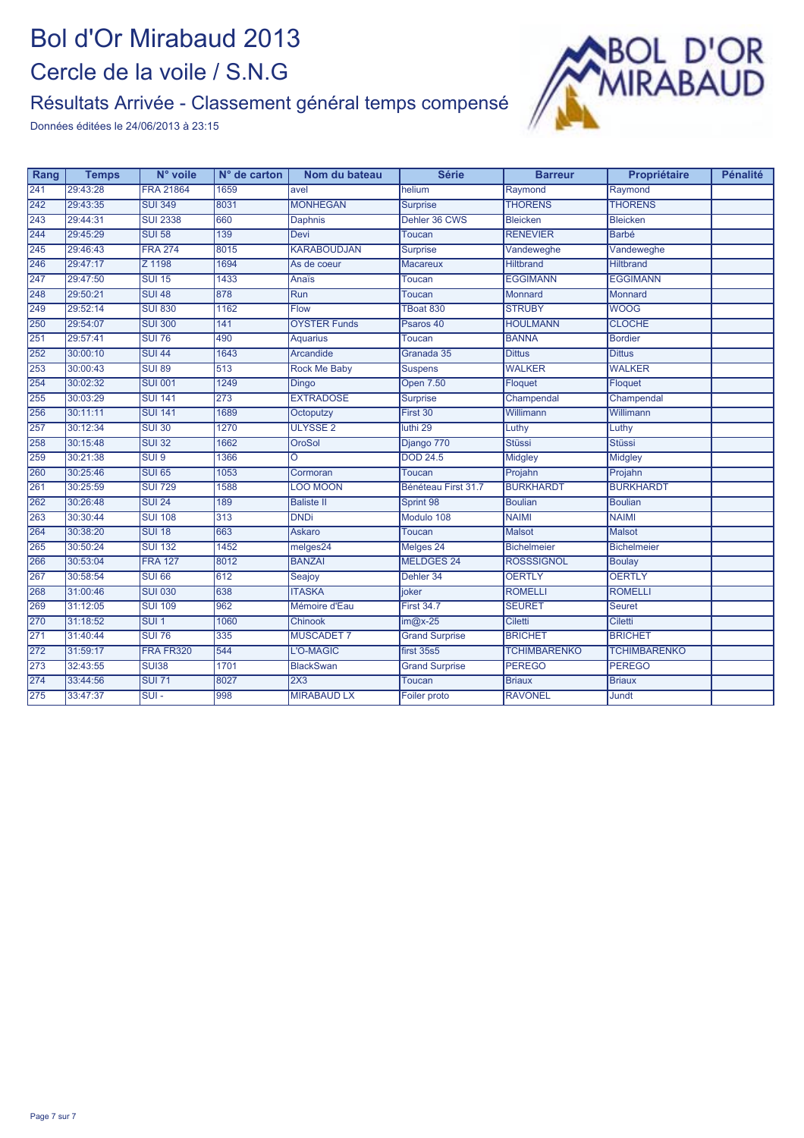#### Résultats Arrivée - Classement général temps compensé



| Rang | <b>Temps</b> | N° voile         | $N°$ de carton | Nom du bateau       | <b>Série</b>          | <b>Barreur</b>      | Propriétaire        | <b>Pénalité</b> |
|------|--------------|------------------|----------------|---------------------|-----------------------|---------------------|---------------------|-----------------|
| 241  | 29:43:28     | <b>FRA 21864</b> | 1659           | avel                | helium                | Raymond             | Raymond             |                 |
| 242  | 29:43:35     | <b>SUI 349</b>   | 8031           | <b>MONHEGAN</b>     | <b>Surprise</b>       | <b>THORENS</b>      | <b>THORENS</b>      |                 |
| 243  | 29:44:31     | <b>SUI 2338</b>  | 660            | Daphnis             | Dehler 36 CWS         | <b>Bleicken</b>     | <b>Bleicken</b>     |                 |
| 244  | 29:45:29     | <b>SUI 58</b>    | 139            | <b>Devi</b>         | Toucan                | <b>RENEVIER</b>     | <b>Barbé</b>        |                 |
| 245  | 29:46:43     | <b>FRA 274</b>   | 8015           | <b>KARABOUDJAN</b>  | <b>Surprise</b>       | Vandeweghe          | Vandeweghe          |                 |
| 246  | 29:47:17     | Z 1198           | 1694           | As de coeur         | <b>Macareux</b>       | <b>Hiltbrand</b>    | <b>Hiltbrand</b>    |                 |
| 247  | 29:47:50     | <b>SUI 15</b>    | 1433           | <b>Anaïs</b>        | <b>Toucan</b>         | <b>EGGIMANN</b>     | <b>EGGIMANN</b>     |                 |
| 248  | 29:50:21     | <b>SUI 48</b>    | 878            | <b>Run</b>          | <b>Toucan</b>         | Monnard             | <b>Monnard</b>      |                 |
| 249  | 29:52:14     | <b>SUI 830</b>   | 1162           | <b>Flow</b>         | TBoat 830             | <b>STRUBY</b>       | <b>WOOG</b>         |                 |
| 250  | 29:54:07     | <b>SUI 300</b>   | 141            | <b>OYSTER Funds</b> | Psaros 40             | <b>HOULMANN</b>     | <b>CLOCHE</b>       |                 |
| 251  | 29:57:41     | <b>SUI 76</b>    | 490            | <b>Aquarius</b>     | Toucan                | <b>BANNA</b>        | <b>Bordier</b>      |                 |
| 252  | 30:00:10     | <b>SUI 44</b>    | 1643           | Arcandide           | Granada 35            | <b>Dittus</b>       | <b>Dittus</b>       |                 |
| 253  | 30:00:43     | <b>SUI 89</b>    | 513            | <b>Rock Me Baby</b> | Suspens               | <b>WALKER</b>       | <b>WALKER</b>       |                 |
| 254  | 30:02:32     | <b>SUI 001</b>   | 1249           | <b>Dingo</b>        | <b>Open 7.50</b>      | Floquet             | Floquet             |                 |
| 255  | 30:03:29     | <b>SUI 141</b>   | 273            | <b>EXTRADOSE</b>    | <b>Surprise</b>       | Champendal          | Champendal          |                 |
| 256  | 30:11:11     | <b>SUI 141</b>   | 1689           | Octoputzy           | First 30              | Willimann           | Willimann           |                 |
| 257  | 30:12:34     | <b>SUI 30</b>    | 1270           | <b>ULYSSE 2</b>     | luthi 29              | Luthy               | Luthy               |                 |
| 258  | 30:15:48     | <b>SUI 32</b>    | 1662           | <b>OroSol</b>       | Django 770            | <b>Stüssi</b>       | <b>Stüssi</b>       |                 |
| 259  | 30:21:38     | SUI <sub>9</sub> | 1366           | Ô                   | <b>DOD 24.5</b>       | <b>Midgley</b>      | <b>Midgley</b>      |                 |
| 260  | 30:25:46     | <b>SUI 65</b>    | 1053           | Cormoran            | Toucan                | Projahn             | Projahn             |                 |
| 261  | 30:25:59     | <b>SUI 729</b>   | 1588           | <b>LOO MOON</b>     | Bénéteau First 31.7   | <b>BURKHARDT</b>    | <b>BURKHARDT</b>    |                 |
| 262  | 30:26:48     | <b>SUI 24</b>    | 189            | <b>Baliste II</b>   | Sprint 98             | <b>Boulian</b>      | <b>Boulian</b>      |                 |
| 263  | 30:30:44     | <b>SUI 108</b>   | 313            | <b>DNDi</b>         | Modulo 108            | <b>NAIMI</b>        | <b>NAIMI</b>        |                 |
| 264  | 30:38:20     | <b>SUI 18</b>    | 663            | <b>Askaro</b>       | <b>Toucan</b>         | <b>Malsot</b>       | <b>Malsot</b>       |                 |
| 265  | 30:50:24     | <b>SUI 132</b>   | 1452           | melges24            | Melges 24             | <b>Bichelmeier</b>  | <b>Bichelmeier</b>  |                 |
| 266  | 30:53:04     | <b>FRA 127</b>   | 8012           | <b>BANZAI</b>       | <b>MELDGES 24</b>     | <b>ROSSSIGNOL</b>   | <b>Boulay</b>       |                 |
| 267  | 30:58:54     | <b>SUI 66</b>    | 612            | Seajoy              | Dehler 34             | <b>OERTLY</b>       | <b>OERTLY</b>       |                 |
| 268  | 31:00:46     | <b>SUI 030</b>   | 638            | <b>ITASKA</b>       | ioker                 | <b>ROMELLI</b>      | <b>ROMELLI</b>      |                 |
| 269  | 31:12:05     | <b>SUI 109</b>   | 962            | Mémoire d'Eau       | <b>First 34.7</b>     | <b>SEURET</b>       | <b>Seuret</b>       |                 |
| 270  | 31:18:52     | SUI <sub>1</sub> | 1060           | Chinook             | $im@x-25$             | <b>Ciletti</b>      | <b>Ciletti</b>      |                 |
| 271  | 31:40:44     | <b>SUI 76</b>    | 335            | <b>MUSCADET 7</b>   | <b>Grand Surprise</b> | <b>BRICHET</b>      | <b>BRICHET</b>      |                 |
| 272  | 31:59:17     | FRA FR320        | 544            | L'O-MAGIC           | first 35s5            | <b>TCHIMBARENKO</b> | <b>TCHIMBARENKO</b> |                 |
| 273  | 32:43:55     | <b>SUI38</b>     | 1701           | <b>BlackSwan</b>    | <b>Grand Surprise</b> | <b>PEREGO</b>       | <b>PEREGO</b>       |                 |
| 274  | 33:44:56     | <b>SUI 71</b>    | 8027           | 2X3                 | <b>Toucan</b>         | <b>Briaux</b>       | <b>Briaux</b>       |                 |
| 275  | 33:47:37     | $SUI -$          | 998            | <b>MIRABAUD LX</b>  | Foiler proto          | <b>RAVONEL</b>      | Jundt               |                 |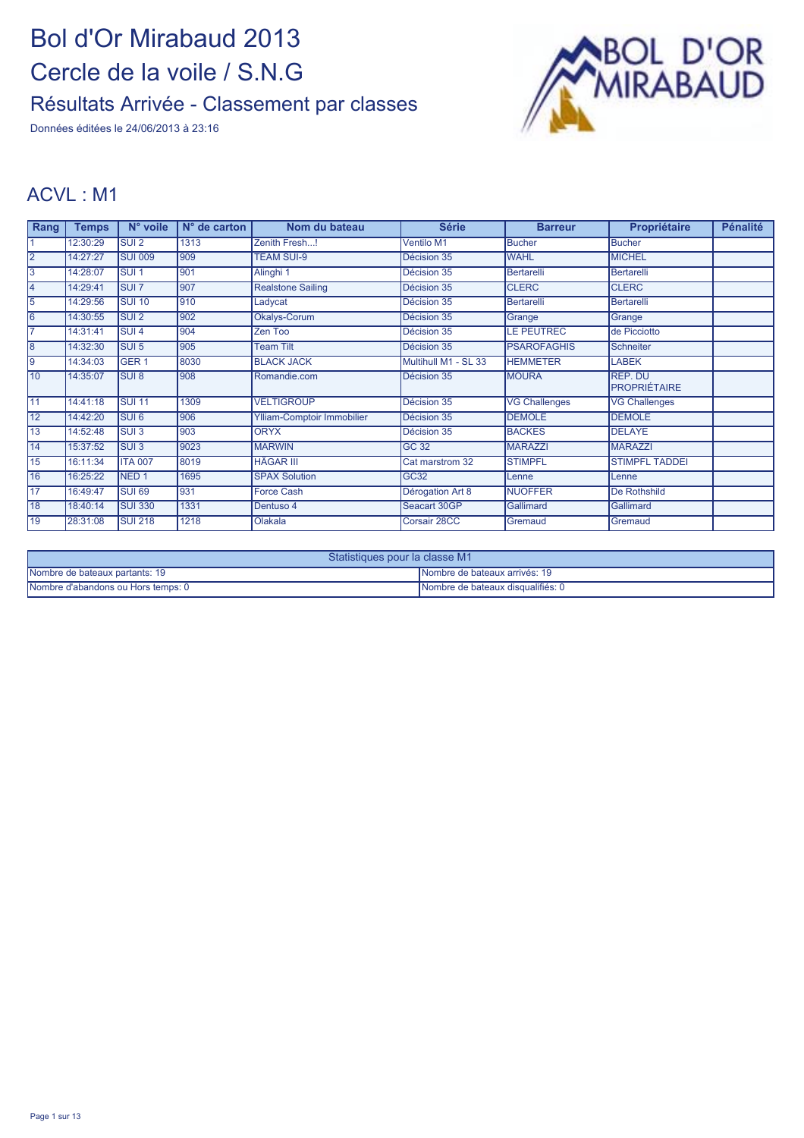Données éditées le 24/06/2013 à 23:16



#### ACVL : M1

| Rang            | <b>Temps</b> | N° voile                  | $N°$ de carton | Nom du bateau              | <b>Série</b>         | <b>Barreur</b>       | Propriétaire                   | <b>Pénalité</b> |
|-----------------|--------------|---------------------------|----------------|----------------------------|----------------------|----------------------|--------------------------------|-----------------|
|                 | 12:30:29     | <b>SUI2</b>               | 1313           | Zenith Fresh!              | Ventilo M1           | <b>Bucher</b>        | <b>Bucher</b>                  |                 |
| $\overline{2}$  | 14:27:27     | <b>SUI 009</b>            | 909            | <b>TEAM SUI-9</b>          | Décision 35          | <b>WAHL</b>          | <b>MICHEL</b>                  |                 |
| 3               | 14:28:07     | <b>SUI1</b>               | 901            | Alinghi 1                  | Décision 35          | <b>Bertarelli</b>    | Bertarelli                     |                 |
| 14              | 14:29:41     | <b>SUI 7</b>              | 907            | <b>Realstone Sailing</b>   | Décision 35          | <b>CLERC</b>         | <b>CLERC</b>                   |                 |
| 5               | 14:29:56     | <b>SUI 10</b>             | 910            | Ladycat                    | Décision 35          | <b>Bertarelli</b>    | Bertarelli                     |                 |
| 6               | 14:30:55     | $\overline{\text{SUI 2}}$ | 902            | Okalys-Corum               | Décision 35          | Grange               | Grange                         |                 |
|                 | 14:31:41     | SUI <sub>4</sub>          | 904            | Zen Too                    | Décision 35          | <b>LE PEUTREC</b>    | de Picciotto                   |                 |
| 8               | 14:32:30     | SUI <sub>5</sub>          | 905            | <b>Team Tilt</b>           | Décision 35          | <b>PSAROFAGHIS</b>   | <b>Schneiter</b>               |                 |
| l9              | 14:34:03     | GER <sub>1</sub>          | 8030           | <b>BLACK JACK</b>          | Multihull M1 - SL 33 | <b>HEMMETER</b>      | <b>LABEK</b>                   |                 |
| 10              | 14:35:07     | <b>SUI 8</b>              | 908            | Romandie.com               | Décision 35          | <b>MOURA</b>         | REP. DU<br><b>PROPRIÉTAIRE</b> |                 |
| $\overline{11}$ | 14:41:18     | <b>SUI 11</b>             | 1309           | <b>VELTIGROUP</b>          | Décision 35          | <b>VG Challenges</b> | <b>VG Challenges</b>           |                 |
| 12              | 14:42:20     | <b>SUI 6</b>              | 906            | Ylliam-Comptoir Immobilier | Décision 35          | <b>DEMOLE</b>        | <b>DEMOLE</b>                  |                 |
| 13              | 14:52:48     | SUI <sub>3</sub>          | 903            | <b>ORYX</b>                | Décision 35          | <b>BACKES</b>        | <b>DELAYE</b>                  |                 |
| 14              | 15:37:52     | <b>SUI3</b>               | 9023           | <b>MARWIN</b>              | GC 32                | <b>MARAZZI</b>       | <b>MARAZZI</b>                 |                 |
| 15              | 16:11:34     | <b>ITA 007</b>            | 8019           | <b>HÄGAR III</b>           | Cat marstrom 32      | <b>STIMPFL</b>       | <b>STIMPFL TADDEI</b>          |                 |
| 16              | 16:25:22     | NED <sub>1</sub>          | 1695           | <b>SPAX Solution</b>       | GC32                 | Lenne                | Lenne                          |                 |
| 17              | 16:49:47     | <b>SUI 69</b>             | 931            | <b>Force Cash</b>          | Dérogation Art 8     | <b>NUOFFER</b>       | <b>De Rothshild</b>            |                 |
| 18              | 18:40:14     | <b>SUI 330</b>            | 1331           | Dentuso 4                  | Seacart 30GP         | Gallimard            | Gallimard                      |                 |
| 19              | 28:31:08     | <b>SUI 218</b>            | 1218           | Olakala                    | Corsair 28CC         | Gremaud              | Gremaud                        |                 |

| Statistiques pour la classe M1     |                                   |  |  |  |
|------------------------------------|-----------------------------------|--|--|--|
| Nombre de bateaux partants: 19     | INombre de bateaux arrivés: 19    |  |  |  |
| Nombre d'abandons ou Hors temps: 0 | Nombre de bateaux disqualifiés: 0 |  |  |  |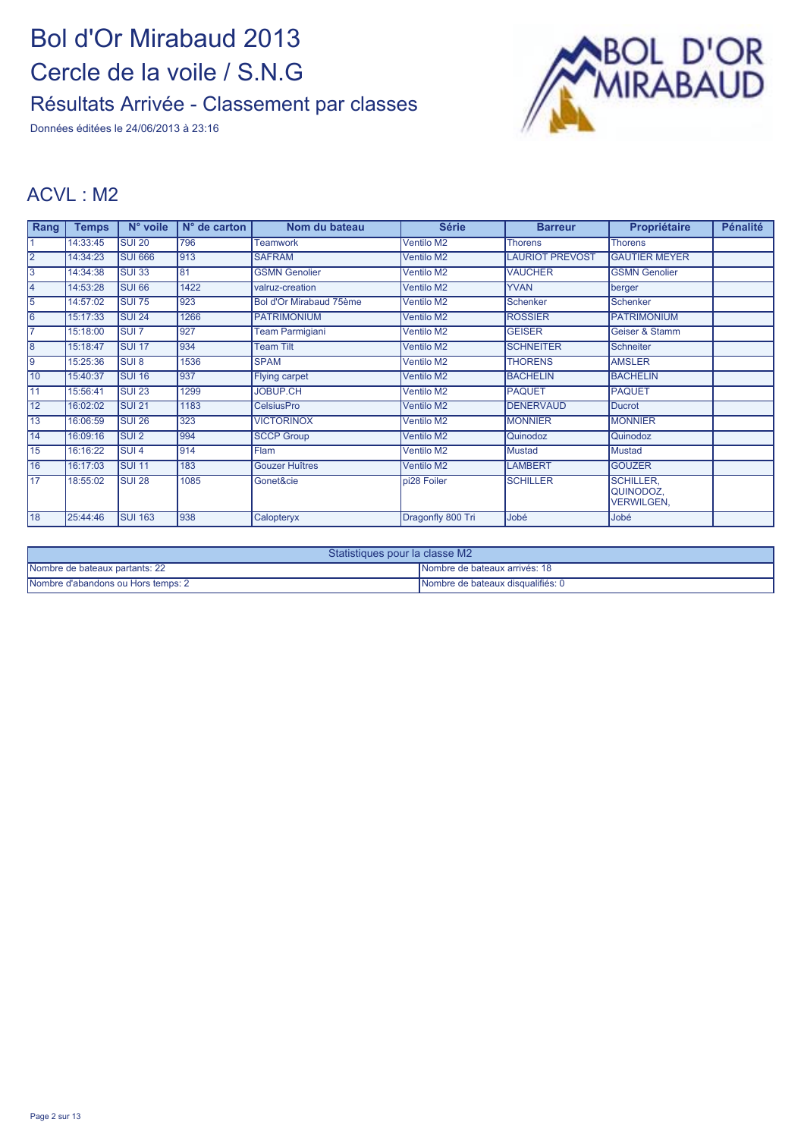Données éditées le 24/06/2013 à 23:16



#### ACVL : M2

| Rang            | <b>Temps</b> | N° voile          | $N^{\circ}$ de carton | Nom du bateau           | <b>Série</b>      | <b>Barreur</b>         | Propriétaire                                       | <b>Pénalité</b> |
|-----------------|--------------|-------------------|-----------------------|-------------------------|-------------------|------------------------|----------------------------------------------------|-----------------|
|                 | 14:33:45     | <b>SUI 20</b>     | 796                   | <b>Teamwork</b>         | <b>Ventilo M2</b> | <b>Thorens</b>         | <b>Thorens</b>                                     |                 |
| $\overline{2}$  | 14:34:23     | <b>SUI 666</b>    | 913                   | <b>SAFRAM</b>           | Ventilo M2        | <b>LAURIOT PREVOST</b> | <b>GAUTIER MEYER</b>                               |                 |
| 3               | 14:34:38     | <b>SUI 33</b>     | 81                    | <b>GSMN Genolier</b>    | Ventilo M2        | <b>VAUCHER</b>         | <b>GSMN Genolier</b>                               |                 |
| 14              | 14:53:28     | <b>SUI 66</b>     | 1422                  | valruz-creation         | Ventilo M2        | <b>YVAN</b>            | berger                                             |                 |
| 5               | 14:57:02     | <b>SUI 75</b>     | 923                   | Bol d'Or Mirabaud 75ème | Ventilo M2        | Schenker               | Schenker                                           |                 |
| l6              | 15:17:33     | SUI <sub>24</sub> | 1266                  | <b>PATRIMONIUM</b>      | Ventilo M2        | <b>ROSSIER</b>         | <b>PATRIMONIUM</b>                                 |                 |
|                 | 15:18:00     | <b>SUI 7</b>      | 927                   | <b>Team Parmigiani</b>  | Ventilo M2        | <b>GEISER</b>          | Geiser & Stamm                                     |                 |
| l8              | 15:18:47     | <b>SUI 17</b>     | 934                   | <b>Team Tilt</b>        | <b>Ventilo M2</b> | <b>SCHNEITER</b>       | Schneiter                                          |                 |
| l9              | 15:25:36     | <b>SUI 8</b>      | 1536                  | <b>SPAM</b>             | Ventilo M2        | <b>THORENS</b>         | <b>AMSLER</b>                                      |                 |
| 10              | 15:40:37     | SUI 16            | 937                   | <b>Flying carpet</b>    | Ventilo M2        | <b>BACHELIN</b>        | <b>BACHELIN</b>                                    |                 |
| $\overline{11}$ | 15:56:41     | <b>SUI 23</b>     | 1299                  | <b>JOBUP.CH</b>         | <b>Ventilo M2</b> | <b>PAQUET</b>          | <b>PAQUET</b>                                      |                 |
| $\overline{12}$ | 16:02:02     | <b>SUI 21</b>     | 1183                  | <b>CelsiusPro</b>       | <b>Ventilo M2</b> | <b>DENERVAUD</b>       | <b>Ducrot</b>                                      |                 |
| 13              | 16:06:59     | <b>SUI 26</b>     | 323                   | <b>VICTORINOX</b>       | Ventilo M2        | <b>MONNIER</b>         | <b>MONNIER</b>                                     |                 |
| 14              | 16:09:16     | <b>SUI2</b>       | 994                   | <b>SCCP Group</b>       | <b>Ventilo M2</b> | Quinodoz               | Quinodoz                                           |                 |
| 15              | 16:16:22     | <b>SUI4</b>       | 914                   | <b>Flam</b>             | Ventilo M2        | <b>Mustad</b>          | Mustad                                             |                 |
| 16              | 16:17:03     | <b>SUI 11</b>     | 183                   | <b>Gouzer Huîtres</b>   | Ventilo M2        | <b>LAMBERT</b>         | <b>GOUZER</b>                                      |                 |
| 17              | 18:55:02     | <b>SUI 28</b>     | 1085                  | Gonet&cie               | pi28 Foiler       | <b>SCHILLER</b>        | <b>SCHILLER.</b><br>QUINODOZ.<br><b>VERWILGEN,</b> |                 |
| 18              | 25:44:46     | <b>SUI 163</b>    | 938                   | Calopteryx              | Dragonfly 800 Tri | Jobé                   | Jobé                                               |                 |

| Statistiques pour la classe M2     |                                   |  |  |  |
|------------------------------------|-----------------------------------|--|--|--|
| Nombre de bateaux partants: 22     | INombre de bateaux arrivés: 18    |  |  |  |
| Nombre d'abandons ou Hors temps: 2 | Nombre de bateaux disqualifiés: 0 |  |  |  |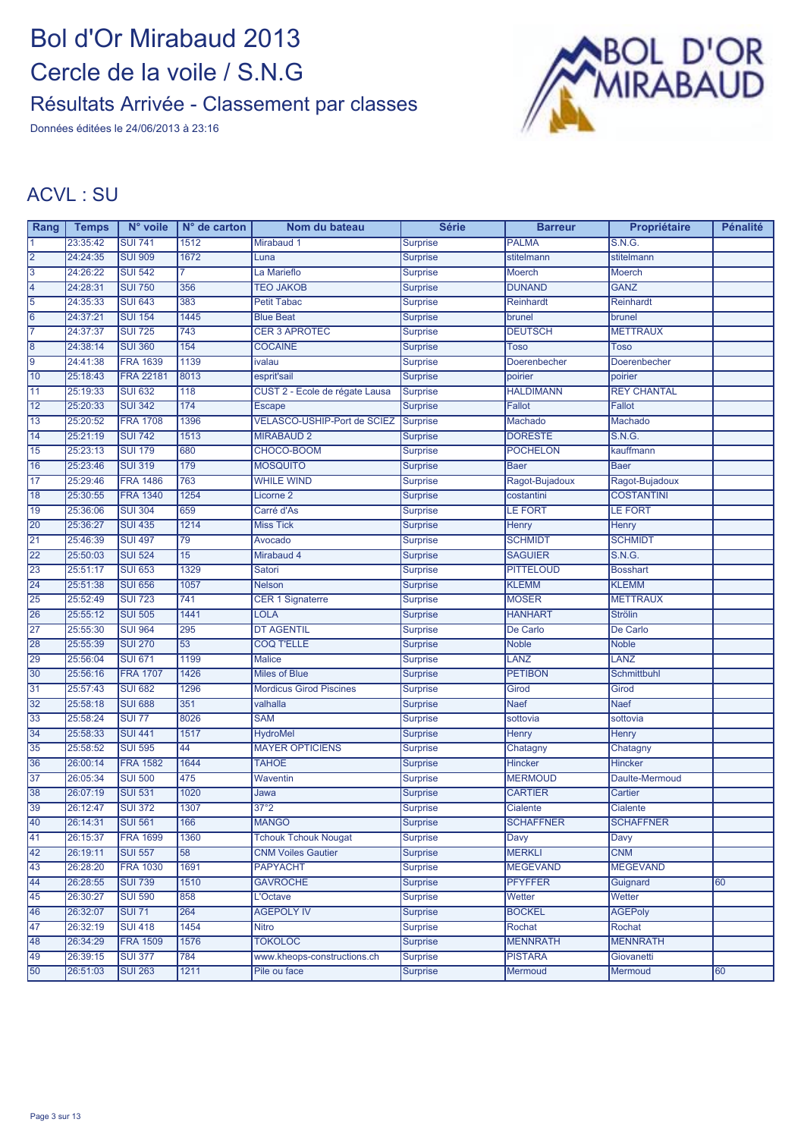Données éditées le 24/06/2013 à 23:16



#### ACVL : SU

| Rang            | <b>Temps</b> | N° voile         | $N°$ de carton | Nom du bateau                  | <b>Série</b>    | <b>Barreur</b>   | Propriétaire       | <b>Pénalité</b> |
|-----------------|--------------|------------------|----------------|--------------------------------|-----------------|------------------|--------------------|-----------------|
|                 | 23:35:42     | <b>SUI 741</b>   | 1512           | Mirabaud 1                     | <b>Surprise</b> | <b>PALMA</b>     | S.N.G.             |                 |
| $\overline{2}$  | 24:24:35     | <b>SUI 909</b>   | 1672           | Luna                           | <b>Surprise</b> | stitelmann       | stitelmann         |                 |
| 3               | 24:26:22     | <b>SUI 542</b>   |                | La Marieflo                    | <b>Surprise</b> | Moerch           | <b>Moerch</b>      |                 |
| 4               | 24:28:31     | <b>SUI 750</b>   | 356            | <b>TEO JAKOB</b>               | <b>Surprise</b> | <b>DUNAND</b>    | <b>GANZ</b>        |                 |
| $\overline{5}$  | 24:35:33     | <b>SUI 643</b>   | 383            | <b>Petit Tabac</b>             | <b>Surprise</b> | Reinhardt        | Reinhardt          |                 |
| 6               | 24:37:21     | <b>SUI 154</b>   | 1445           | <b>Blue Beat</b>               | <b>Surprise</b> | brunel           | brunel             |                 |
| 17              | 24:37:37     | <b>SUI 725</b>   | 743            | <b>CER 3 APROTEC</b>           | <b>Surprise</b> | <b>DEUTSCH</b>   | <b>METTRAUX</b>    |                 |
| $\overline{8}$  | 24:38:14     | <b>SUI 360</b>   | 154            | <b>COCAINE</b>                 | <b>Surprise</b> | <b>Toso</b>      | Toso               |                 |
| 9               | 24:41:38     | <b>FRA 1639</b>  | 1139           | ivalau                         | <b>Surprise</b> | Doerenbecher     | Doerenbecher       |                 |
| 10              | 25:18:43     | <b>FRA 22181</b> | 8013           | esprit'sail                    | <b>Surprise</b> | poirier          | poirier            |                 |
| 11              | 25:19:33     | <b>SUI 632</b>   | 118            | CUST 2 - Ecole de régate Lausa | Surprise        | <b>HALDIMANN</b> | <b>REY CHANTAL</b> |                 |
| 12              | 25:20:33     | <b>SUI 342</b>   | 174            | <b>Escape</b>                  | <b>Surprise</b> | Fallot           | <b>Fallot</b>      |                 |
| 13              | 25:20:52     | <b>FRA 1708</b>  | 1396           | VELASCO-USHIP-Port de SCIEZ    | Surprise        | Machado          | Machado            |                 |
| 14              | 25:21:19     | <b>SUI 742</b>   | 1513           | <b>MIRABAUD 2</b>              | <b>Surprise</b> | <b>DORESTE</b>   | S.N.G.             |                 |
| 15              | 25:23:13     | <b>SUI 179</b>   | 680            | CHOCO-BOOM                     | <b>Surprise</b> | <b>POCHELON</b>  | kauffmann          |                 |
| 16              | 25:23:46     | <b>SUI 319</b>   | 179            | <b>MOSQUITO</b>                | <b>Surprise</b> | Baer             | <b>Baer</b>        |                 |
| $\overline{17}$ | 25:29:46     | <b>FRA 1486</b>  | 763            | <b>WHILE WIND</b>              | <b>Surprise</b> | Ragot-Bujadoux   | Ragot-Bujadoux     |                 |
| 18              | 25:30:55     | <b>FRA 1340</b>  | 1254           | Licorne <sub>2</sub>           | <b>Surprise</b> | costantini       | <b>COSTANTINI</b>  |                 |
| 19              | 25:36:06     | <b>SUI 304</b>   | 659            | Carré d'As                     | <b>Surprise</b> | <b>LE FORT</b>   | LE FORT            |                 |
| 20              | 25:36:27     | <b>SUI 435</b>   | 1214           | <b>Miss Tick</b>               | <b>Surprise</b> | <b>Henry</b>     | <b>Henry</b>       |                 |
| 21              | 25:46:39     | <b>SUI 497</b>   | 79             | Avocado                        | <b>Surprise</b> | <b>SCHMIDT</b>   | <b>SCHMIDT</b>     |                 |
| 22              | 25:50:03     | <b>SUI 524</b>   | 15             | Mirabaud 4                     | Surprise        | <b>SAGUIER</b>   | S.N.G.             |                 |
| 23              | 25:51:17     | <b>SUI 653</b>   | 1329           | Satori                         | <b>Surprise</b> | <b>PITTELOUD</b> | <b>Bosshart</b>    |                 |
| 24              | 25:51:38     | <b>SUI 656</b>   | 1057           | <b>Nelson</b>                  | <b>Surprise</b> | <b>KLEMM</b>     | <b>KLEMM</b>       |                 |
| 25              | 25:52:49     | <b>SUI 723</b>   | 741            | <b>CER 1 Signaterre</b>        | <b>Surprise</b> | <b>MOSER</b>     | <b>METTRAUX</b>    |                 |
| 26              | 25:55:12     | <b>SUI 505</b>   | 1441           | <b>LOLA</b>                    | <b>Surprise</b> | <b>HANHART</b>   | <b>Strölin</b>     |                 |
| 27              | 25:55:30     | <b>SUI 964</b>   | 295            | <b>DT AGENTIL</b>              | <b>Surprise</b> | De Carlo         | De Carlo           |                 |
| 28              | 25:55:39     | <b>SUI 270</b>   | 53             | <b>COQ T'ELLE</b>              | <b>Surprise</b> | <b>Noble</b>     | <b>Noble</b>       |                 |
| 29              | 25:56:04     | <b>SUI 671</b>   | 1199           | <b>Malice</b>                  | <b>Surprise</b> | LANZ             | <b>LANZ</b>        |                 |
| 30              | 25:56:16     | <b>FRA 1707</b>  | 1426           | <b>Miles of Blue</b>           | <b>Surprise</b> | <b>PETIBON</b>   | Schmittbuhl        |                 |
| 31              | 25:57:43     | <b>SUI 682</b>   | 1296           | <b>Mordicus Girod Piscines</b> | <b>Surprise</b> | Girod            | Girod              |                 |
| 32              | 25:58:18     | <b>SUI 688</b>   | 351            | valhalla                       | <b>Surprise</b> | <b>Naef</b>      | <b>Naef</b>        |                 |
| 33              | 25:58:24     | <b>SUI 77</b>    | 8026           | <b>SAM</b>                     | <b>Surprise</b> | sottovia         | sottovia           |                 |
| 34              | 25:58:33     | <b>SUI 441</b>   | 1517           | <b>HydroMel</b>                | Surprise        | Henry            | <b>Henry</b>       |                 |
| 35              | 25:58:52     | <b>SUI 595</b>   | 44             | <b>MAYER OPTICIENS</b>         | <b>Surprise</b> | Chatagny         | Chatagny           |                 |
| 36              | 26:00:14     | <b>FRA 1582</b>  | 1644           | <b>TAHOE</b>                   | <b>Surprise</b> | Hincker          | <b>Hincker</b>     |                 |
| 37              | 26:05:34     | <b>SUI 500</b>   | 475            | Waventin                       | <b>Surprise</b> | <b>MERMOUD</b>   | Daulte-Mermoud     |                 |
| 38              | 26:07:19     | <b>SUI 531</b>   | 1020           | Jawa                           | <b>Surprise</b> | <b>CARTIER</b>   | Cartier            |                 |
| 39              | 26:12:47     | <b>SUI 372</b>   | 1307           | 37°2                           | <b>Surprise</b> | <b>Cialente</b>  | Cialente           |                 |
| 40              | 26:14:31     | <b>SUI 561</b>   | 166            | <b>MANGO</b>                   | <b>Surprise</b> | <b>SCHAFFNER</b> | <b>SCHAFFNER</b>   |                 |
| 41              | 26:15:37     | <b>FRA 1699</b>  | 1360           | <b>Tchouk Tchouk Nougat</b>    | <b>Surprise</b> | Davy             | Davy               |                 |
| 42              | 26:19:11     | <b>SUI 557</b>   | 58             | <b>CNM Voiles Gautier</b>      | <b>Surprise</b> | <b>MERKLI</b>    | <b>CNM</b>         |                 |
| 43              | 26:28:20     | <b>FRA 1030</b>  | 1691           | <b>PAPYACHT</b>                | <b>Surprise</b> | <b>MEGEVAND</b>  | <b>MEGEVAND</b>    |                 |
| 44              | 26:28:55     | <b>SUI 739</b>   | 1510           | <b>GAVROCHE</b>                | Surprise        | <b>PFYFFER</b>   | Guignard           | 60              |
| 45              | 26:30:27     | <b>SUI 590</b>   | 858            | L'Octave                       | <b>Surprise</b> | Wetter           | Wetter             |                 |
| 46              | 26:32:07     | <b>SUI 71</b>    | 264            | <b>AGEPOLY IV</b>              | <b>Surprise</b> | <b>BOCKEL</b>    | <b>AGEPoly</b>     |                 |
| 47              | 26:32:19     | <b>SUI 418</b>   | 1454           | <b>Nitro</b>                   | <b>Surprise</b> | Rochat           | Rochat             |                 |
| 48              | 26:34:29     | <b>FRA 1509</b>  | 1576           | <b>TOKOLOC</b>                 | <b>Surprise</b> | <b>MENNRATH</b>  | <b>MENNRATH</b>    |                 |
| 49              | 26:39:15     | <b>SUI 377</b>   | 784            | www.kheops-constructions.ch    | <b>Surprise</b> | <b>PISTARA</b>   | Giovanetti         |                 |
| 50              | 26:51:03     | <b>SUI 263</b>   | 1211           | Pile ou face                   | <b>Surprise</b> | <b>Mermoud</b>   | Mermoud            | 60              |
|                 |              |                  |                |                                |                 |                  |                    |                 |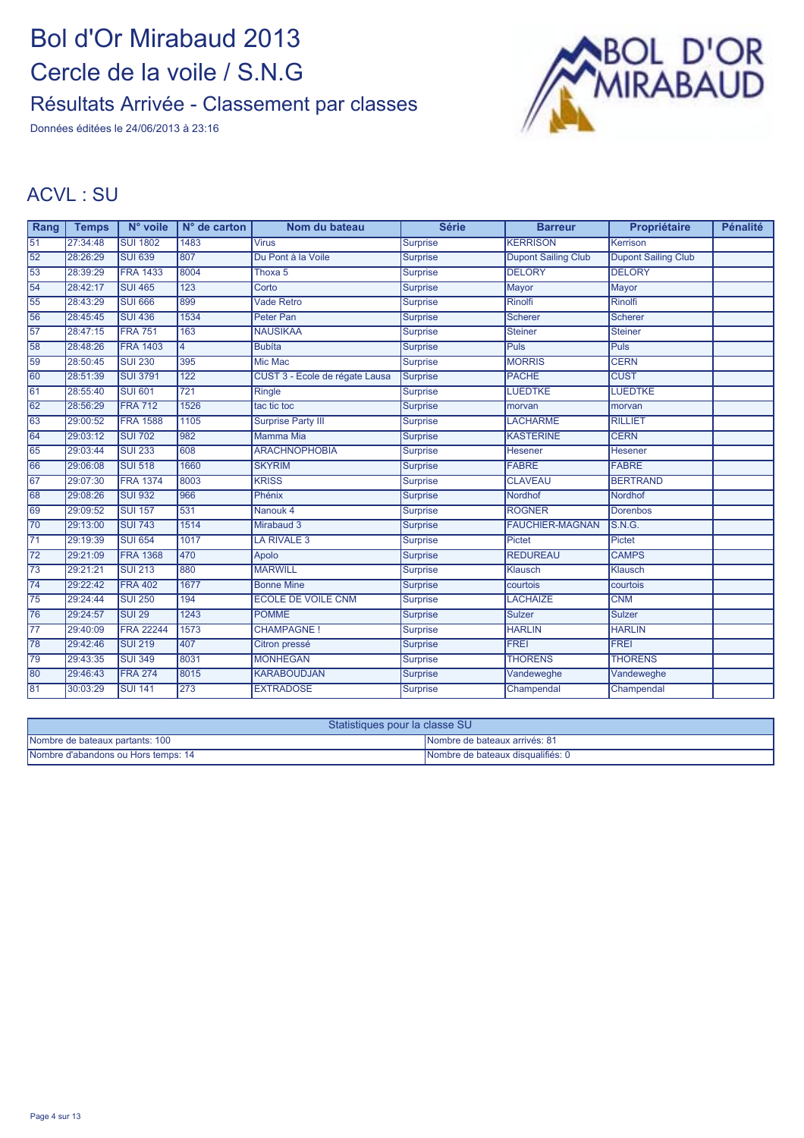Données éditées le 24/06/2013 à 23:16



#### ACVL : SU

| Rang            | <b>Temps</b> | N° voile         | $N°$ de carton | Nom du bateau                  | <b>Série</b>    | <b>Barreur</b>             | Propriétaire               | <b>Pénalité</b> |
|-----------------|--------------|------------------|----------------|--------------------------------|-----------------|----------------------------|----------------------------|-----------------|
| $\overline{51}$ | 27:34:48     | <b>SUI 1802</b>  | 1483           | <b>Virus</b>                   | <b>Surprise</b> | <b>KERRISON</b>            | Kerrison                   |                 |
| 52              | 28:26:29     | <b>SUI 639</b>   | 807            | Du Pont à la Voile             | <b>Surprise</b> | <b>Dupont Sailing Club</b> | <b>Dupont Sailing Club</b> |                 |
| 53              | 28:39:29     | <b>FRA 1433</b>  | 8004           | Thoxa 5                        | <b>Surprise</b> | <b>DELORY</b>              | <b>DELORY</b>              |                 |
| 54              | 28:42:17     | <b>SUI 465</b>   | 123            | Corto                          | <b>Surprise</b> | Mayor                      | <b>Mayor</b>               |                 |
| 55              | 28:43:29     | <b>SUI 666</b>   | 899            | <b>Vade Retro</b>              | <b>Surprise</b> | <b>Rinolfi</b>             | <b>Rinolfi</b>             |                 |
| 56              | 28:45:45     | <b>SUI 436</b>   | 1534           | <b>Peter Pan</b>               | <b>Surprise</b> | <b>Scherer</b>             | <b>Scherer</b>             |                 |
| 57              | 28:47:15     | <b>FRA 751</b>   | 163            | <b>NAUSIKAA</b>                | <b>Surprise</b> | <b>Steiner</b>             | <b>Steiner</b>             |                 |
| 58              | 28:48:26     | <b>FRA 1403</b>  | l4             | <b>Bubíta</b>                  | <b>Surprise</b> | <b>Puls</b>                | <b>Puls</b>                |                 |
| 59              | 28:50:45     | <b>SUI 230</b>   | 395            | <b>Mic Mac</b>                 | <b>Surprise</b> | <b>MORRIS</b>              | <b>CERN</b>                |                 |
| 60              | 28:51:39     | <b>SUI 3791</b>  | 122            | CUST 3 - Ecole de régate Lausa | Surprise        | <b>PACHE</b>               | <b>CUST</b>                |                 |
| 61              | 28:55:40     | <b>SUI 601</b>   | 721            | Ringle                         | <b>Surprise</b> | <b>LUEDTKE</b>             | <b>LUEDTKE</b>             |                 |
| 62              | 28:56:29     | <b>FRA 712</b>   | 1526           | tac tic toc                    | <b>Surprise</b> | morvan                     | morvan                     |                 |
| 63              | 29:00:52     | <b>FRA 1588</b>  | 1105           | <b>Surprise Party III</b>      | <b>Surprise</b> | <b>LACHARME</b>            | <b>RILLIET</b>             |                 |
| 64              | 29:03:12     | <b>SUI 702</b>   | 982            | <b>Mamma Mia</b>               | <b>Surprise</b> | <b>KASTERINE</b>           | <b>CERN</b>                |                 |
| 65              | 29:03:44     | <b>SUI 233</b>   | 608            | <b>ARACHNOPHOBIA</b>           | <b>Surprise</b> | Hesener                    | Hesener                    |                 |
| 66              | 29:06:08     | <b>SUI 518</b>   | 1660           | <b>SKYRIM</b>                  | Surprise        | <b>FABRE</b>               | <b>FABRE</b>               |                 |
| 67              | 29:07:30     | <b>FRA 1374</b>  | 8003           | <b>KRISS</b>                   | <b>Surprise</b> | <b>CLAVEAU</b>             | <b>BERTRAND</b>            |                 |
| 68              | 29:08:26     | <b>SUI 932</b>   | 966            | Phénix                         | <b>Surprise</b> | Nordhof                    | Nordhof                    |                 |
| 69              | 29:09:52     | <b>SUI 157</b>   | 531            | Nanouk 4                       | Surprise        | <b>ROGNER</b>              | <b>Dorenbos</b>            |                 |
| 70              | 29:13:00     | <b>SUI 743</b>   | 1514           | Mirabaud 3                     | <b>Surprise</b> | <b>FAUCHIER-MAGNAN</b>     | <b>S.N.G.</b>              |                 |
| $\overline{71}$ | 29:19:39     | <b>SUI 654</b>   | 1017           | LA RIVALE 3                    | <b>Surprise</b> | Pictet                     | Pictet                     |                 |
| $\overline{72}$ | 29:21:09     | <b>FRA 1368</b>  | 470            | Apolo                          | Surprise        | <b>REDUREAU</b>            | <b>CAMPS</b>               |                 |
| $\overline{73}$ | 29:21:21     | <b>SUI 213</b>   | 880            | <b>MARWILL</b>                 | <b>Surprise</b> | Klausch                    | <b>Klausch</b>             |                 |
| $\overline{74}$ | 29:22:42     | <b>FRA 402</b>   | 1677           | <b>Bonne Mine</b>              | <b>Surprise</b> | courtois                   | courtois                   |                 |
| 75              | 29:24:44     | <b>SUI 250</b>   | 194            | <b>ECOLE DE VOILE CNM</b>      | <b>Surprise</b> | <b>LACHAIZE</b>            | <b>CNM</b>                 |                 |
| 76              | 29:24:57     | <b>SUI 29</b>    | 1243           | <b>POMME</b>                   | <b>Surprise</b> | <b>Sulzer</b>              | <b>Sulzer</b>              |                 |
| 77              | 29:40:09     | <b>FRA 22244</b> | 1573           | <b>CHAMPAGNE!</b>              | <b>Surprise</b> | <b>HARLIN</b>              | <b>HARLIN</b>              |                 |
| 78              | 29:42:46     | <b>SUI 219</b>   | 407            | Citron pressé                  | Surprise        | <b>FREI</b>                | <b>FREI</b>                |                 |
| 79              | 29:43:35     | <b>SUI 349</b>   | 8031           | <b>MONHEGAN</b>                | <b>Surprise</b> | <b>THORENS</b>             | <b>THORENS</b>             |                 |
| 80              | 29:46:43     | <b>FRA 274</b>   | 8015           | <b>KARABOUDJAN</b>             | <b>Surprise</b> | Vandeweghe                 | Vandeweghe                 |                 |
| 81              | 30:03:29     | <b>SUI 141</b>   | 273            | <b>EXTRADOSE</b>               | Surprise        | Champendal                 | Champendal                 |                 |

| Statistiques pour la classe SU      |                                      |  |  |  |
|-------------------------------------|--------------------------------------|--|--|--|
| Nombre de bateaux partants: 100     | <b>Nombre de bateaux arrivés: 81</b> |  |  |  |
| Nombre d'abandons ou Hors temps: 14 | Nombre de bateaux disqualifiés: 0    |  |  |  |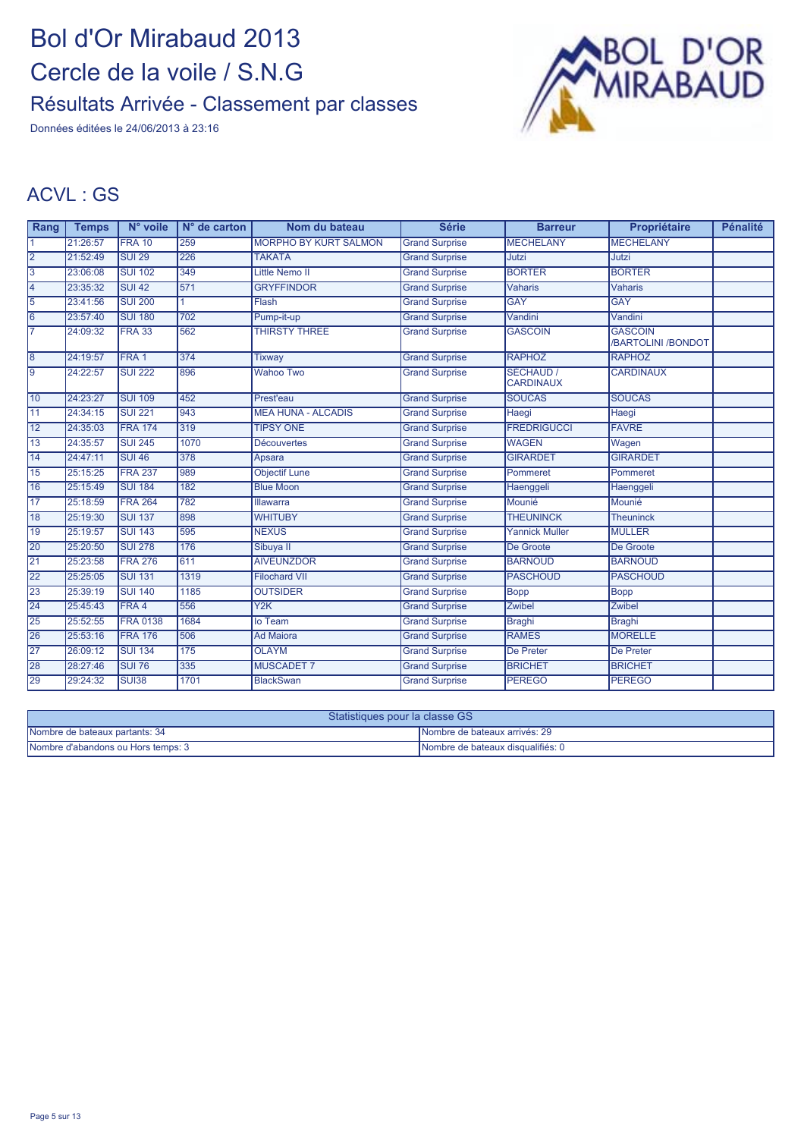Données éditées le 24/06/2013 à 23:16



#### ACVL : GS

| Rang            | <b>Temps</b> | N° voile         | $N°$ de carton | Nom du bateau                | <b>Série</b>          | <b>Barreur</b>                | Propriétaire                         | <b>Pénalité</b> |
|-----------------|--------------|------------------|----------------|------------------------------|-----------------------|-------------------------------|--------------------------------------|-----------------|
|                 | 21:26:57     | <b>FRA 10</b>    | 259            | <b>MORPHO BY KURT SALMON</b> | <b>Grand Surprise</b> | <b>MECHELANY</b>              | <b>MECHELANY</b>                     |                 |
| $ 2\rangle$     | 21:52:49     | <b>SUI 29</b>    | 226            | <b>TAKATA</b>                | <b>Grand Surprise</b> | Jutzi                         | Jutzi                                |                 |
| Ι3              | 23:06:08     | <b>SUI 102</b>   | 349            | <b>Little Nemo II</b>        | <b>Grand Surprise</b> | <b>BORTER</b>                 | <b>BORTER</b>                        |                 |
| 4               | 23:35:32     | <b>SUI 42</b>    | 571            | <b>GRYFFINDOR</b>            | <b>Grand Surprise</b> | <b>Vaharis</b>                | <b>Vaharis</b>                       |                 |
| 15              | 23:41:56     | <b>SUI 200</b>   |                | Flash                        | <b>Grand Surprise</b> | <b>GAY</b>                    | <b>GAY</b>                           |                 |
| $\overline{6}$  | 23:57:40     | <b>SUI 180</b>   | 702            | Pump-it-up                   | <b>Grand Surprise</b> | Vandini                       | Vandini                              |                 |
| 17              | 24:09:32     | <b>FRA 33</b>    | 562            | <b>THIRSTY THREE</b>         | <b>Grand Surprise</b> | <b>GASCOIN</b>                | <b>GASCOIN</b><br>/BARTOLINI /BONDOT |                 |
| $\overline{8}$  | 24:19:57     | FRA <sub>1</sub> | 374            | <b>Tixway</b>                | <b>Grand Surprise</b> | <b>RAPHOZ</b>                 | <b>RAPHOZ</b>                        |                 |
| l9              | 24:22:57     | <b>SUI 222</b>   | 896            | <b>Wahoo Two</b>             | <b>Grand Surprise</b> | SÉCHAUD /<br><b>CARDINAUX</b> | <b>CARDINAUX</b>                     |                 |
| 10              | 24:23:27     | <b>SUI 109</b>   | 452            | Prest'eau                    | <b>Grand Surprise</b> | <b>SOUCAS</b>                 | <b>SOUCAS</b>                        |                 |
| 11              | 24:34:15     | <b>SUI 221</b>   | 943            | <b>MEA HUNA - ALCADIS</b>    | <b>Grand Surprise</b> | Haegi                         | Haegi                                |                 |
| 12              | 24:35:03     | <b>FRA 174</b>   | 319            | <b>TIPSY ONE</b>             | <b>Grand Surprise</b> | <b>FREDRIGUCCI</b>            | <b>FAVRE</b>                         |                 |
| 13              | 24:35:57     | <b>SUI 245</b>   | 1070           | <b>Découvertes</b>           | <b>Grand Surprise</b> | <b>WAGEN</b>                  | Wagen                                |                 |
| 14              | 24:47:11     | <b>SUI 46</b>    | 378            | Apsara                       | <b>Grand Surprise</b> | <b>GIRARDET</b>               | <b>GIRARDET</b>                      |                 |
| 15              | 25:15:25     | <b>FRA 237</b>   | 989            | <b>Objectif Lune</b>         | <b>Grand Surprise</b> | Pommeret                      | Pommeret                             |                 |
| 16              | 25:15:49     | <b>SUI 184</b>   | 182            | <b>Blue Moon</b>             | <b>Grand Surprise</b> | Haenggeli                     | Haenggeli                            |                 |
| $\overline{17}$ | 25:18:59     | <b>FRA 264</b>   | 782            | <b>Illawarra</b>             | <b>Grand Surprise</b> | Mounié                        | Mounié                               |                 |
| 18              | 25:19:30     | <b>SUI 137</b>   | 898            | <b>WHITUBY</b>               | <b>Grand Surprise</b> | <b>THEUNINCK</b>              | <b>Theuninck</b>                     |                 |
| 19              | 25:19:57     | <b>SUI 143</b>   | 595            | <b>NEXUS</b>                 | <b>Grand Surprise</b> | <b>Yannick Muller</b>         | <b>MULLER</b>                        |                 |
| $\overline{20}$ | 25:20:50     | <b>SUI 278</b>   | 176            | Sibuya II                    | <b>Grand Surprise</b> | De Groote                     | De Groote                            |                 |
| 21              | 25:23:58     | <b>FRA 276</b>   | 611            | <b>AIVEUNZDOR</b>            | <b>Grand Surprise</b> | <b>BARNOUD</b>                | <b>BARNOUD</b>                       |                 |
| 22              | 25:25:05     | <b>SUI 131</b>   | 1319           | <b>Filochard VII</b>         | <b>Grand Surprise</b> | <b>PASCHOUD</b>               | <b>PASCHOUD</b>                      |                 |
| 23              | 25:39:19     | <b>SUI 140</b>   | 1185           | <b>OUTSIDER</b>              | <b>Grand Surprise</b> | Bopp                          | <b>Bopp</b>                          |                 |
| $\overline{24}$ | 25:45:43     | FRA 4            | 556            | YZK                          | <b>Grand Surprise</b> | Zwibel                        | <b>Zwibel</b>                        |                 |
| 25              | 25:52:55     | <b>FRA 0138</b>  | 1684           | lo Team                      | <b>Grand Surprise</b> | <b>Braghi</b>                 | <b>Braghi</b>                        |                 |
| 26              | 25:53:16     | <b>FRA 176</b>   | 506            | <b>Ad Maiora</b>             | <b>Grand Surprise</b> | <b>RAMES</b>                  | <b>MORELLE</b>                       |                 |
| 27              | 26:09:12     | <b>SUI 134</b>   | 175            | <b>OLAYM</b>                 | <b>Grand Surprise</b> | De Preter                     | <b>De Preter</b>                     |                 |
| 28              | 28:27:46     | <b>SUI 76</b>    | 335            | <b>MUSCADET 7</b>            | <b>Grand Surprise</b> | <b>BRICHET</b>                | <b>BRICHET</b>                       |                 |
| 29              | 29:24:32     | <b>SUI38</b>     | 1701           | <b>BlackSwan</b>             | <b>Grand Surprise</b> | <b>PEREGO</b>                 | <b>PEREGO</b>                        |                 |

| Statistiques pour la classe GS     |                                   |  |  |  |
|------------------------------------|-----------------------------------|--|--|--|
| Nombre de bateaux partants: 34     | INombre de bateaux arrivés: 29    |  |  |  |
| Nombre d'abandons ou Hors temps: 3 | Nombre de bateaux disqualifiés: 0 |  |  |  |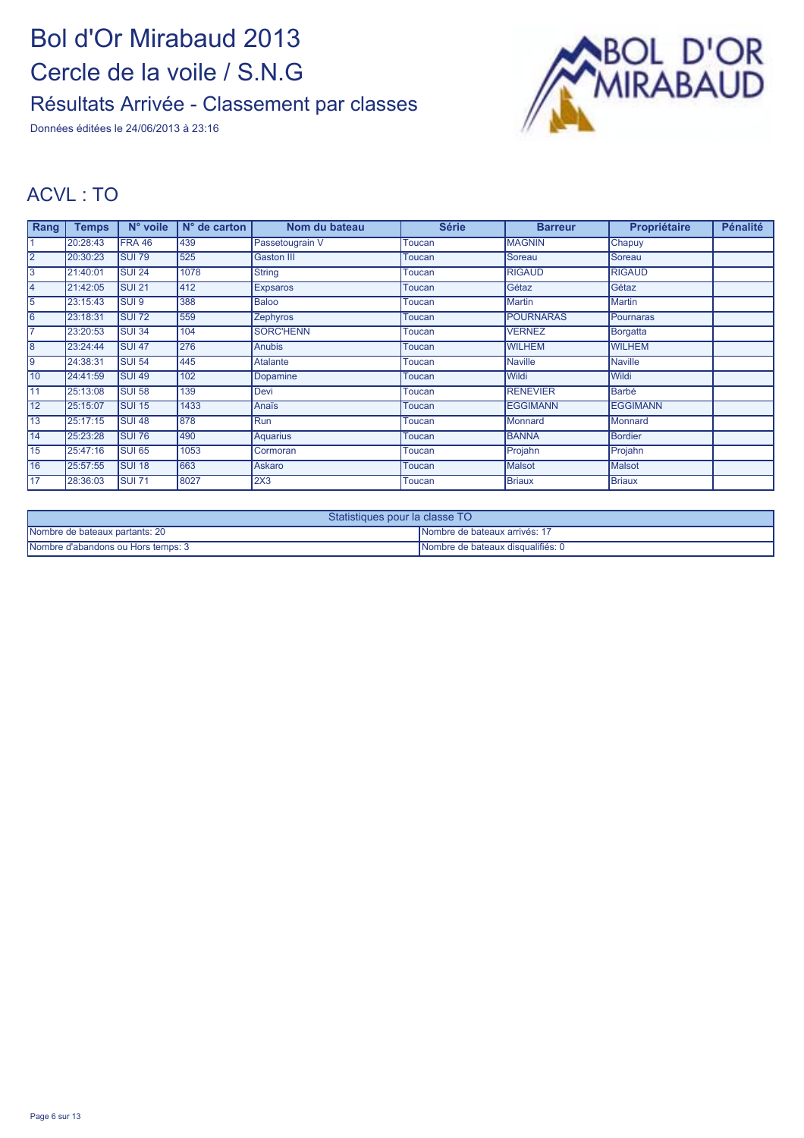Données éditées le 24/06/2013 à 23:16



#### ACVL : TO

| Rang            | <b>Temps</b> | N° voile          | $N°$ de carton | Nom du bateau     | <b>Série</b>  | <b>Barreur</b>   | Propriétaire    | <b>Pénalité</b> |
|-----------------|--------------|-------------------|----------------|-------------------|---------------|------------------|-----------------|-----------------|
|                 | 20:28:43     | FRA 46            | 439            | Passetougrain V   | Toucan        | <b>MAGNIN</b>    | Chapuy          |                 |
| $\overline{2}$  | 20:30:23     | <b>SUI 79</b>     | 525            | <b>Gaston III</b> | Toucan        | Soreau           | Soreau          |                 |
| 3               | 21:40:01     | SUI <sub>24</sub> | 1078           | <b>String</b>     | Toucan        | <b>RIGAUD</b>    | <b>RIGAUD</b>   |                 |
| 14              | 21:42:05     | <b>SUI 21</b>     | 412            | <b>Expsaros</b>   | Toucan        | Gétaz            | Gétaz           |                 |
| 5               | 23:15:43     | <b>SUI 9</b>      | 388            | <b>Baloo</b>      | Toucan        | <b>Martin</b>    | <b>Martin</b>   |                 |
| 6               | 23:18:31     | <b>SUI 72</b>     | 559            | <b>Zephyros</b>   | <b>Toucan</b> | <b>POURNARAS</b> | Pournaras       |                 |
| 17              | 23:20:53     | <b>SUI34</b>      | 104            | <b>SORC'HENN</b>  | Toucan        | <b>VERNEZ</b>    | <b>Borgatta</b> |                 |
| 8               | 23:24:44     | <b>SUI 47</b>     | 276            | <b>Anubis</b>     | Toucan        | <b>WILHEM</b>    | <b>WILHEM</b>   |                 |
| l9              | 24:38:31     | <b>SUI 54</b>     | 445            | Atalante          | <b>Toucan</b> | <b>Naville</b>   | <b>Naville</b>  |                 |
| 10              | 24:41:59     | <b>SUI 49</b>     | 102            | Dopamine          | Toucan        | Wildi            | <b>Wildi</b>    |                 |
| 11              | 25:13:08     | SUI 58            | 139            | Devi              | Toucan        | <b>RENEVIER</b>  | Barbé           |                 |
| $\overline{12}$ | 25:15:07     | <b>SUI 15</b>     | 1433           | Anaïs             | Toucan        | <b>EGGIMANN</b>  | <b>EGGIMANN</b> |                 |
| 13              | 25:17:15     | <b>SUI 48</b>     | 878            | Run               | Toucan        | <b>Monnard</b>   | Monnard         |                 |
| 14              | 25:23:28     | <b>SUI 76</b>     | 490            | <b>Aquarius</b>   | Toucan        | <b>BANNA</b>     | Bordier         |                 |
| 15              | 25:47:16     | SUI <sub>65</sub> | 1053           | Cormoran          | Toucan        | Projahn          | Projahn         |                 |
| 16              | 25:57:55     | <b>SUI 18</b>     | 663            | Askaro            | Toucan        | <b>Malsot</b>    | <b>Malsot</b>   |                 |
| <b>17</b>       | 28:36:03     | <b>SUI 71</b>     | 8027           | 2X3               | Toucan        | <b>Briaux</b>    | Briaux          |                 |

| Statistiques pour la classe TO     |                                   |  |  |  |
|------------------------------------|-----------------------------------|--|--|--|
| Nombre de bateaux partants: 20     | INombre de bateaux arrivés: 17    |  |  |  |
| Nombre d'abandons ou Hors temps: 3 | Nombre de bateaux disqualifiés: 0 |  |  |  |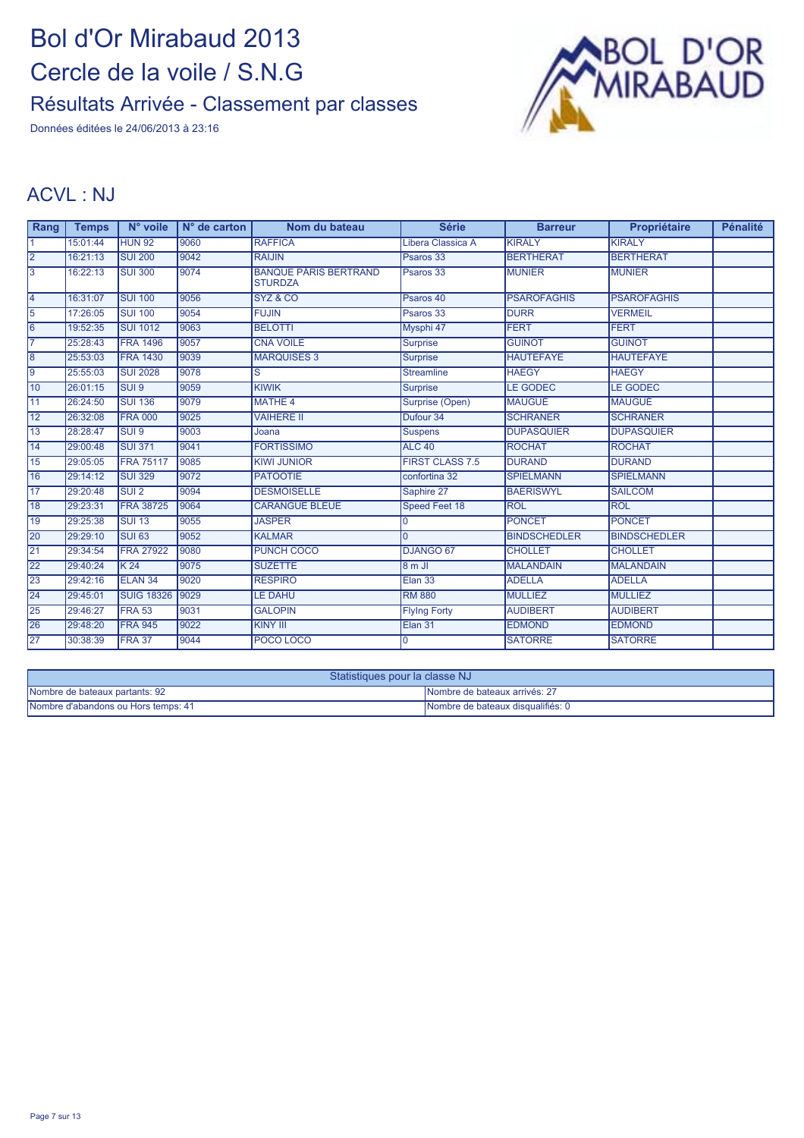Données éditées le 24/06/2013 à 23:16



#### ACVL : NJ

| Rang            | <b>Temps</b> | N° voile          | $N°$ de carton | Nom du bateau                                  | <b>Série</b>           | <b>Barreur</b>      | Propriétaire        | <b>Pénalité</b> |
|-----------------|--------------|-------------------|----------------|------------------------------------------------|------------------------|---------------------|---------------------|-----------------|
|                 | 15:01:44     | <b>HUN 92</b>     | 9060           | <b>RAFFICA</b>                                 | Libera Classica A      | <b>KIRÁLY</b>       | <b>KIRÁLY</b>       |                 |
| 2               | 16:21:13     | <b>SUI 200</b>    | 9042           | <b>RAIJIN</b>                                  | Psaros 33              | <b>BERTHERAT</b>    | <b>BERTHERAT</b>    |                 |
| 3               | 16:22:13     | <b>SUI 300</b>    | 9074           | <b>BANQUE PÂRIS BERTRAND</b><br><b>STURDZA</b> | Psaros 33              | <b>MUNIER</b>       | <b>MUNIER</b>       |                 |
| $\overline{4}$  | 16:31:07     | <b>SUI 100</b>    | 9056           | SYZ & CO                                       | Psaros 40              | <b>PSAROFAGHIS</b>  | <b>PSAROFAGHIS</b>  |                 |
| 5               | 17:26:05     | <b>SUI 100</b>    | 9054           | <b>FUJIN</b>                                   | Psaros 33              | <b>DURR</b>         | <b>VERMEIL</b>      |                 |
| 6               | 19:52:35     | <b>SUI 1012</b>   | 9063           | <b>BELOTTI</b>                                 | Mysphi 47              | <b>FERT</b>         | <b>FERT</b>         |                 |
| $\overline{7}$  | 25:28:43     | <b>FRA 1496</b>   | 9057           | <b>CNA VOILE</b>                               | <b>Surprise</b>        | <b>GUINOT</b>       | <b>GUINOT</b>       |                 |
| $\overline{8}$  | 25:53:03     | <b>FRA 1430</b>   | 9039           | <b>MARQUISES 3</b>                             | <b>Surprise</b>        | <b>HAUTEFAYE</b>    | <b>HAUTEFAYE</b>    |                 |
| l9              | 25:55:03     | <b>SUI 2028</b>   | 9078           | S                                              | <b>Streamline</b>      | <b>HAEGY</b>        | <b>HAEGY</b>        |                 |
| $\overline{10}$ | 26:01:15     | SUI <sub>9</sub>  | 9059           | <b>KIWIK</b>                                   | <b>Surprise</b>        | <b>LE GODEC</b>     | <b>LE GODEC</b>     |                 |
| 11              | 26:24:50     | <b>SUI 136</b>    | 9079           | <b>MATHE 4</b>                                 | Surprise (Open)        | <b>MAUGUÉ</b>       | <b>MAUGUÉ</b>       |                 |
| 12              | 26:32:08     | <b>FRA 000</b>    | 9025           | <b>VAIHERE II</b>                              | Dufour 34              | <b>SCHRANER</b>     | <b>SCHRANER</b>     |                 |
| 13              | 28:28:47     | SUI <sub>9</sub>  | 9003           | Joana                                          | <b>Suspens</b>         | <b>DUPASQUIER</b>   | <b>DUPASQUIER</b>   |                 |
| 14              | 29:00:48     | <b>SUI 371</b>    | 9041           | <b>FORTISSIMO</b>                              | <b>ALC 40</b>          | <b>ROCHAT</b>       | <b>ROCHAT</b>       |                 |
| 15              | 29:05:05     | <b>FRA 75117</b>  | 9085           | <b>KIWI JUNIOR</b>                             | <b>FIRST CLASS 7.5</b> | <b>DURAND</b>       | <b>DURAND</b>       |                 |
| 16              | 29:14:12     | <b>SUI 329</b>    | 9072           | <b>PATOOTIE</b>                                | confortina 32          | <b>SPIELMANN</b>    | <b>SPIELMANN</b>    |                 |
| $\overline{17}$ | 29:20:48     | SUI <sub>2</sub>  | 9094           | <b>DESMOISELLE</b>                             | Saphire 27             | <b>BAERISWYL</b>    | <b>SAILCOM</b>      |                 |
| 18              | 29:23:31     | <b>FRA 38725</b>  | 9064           | <b>CARANGUE BLEUE</b>                          | Speed Feet 18          | <b>ROL</b>          | <b>ROL</b>          |                 |
| 19              | 29:25:38     | <b>SUI 13</b>     | 9055           | <b>JASPER</b>                                  | 0                      | <b>PONCET</b>       | <b>PONCET</b>       |                 |
| 20              | 29:29:10     | <b>SUI 63</b>     | 9052           | <b>KALMAR</b>                                  | $\Omega$               | <b>BINDSCHEDLER</b> | <b>BINDSCHEDLER</b> |                 |
| 21              | 29:34:54     | <b>FRA 27922</b>  | 9080           | PUNCH COCO                                     | DJANGO 67              | <b>CHOLLET</b>      | <b>CHOLLET</b>      |                 |
| 22              | 29:40:24     | K <sub>24</sub>   | 9075           | <b>SUZETTE</b>                                 | 8mJ                    | <b>MALANDAIN</b>    | <b>MALANDAIN</b>    |                 |
| 23              | 29:42:16     | <b>ELAN 34</b>    | 9020           | <b>RESPIRO</b>                                 | Elan 33                | <b>ADELLA</b>       | <b>ADELLA</b>       |                 |
| 24              | 29:45:01     | <b>SUIG 18326</b> | 9029           | <b>LE DAHU</b>                                 | <b>RM 880</b>          | <b>MULLIEZ</b>      | <b>MULLIEZ</b>      |                 |
| 25              | 29:46:27     | FRA 53            | 9031           | <b>GALOPIN</b>                                 | <b>Flying Forty</b>    | <b>AUDIBERT</b>     | <b>AUDIBERT</b>     |                 |
| 26              | 29:48:20     | <b>FRA 945</b>    | 9022           | <b>KINY III</b>                                | Elan 31                | <b>EDMOND</b>       | <b>EDMOND</b>       |                 |
| 27              | 30:38:39     | FRA 37            | 9044           | POCO LOCO                                      | 0                      | <b>SATORRE</b>      | <b>SATORRE</b>      |                 |

| Statistiques pour la classe NJ      |                                    |  |  |
|-------------------------------------|------------------------------------|--|--|
| Nombre de bateaux partants: 92      | INombre de bateaux arrivés: 27     |  |  |
| Nombre d'abandons ou Hors temps: 41 | INombre de bateaux disqualifiés: 0 |  |  |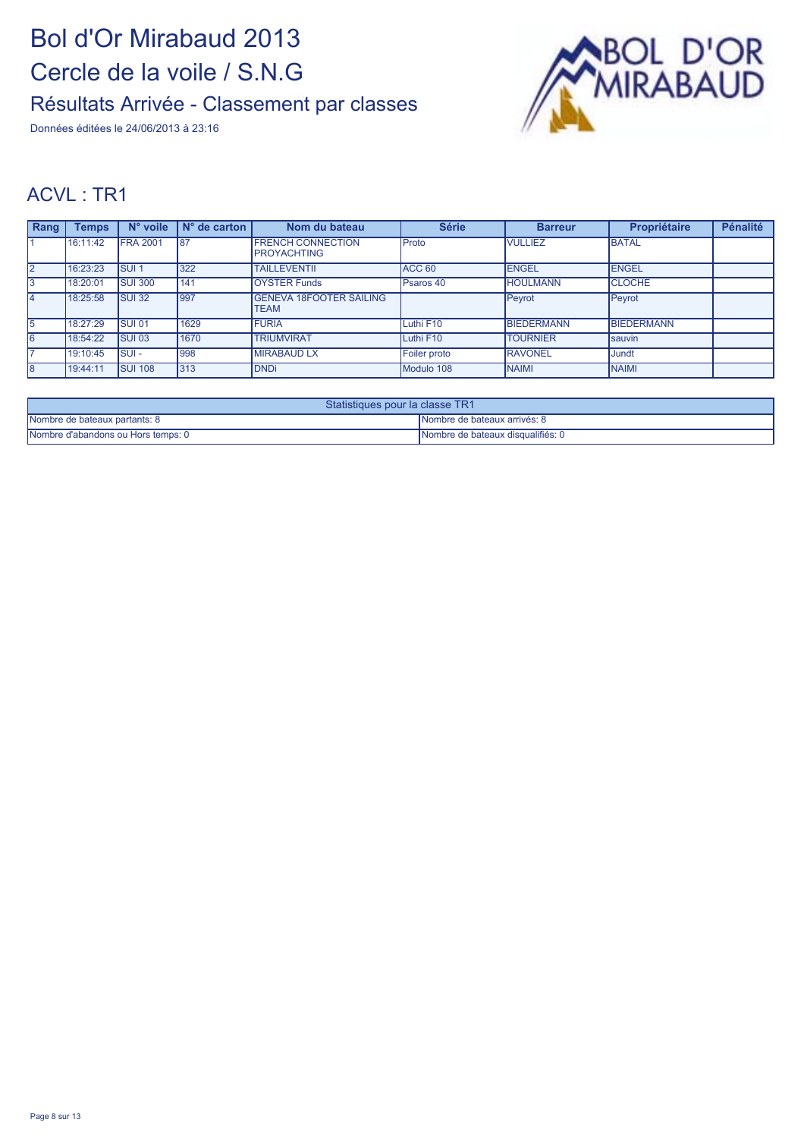Données éditées le 24/06/2013 à 23:16



| Rang           | <b>Temps</b> | N° voile        | $N°$ de carton | Nom du bateau                                  | <b>Série</b>      | <b>Barreur</b>    | Propriétaire      | <b>Pénalité</b> |
|----------------|--------------|-----------------|----------------|------------------------------------------------|-------------------|-------------------|-------------------|-----------------|
|                | 16:11:42     | <b>FRA 2001</b> | 87             | <b>FRENCH CONNECTION</b><br><b>PROYACHTING</b> | <b>Proto</b>      | <b>VULLIEZ</b>    | <b>BATAL</b>      |                 |
| $\overline{2}$ | 16:23:23     | <b>SUI1</b>     | 322            | <b>TAILLEVENTII</b>                            | ACC <sub>60</sub> | <b>ENGEL</b>      | <b>ENGEL</b>      |                 |
| $\overline{3}$ | 18:20:01     | <b>SUI 300</b>  | 141            | <b>OYSTER Funds</b>                            | Psaros 40         | <b>HOULMANN</b>   | <b>CLOCHE</b>     |                 |
| l4             | 18:25:58     | <b>SUI32</b>    | 997            | <b>IGENEVA 18FOOTER SAILING</b><br><b>TEAM</b> |                   | Peyrot            | Peyrot            |                 |
| 5              | 18:27:29     | <b>SUI 01</b>   | 1629           | <b>FURIA</b>                                   | Luthi F10         | <b>BIEDERMANN</b> | <b>BIEDERMANN</b> |                 |
| 6              | 18:54:22     | <b>SUI 03</b>   | 1670           | <b>TRIUMVIRAT</b>                              | Luthi F10         | <b>TOURNIER</b>   | Isauvin           |                 |
|                | 19:10:45     | ISUI -          | 998            | <b>MIRABAUD LX</b>                             | Foiler proto      | <b>RAVONEL</b>    | Jundt             |                 |
| 8              | 19:44:11     | <b>ISUI 108</b> | 313            | <b>IDNDi</b>                                   | Modulo 108        | <b>NAIMI</b>      | <b>NAIMI</b>      |                 |

| Statistiques pour la classe TR1    |                                      |  |  |  |
|------------------------------------|--------------------------------------|--|--|--|
| Nombre de bateaux partants: 8      | <b>INombre de bateaux arrivés: 8</b> |  |  |  |
| Nombre d'abandons ou Hors temps: 0 | INombre de bateaux disqualifiés: 0   |  |  |  |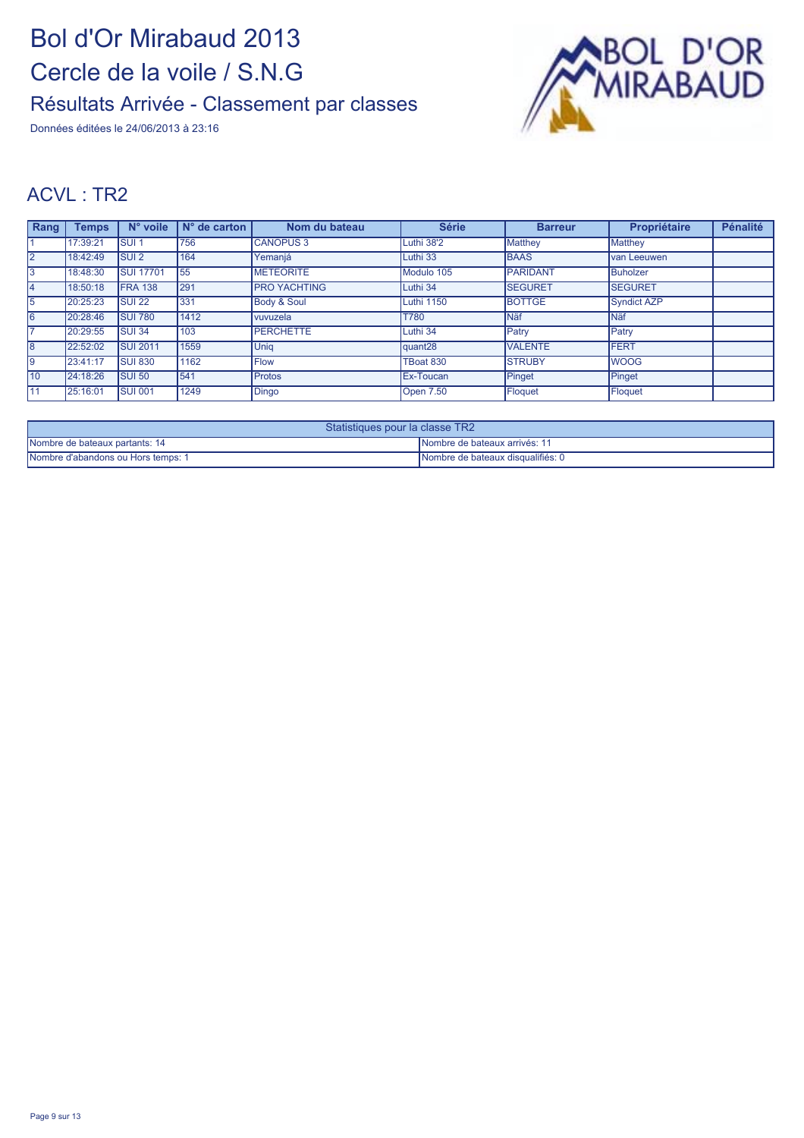Données éditées le 24/06/2013 à 23:16



| Rang           | <b>Temps</b> | N° voile         | N° de carton | Nom du bateau          | <b>Série</b>        | <b>Barreur</b>  | Propriétaire       | <b>Pénalité</b> |
|----------------|--------------|------------------|--------------|------------------------|---------------------|-----------------|--------------------|-----------------|
|                | 17:39:21     | SUI <sub>1</sub> | 756          | <b>CANOPUS 3</b>       | Luthi 38'2          | <b>Matthey</b>  | <b>Matthey</b>     |                 |
| $\overline{2}$ | 18:42:49     | <b>SUI2</b>      | 164          | Yemanjá                | Luthi 33            | <b>BAAS</b>     | van Leeuwen        |                 |
| 13             | 18:48:30     | <b>SUI 17701</b> | 55           | <b>METEORITE</b>       | Modulo 105          | <b>PARIDANT</b> | Buholzer           |                 |
| 4              | 18:50:18     | <b>FRA 138</b>   | 291          | <b>PRO YACHTING</b>    | Luthi 34            | <b>SEGURET</b>  | <b>SEGURET</b>     |                 |
| 5              | 20:25:23     | <b>SUI 22</b>    | 331          | <b>Body &amp; Soul</b> | Luthi 1150          | <b>BOTTGE</b>   | <b>Syndict AZP</b> |                 |
| 6              | 20:28:46     | <b>SUI 780</b>   | 1412         | <b>vuvuzela</b>        | T780                | <b>Näf</b>      | <b>Näf</b>         |                 |
|                | 20:29:55     | <b>SUI34</b>     | 103          | <b>PERCHETTE</b>       | Luthi 34            | Patry           | Patry              |                 |
| 8              | 22:52:02     | <b>SUI 2011</b>  | 1559         | <b>Unia</b>            | quant <sub>28</sub> | <b>VALENTE</b>  | <b>FERT</b>        |                 |
| Ι9             | 23:41:17     | <b>SUI 830</b>   | 1162         | <b>Flow</b>            | TBoat 830           | <b>STRUBY</b>   | <b>WOOG</b>        |                 |
| 10             | 24:18:26     | <b>SUI 50</b>    | 541          | Protos                 | <b>Ex-Toucan</b>    | Pinget          | Pinget             |                 |
| 11             | 25:16:01     | <b>ISUI 001</b>  | 1249         | Dingo                  | <b>Open 7.50</b>    | Floquet         | Floquet            |                 |

| Statistiques pour la classe TR2    |                                       |  |  |
|------------------------------------|---------------------------------------|--|--|
| Nombre de bateaux partants: 14     | <b>INombre de bateaux arrivés: 11</b> |  |  |
| Nombre d'abandons ou Hors temps: 1 | Nombre de bateaux disqualifiés: 0     |  |  |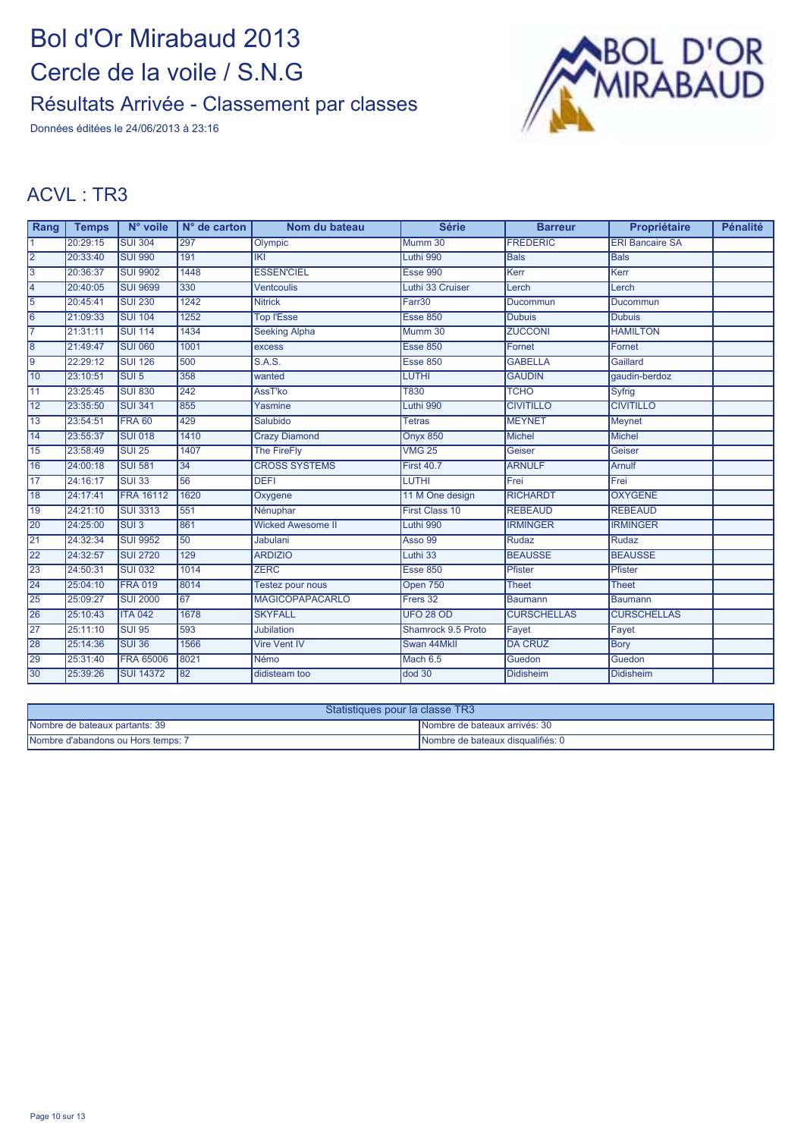Données éditées le 24/06/2013 à 23:16



| Rang            | <b>Temps</b> | N° voile         | $N°$ de carton | Nom du bateau            | <b>Série</b>       | <b>Barreur</b>     | Propriétaire           | <b>Pénalité</b> |
|-----------------|--------------|------------------|----------------|--------------------------|--------------------|--------------------|------------------------|-----------------|
| 11              | 20:29:15     | <b>SUI 304</b>   | 297            | Olympic                  | Mumm 30            | <b>FREDERIC</b>    | <b>ERI Bancaire SA</b> |                 |
| 2               | 20:33:40     | <b>SUI 990</b>   | 191            | IKI                      | Luthi 990          | <b>Bals</b>        | <b>Bals</b>            |                 |
| $\overline{3}$  | 20:36:37     | <b>SUI 9902</b>  | 1448           | <b>ESSEN'CIEL</b>        | <b>Esse 990</b>    | Kerr               | Kerr                   |                 |
| $\overline{4}$  | 20:40:05     | <b>SUI 9699</b>  | 330            | <b>Ventcoulis</b>        | Luthi 33 Cruiser   | Lerch              | Lerch                  |                 |
| 5               | 20:45:41     | <b>SUI 230</b>   | 1242           | <b>Nitrick</b>           | Farr30             | Ducommun           | Ducommun               |                 |
| 6               | 21:09:33     | <b>SUI 104</b>   | 1252           | <b>Top l'Esse</b>        | <b>Esse 850</b>    | <b>Dubuis</b>      | <b>Dubuis</b>          |                 |
| $\overline{7}$  | 21:31:11     | <b>SUI 114</b>   | 1434           | <b>Seeking Alpha</b>     | Mumm 30            | <b>ZUCCONI</b>     | <b>HAMILTON</b>        |                 |
| $\overline{8}$  | 21:49:47     | <b>SUI 060</b>   | 1001           | excess                   | <b>Esse 850</b>    | Fornet             | Fornet                 |                 |
| 9               | 22:29:12     | <b>SUI 126</b>   | 500            | <b>S.A.S.</b>            | <b>Esse 850</b>    | <b>GABELLA</b>     | Gaillard               |                 |
| 10              | 23:10:51     | <b>SUI5</b>      | 358            | wanted                   | <b>LUTHI</b>       | <b>GAUDIN</b>      | gaudin-berdoz          |                 |
| $\overline{11}$ | 23:25:45     | <b>SUI 830</b>   | 242            | AssT'ko                  | <b>T830</b>        | <b>TCHO</b>        | Syfrig                 |                 |
| $\overline{12}$ | 23:35:50     | <b>SUI 341</b>   | 855            | Yasmine                  | Luthi 990          | <b>CIVITILLO</b>   | <b>CIVITILLO</b>       |                 |
| $\overline{13}$ | 23:54:51     | <b>FRA 60</b>    | 429            | Salubido                 | <b>Tetras</b>      | <b>MEYNET</b>      | <b>Meynet</b>          |                 |
| 14              | 23:55:37     | <b>SUI 018</b>   | 1410           | <b>Crazy Diamond</b>     | <b>Onyx 850</b>    | <b>Michel</b>      | <b>Michel</b>          |                 |
| 15              | 23:58:49     | <b>SUI 25</b>    | 1407           | <b>The FireFly</b>       | <b>VMG 25</b>      | Geiser             | Geiser                 |                 |
| 16              | 24:00:18     | <b>SUI 581</b>   | 34             | <b>CROSS SYSTEMS</b>     | <b>First 40.7</b>  | <b>ARNULF</b>      | <b>Arnulf</b>          |                 |
| 17              | 24:16:17     | <b>SUI 33</b>    | 56             | <b>DEFI</b>              | <b>LUTHI</b>       | Frei               | Frei                   |                 |
| 18              | 24:17:41     | <b>FRA 16112</b> | 1620           | Oxygene                  | 11 M One design    | <b>RICHARDT</b>    | <b>OXYGENE</b>         |                 |
| 19              | 24:21:10     | <b>SUI 3313</b>  | 551            | Nénuphar                 | First Class 10     | <b>REBEAUD</b>     | <b>REBEAUD</b>         |                 |
| 20              | 24:25:00     | SUI <sub>3</sub> | 861            | <b>Wicked Awesome II</b> | Luthi 990          | <b>IRMINGER</b>    | <b>IRMINGER</b>        |                 |
| 21              | 24:32:34     | <b>SUI 9952</b>  | 50             | <b>Jabulani</b>          | <b>Asso 99</b>     | Rudaz              | Rudaz                  |                 |
| 22              | 24:32:57     | <b>SUI 2720</b>  | 129            | <b>ARDIZIO</b>           | Luthi 33           | <b>BEAUSSE</b>     | <b>BEAUSSE</b>         |                 |
| 23              | 24:50:31     | <b>SUI 032</b>   | 1014           | <b>ZERC</b>              | <b>Esse 850</b>    | Pfister            | Pfister                |                 |
| 24              | 25:04:10     | <b>FRA 019</b>   | 8014           | Testez pour nous         | Open 750           | <b>Theet</b>       | <b>Theet</b>           |                 |
| 25              | 25:09:27     | <b>SUI 2000</b>  | 67             | <b>MAGICOPAPACARLO</b>   | Frers 32           | <b>Baumann</b>     | <b>Baumann</b>         |                 |
| 26              | 25:10:43     | <b>ITA 042</b>   | 1678           | <b>SKYFALL</b>           | <b>UFO 28 OD</b>   | <b>CURSCHELLAS</b> | <b>CURSCHELLAS</b>     |                 |
| 27              | 25:11:10     | <b>SUI 95</b>    | 593            | <b>Jubilation</b>        | Shamrock 9.5 Proto | Fayet              | Fayet                  |                 |
| 28              | 25:14:36     | <b>SUI 36</b>    | 1566           | Vire Vent IV             | Swan 44MkII        | <b>DA CRUZ</b>     | Bory                   |                 |
| 29              | 25:31:40     | <b>FRA 65006</b> | 8021           | Némo                     | Mach 6.5           | Guedon             | Guedon                 |                 |
| 30              | 25:39:26     | <b>SUI 14372</b> | 82             | didisteam too            | $d$ od 30          | <b>Didisheim</b>   | <b>Didisheim</b>       |                 |

| Statistiques pour la classe TR3    |                                   |  |  |  |
|------------------------------------|-----------------------------------|--|--|--|
| Nombre de bateaux partants: 39     | Nombre de bateaux arrivés: 30     |  |  |  |
| Nombre d'abandons ou Hors temps: 7 | Nombre de bateaux disqualifiés: 0 |  |  |  |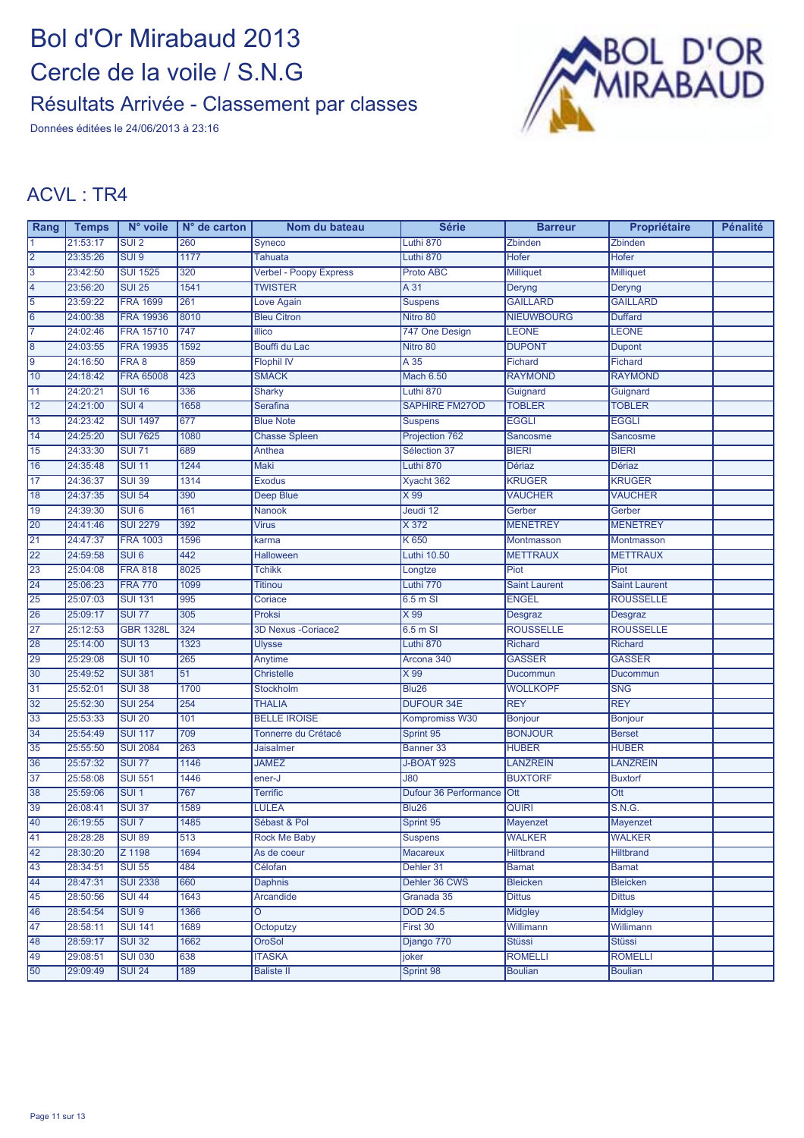Données éditées le 24/06/2013 à 23:16



| Rang            | <b>Temps</b> | N° voile         | $N°$ de carton | Nom du bateau                 | <b>Série</b>                 | <b>Barreur</b>       | Propriétaire         | <b>Pénalité</b> |
|-----------------|--------------|------------------|----------------|-------------------------------|------------------------------|----------------------|----------------------|-----------------|
|                 | 21:53:17     | SUI <sub>2</sub> | 260            | Syneco                        | Luthi 870                    | Zbinden              | <b>Zbinden</b>       |                 |
| 2               | 23:35:26     | SUI <sub>9</sub> | 1177           | <b>Tahuata</b>                | Luthi 870                    | Hofer                | <b>Hofer</b>         |                 |
| 3               | 23:42:50     | <b>SUI 1525</b>  | 320            | <b>Verbel - Poopy Express</b> | Proto ABC                    | <b>Milliquet</b>     | <b>Milliquet</b>     |                 |
| 4               | 23:56:20     | <b>SUI 25</b>    | 1541           | <b>TWISTER</b>                | A 31                         | Deryng               | Deryng               |                 |
| $\overline{5}$  | 23:59:22     | <b>FRA 1699</b>  | 261            | Love Again                    | <b>Suspens</b>               | <b>GAILLARD</b>      | <b>GAILLARD</b>      |                 |
| 6               | 24:00:38     | <b>FRA 19936</b> | 8010           | <b>Bleu Citron</b>            | Nitro 80                     | <b>NIEUWBOURG</b>    | <b>Duffard</b>       |                 |
| 17              | 24:02:46     | <b>FRA 15710</b> | 747            | illico                        | 747 One Design               | <b>LEONE</b>         | <b>LEONE</b>         |                 |
| $\overline{8}$  | 24:03:55     | <b>FRA 19935</b> | 1592           | Bouffi du Lac                 | Nitro 80                     | <b>DUPONT</b>        | <b>Dupont</b>        |                 |
| $\overline{9}$  | 24:16:50     | FRA 8            | 859            | <b>Flophil IV</b>             | $A \overline{35}$            | <b>Fichard</b>       | Fichard              |                 |
| 10              | 24:18:42     | <b>FRA 65008</b> | 423            | <b>SMACK</b>                  | <b>Mach 6.50</b>             | <b>RAYMOND</b>       | <b>RAYMOND</b>       |                 |
| 11              | 24:20:21     | <b>SUI 16</b>    | 336            | <b>Sharky</b>                 | Luthi 870                    | Guignard             | Guignard             |                 |
| 12              | 24:21:00     | SUI <sub>4</sub> | 1658           | <b>Serafina</b>               | <b>SAPHIRE FM27OD</b>        | <b>TOBLER</b>        | <b>TOBLER</b>        |                 |
| $\overline{13}$ | 24:23:42     | <b>SUI 1497</b>  | 677            | <b>Blue Note</b>              | <b>Suspens</b>               | <b>EGGLI</b>         | <b>EGGLI</b>         |                 |
| 14              | 24:25:20     | <b>SUI 7625</b>  | 1080           | <b>Chasse Spleen</b>          | Projection 762               | Sancosme             | Sancosme             |                 |
| 15              | 24:33:30     | <b>SUI 71</b>    | 689            | Anthea                        | Sélection 37                 | <b>BIERI</b>         | <b>BIERI</b>         |                 |
| 16              | 24:35:48     | <b>SUI 11</b>    | 1244           | Maki                          | Luthi 870                    | <b>Dériaz</b>        | <b>Dériaz</b>        |                 |
| $\overline{17}$ | 24:36:37     | <b>SUI 39</b>    | 1314           | <b>Exodus</b>                 | Xyacht 362                   | <b>KRUGER</b>        | <b>KRUGER</b>        |                 |
| 18              | 24:37:35     | <b>SUI 54</b>    | 390            | Deep Blue                     | X 99                         | <b>VAUCHER</b>       | <b>VAUCHER</b>       |                 |
| 19              | 24:39:30     | SUI <sub>6</sub> | 161            | <b>Nanook</b>                 | Jeudi 12                     | Gerber               | Gerber               |                 |
| 20              | 24:41:46     | <b>SUI 2279</b>  | 392            | <b>Virus</b>                  | X 372                        | <b>MENETREY</b>      | <b>MENETREY</b>      |                 |
| 21              | 24:47:37     | <b>FRA 1003</b>  | 1596           | karma                         | K 650                        | Montmasson           | Montmasson           |                 |
| 22              | 24:59:58     | SUI <sub>6</sub> | 442            | <b>Halloween</b>              | Luthi 10.50                  | <b>METTRAUX</b>      | <b>METTRAUX</b>      |                 |
| 23              | 25:04:08     | <b>FRA 818</b>   | 8025           | <b>Tchikk</b>                 | Longtze                      | Piot                 | Piot                 |                 |
| 24              | 25:06:23     | <b>FRA 770</b>   | 1099           | <b>Titinou</b>                | Luthi 770                    | <b>Saint Laurent</b> | <b>Saint Laurent</b> |                 |
| 25              | 25:07:03     | <b>SUI 131</b>   | 995            | Coriace                       | 6.5 m SI                     | <b>ENGEL</b>         | <b>ROUSSELLE</b>     |                 |
| 26              | 25:09:17     | <b>SUI 77</b>    | 305            | Proksi                        | X 99                         | Desgraz              | <b>Desgraz</b>       |                 |
| 27              | 25:12:53     | <b>GBR 1328L</b> | 324            | <b>3D Nexus - Coriace2</b>    | 6.5 m SI                     | <b>ROUSSELLE</b>     | <b>ROUSSELLE</b>     |                 |
| 28              | 25:14:00     | <b>SUI 13</b>    | 1323           | <b>Ulysse</b>                 | Luthi 870                    | <b>Richard</b>       | Richard              |                 |
| 29              | 25:29:08     | <b>SUI 10</b>    | 265            | Anytime                       | Arcona 340                   | <b>GASSER</b>        | <b>GASSER</b>        |                 |
| 30              | 25:49:52     | <b>SUI 381</b>   | 51             | <b>Christelle</b>             | X 99                         | Ducommun             | Ducommun             |                 |
| 31              | 25:52:01     | <b>SUI 38</b>    | 1700           | <b>Stockholm</b>              | <b>Blu26</b>                 | <b>WOLLKOPF</b>      | <b>SNG</b>           |                 |
| 32              | 25:52:30     | <b>SUI 254</b>   | 254            | <b>THALIA</b>                 | <b>DUFOUR 34E</b>            | <b>REY</b>           | <b>REY</b>           |                 |
| 33              | 25:53:33     | <b>SUI 20</b>    | 101            | <b>BELLE IROISE</b>           | Kompromiss W30               | Bonjour              | <b>Bonjour</b>       |                 |
| 34              | 25:54:49     | <b>SUI 117</b>   | 709            | Tonnerre du Crétacé           | Sprint 95                    | <b>BONJOUR</b>       | <b>Berset</b>        |                 |
| 35              | 25:55:50     | <b>SUI 2084</b>  | 263            | <b>Jaisalmer</b>              | Banner 33                    | <b>HUBER</b>         | <b>HUBER</b>         |                 |
| 36              | 25:57:32     | <b>SUI 77</b>    | 1146           | <b>JAMEZ</b>                  | J-BOAT 92S                   | <b>LANZREIN</b>      | <b>LANZREIN</b>      |                 |
| 37              | 25:58:08     | <b>SUI 551</b>   | 1446           | ener-J                        | $\overline{080}$             | <b>BUXTORF</b>       | <b>Buxtorf</b>       |                 |
| 38              | 25:59:06     | SUI <sub>1</sub> | 767            | <b>Terrific</b>               | <b>Dufour 36 Performance</b> | Ott                  | Ott                  |                 |
| 39              | 26:08:41     | <b>SUI 37</b>    | 1589           | LULEA                         | <b>Blu26</b>                 | <b>QUIRI</b>         | S.N.G.               |                 |
| 40              | 26:19:55     | SUI <sub>7</sub> | 1485           | Sébast & Pol                  | Sprint 95                    | Mayenzet             | Mayenzet             |                 |
| $\overline{41}$ | 28:28:28     | <b>SUI 89</b>    | 513            | <b>Rock Me Baby</b>           | <b>Suspens</b>               | <b>WALKER</b>        | <b>WALKER</b>        |                 |
| 42              | 28:30:20     | Z 1198           | 1694           | As de coeur                   | <b>Macareux</b>              | <b>Hiltbrand</b>     | <b>Hiltbrand</b>     |                 |
| 43              | 28:34:51     | <b>SUI 55</b>    | 484            | Célofan                       | Dehler 31                    | <b>Bamat</b>         | <b>Bamat</b>         |                 |
| 44              | 28:47:31     | <b>SUI 2338</b>  | 660            | <b>Daphnis</b>                | Dehler 36 CWS                | <b>Bleicken</b>      | <b>Bleicken</b>      |                 |
| 45              | 28:50:56     | <b>SUI 44</b>    | 1643           | Arcandide                     | Granada 35                   | <b>Dittus</b>        | <b>Dittus</b>        |                 |
| 46              | 28:54:54     | SUI <sub>9</sub> | 1366           | Ô                             | <b>DOD 24.5</b>              | Midgley              | <b>Midgley</b>       |                 |
| 47              | 28:58:11     | <b>SUI 141</b>   | 1689           | Octoputzy                     | First 30                     | Willimann            | Willimann            |                 |
| 48              | 28:59:17     | <b>SUI 32</b>    | 1662           | <b>OroSol</b>                 | Django 770                   | <b>Stüssi</b>        | <b>Stüssi</b>        |                 |
| 49              | 29:08:51     | <b>SUI 030</b>   | 638            | <b>ITASKA</b>                 | joker                        | <b>ROMELLI</b>       | <b>ROMELLI</b>       |                 |
| 50              | 29:09:49     | <b>SUI 24</b>    | 189            | <b>Baliste II</b>             | Sprint 98                    | <b>Boulian</b>       | <b>Boulian</b>       |                 |
|                 |              |                  |                |                               |                              |                      |                      |                 |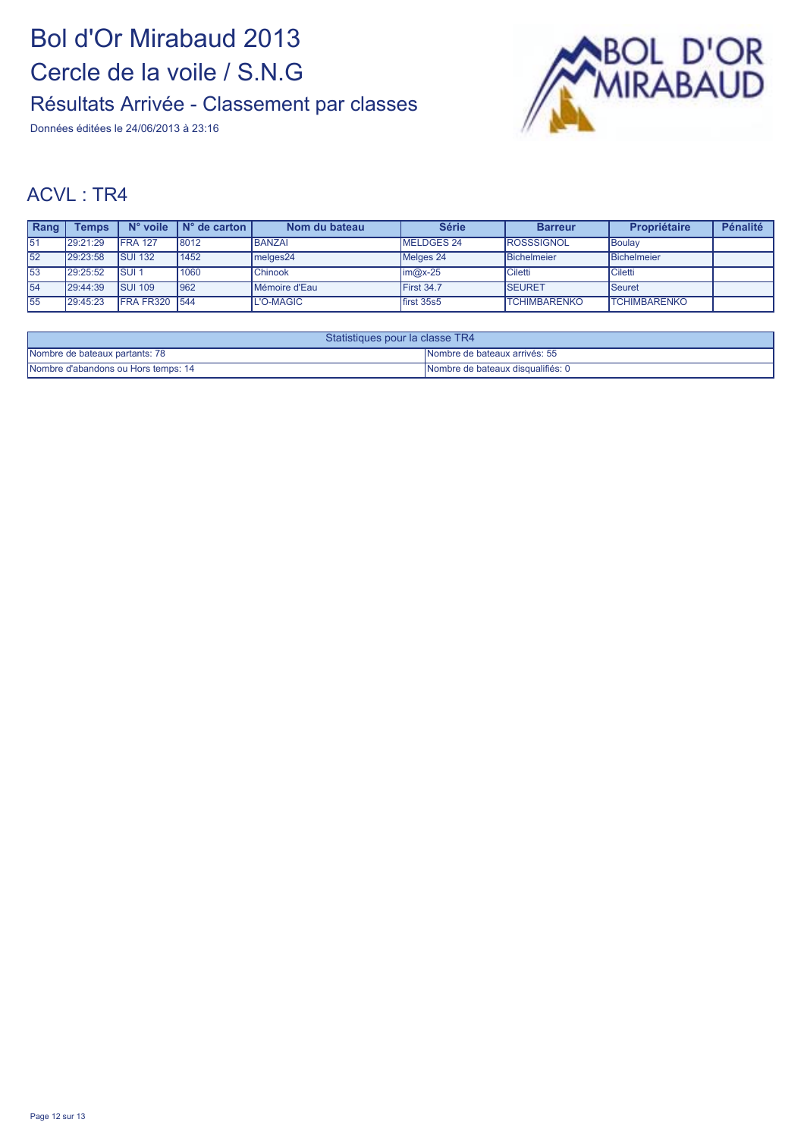Données éditées le 24/06/2013 à 23:16



| <b>Rang</b> | Temps    | $N^{\circ}$ voile | $N^{\circ}$ de carton | Nom du bateau  | <b>Série</b>       | <b>Barreur</b>      | Propriétaire        | Pénalité |
|-------------|----------|-------------------|-----------------------|----------------|--------------------|---------------------|---------------------|----------|
| 51          | 29:21:29 | <b>IFRA 127</b>   | 8012                  | <b>BANZAI</b>  | MELDGES 24         | <b>ROSSSIGNOL</b>   | IBoulav             |          |
| 52          | 29:23:58 | <b>SUI 132</b>    | 1452                  | melges24       | Melges 24          | Bichelmeier         | Bichelmeier         |          |
| 53          | 29:25:52 | <b>ISUI1</b>      | 1060                  | <b>Chinook</b> | $\mathsf{im@x-25}$ | <b>Ciletti</b>      | 'Ciletti            |          |
| 54          | 29:44:39 | <b>SUI 109</b>    | 962                   | Mémoire d'Eau  | First 34.7         | <b>SEURET</b>       | <b>Seuret</b>       |          |
| 55          | 29:45:23 | <b>FRA FR320</b>  | 544                   | L'O-MAGIC      | first 35s5         | <b>TCHIMBARENKO</b> | <b>TCHIMBARENKO</b> |          |

| Statistiques pour la classe TR4     |                                    |  |  |
|-------------------------------------|------------------------------------|--|--|
| Nombre de bateaux partants: 78      | INombre de bateaux arrivés: 55     |  |  |
| Nombre d'abandons ou Hors temps: 14 | INombre de bateaux disqualifiés: 0 |  |  |